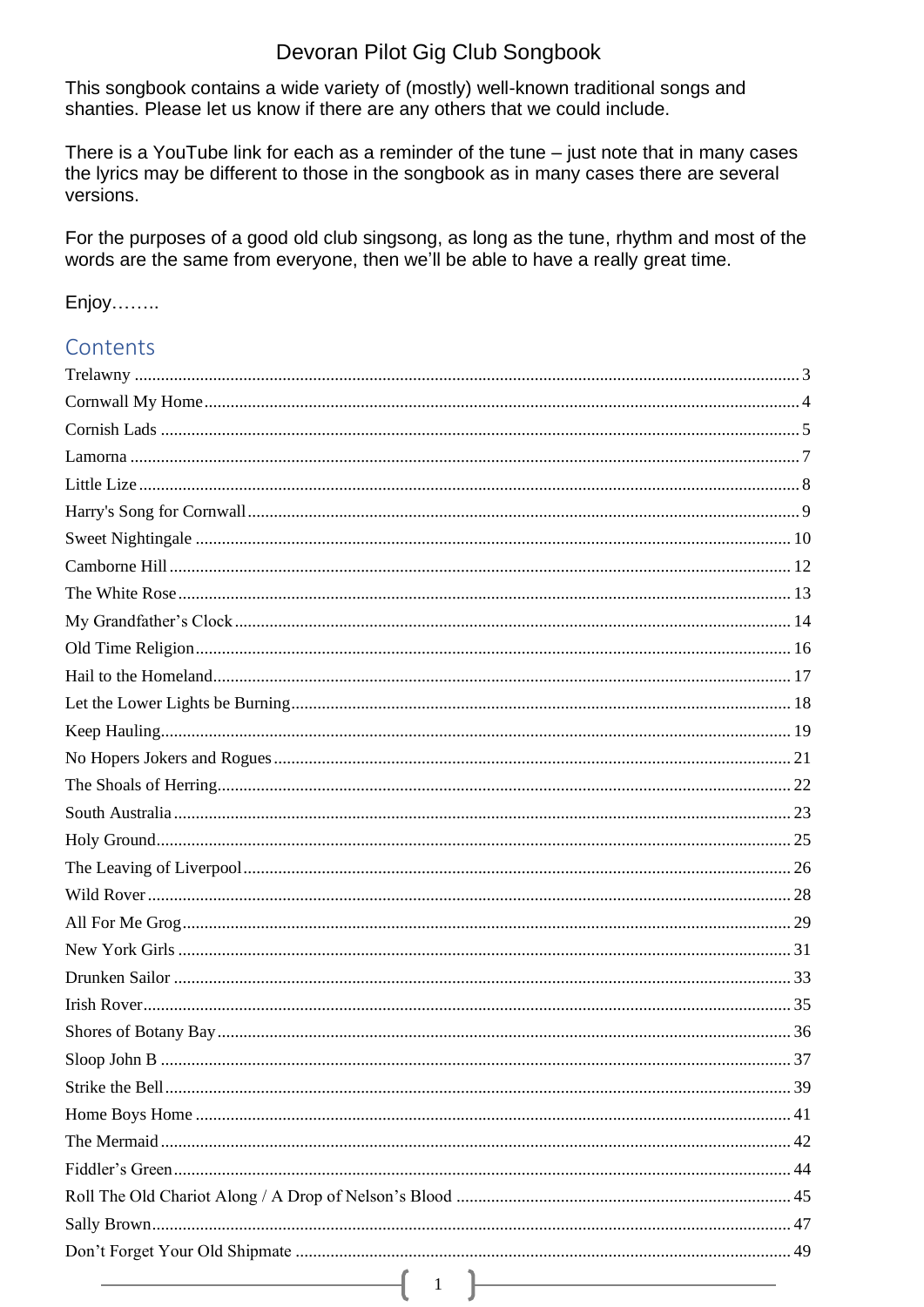This songbook contains a wide variety of (mostly) well-known traditional songs and shanties. Please let us know if there are any others that we could include.

There is a YouTube link for each as a reminder of the tune  $-$  just note that in many cases the lyrics may be different to those in the songbook as in many cases there are several versions.

For the purposes of a good old club singsong, as long as the tune, rhythm and most of the words are the same from everyone, then we'll be able to have a really great time.

Enjoy........

# Contents

| the contract of the contract of the con- |  |
|------------------------------------------|--|

 $\mathbf{1}$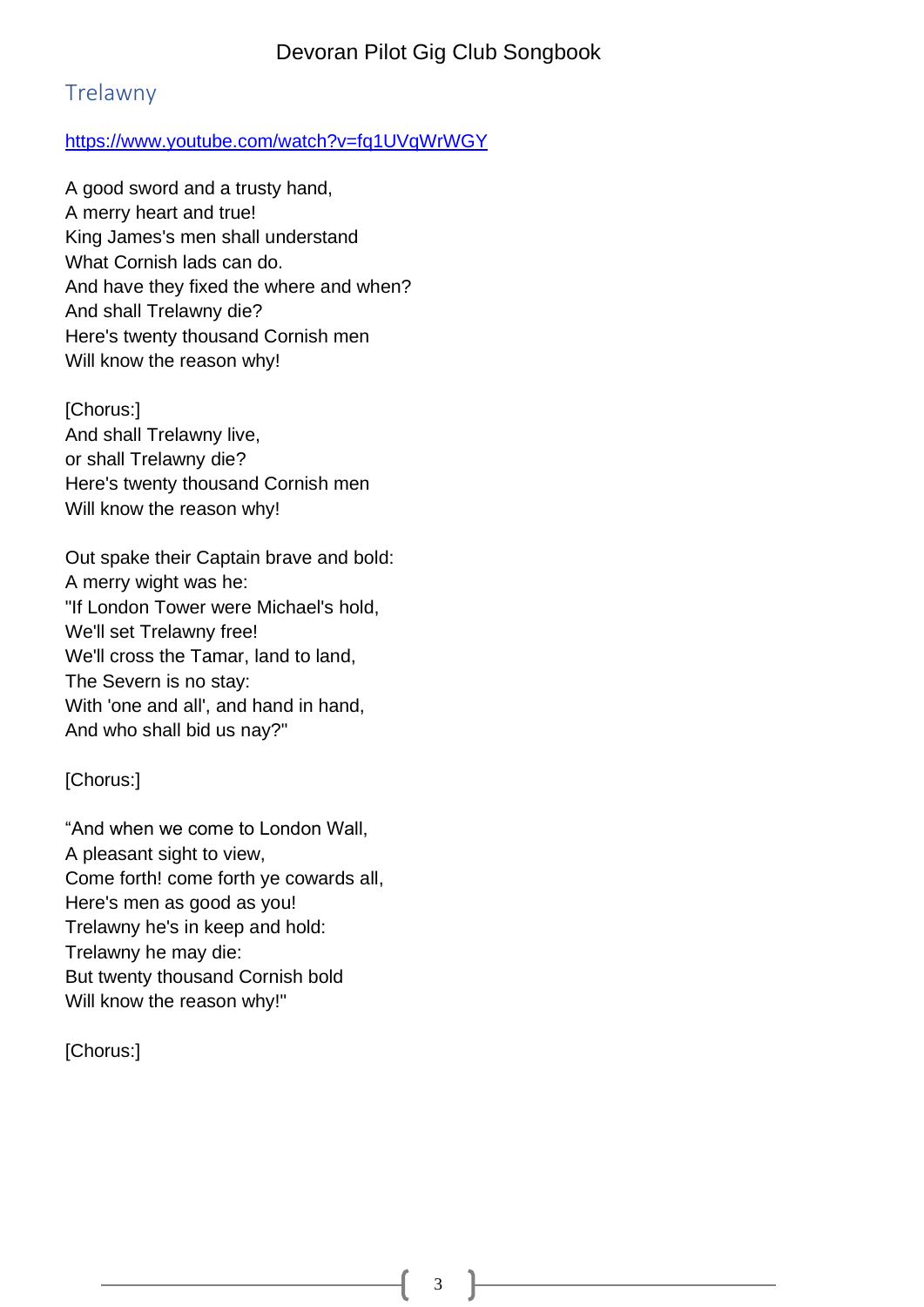# <span id="page-2-0"></span>Trelawny

### <https://www.youtube.com/watch?v=fq1UVqWrWGY>

A good sword and a trusty hand, A merry heart and true! King James's men shall understand What Cornish lads can do. And have they fixed the where and when? And shall Trelawny die? Here's twenty thousand Cornish men Will know the reason why!

[Chorus:] And shall Trelawny live, or shall Trelawny die? Here's twenty thousand Cornish men Will know the reason why!

Out spake their Captain brave and bold: A merry wight was he: "If London Tower were Michael's hold, We'll set Trelawny free! We'll cross the Tamar, land to land, The Severn is no stay: With 'one and all', and hand in hand, And who shall bid us nay?"

### [Chorus:]

"And when we come to London Wall, A pleasant sight to view, Come forth! come forth ye cowards all, Here's men as good as you! Trelawny he's in keep and hold: Trelawny he may die: But twenty thousand Cornish bold Will know the reason why!"

[Chorus:]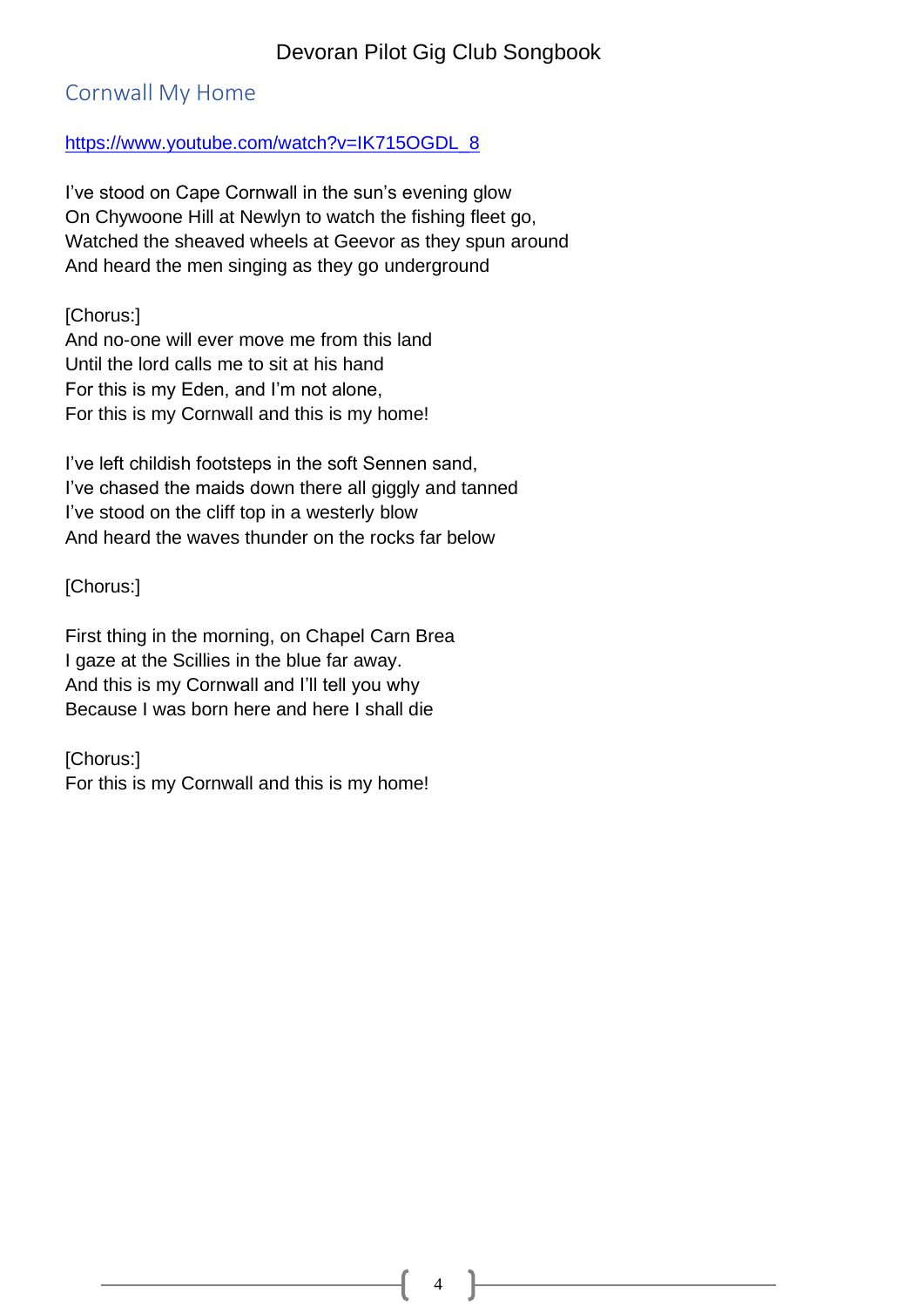### <span id="page-3-0"></span>Cornwall My Home

#### [https://www.youtube.com/watch?v=IK715OGDL\\_8](https://www.youtube.com/watch?v=IK715OGDL_8)

I've stood on Cape Cornwall in the sun's evening glow On Chywoone Hill at Newlyn to watch the fishing fleet go, Watched the sheaved wheels at Geevor as they spun around And heard the men singing as they go underground

[Chorus:]

And no-one will ever move me from this land Until the lord calls me to sit at his hand For this is my Eden, and I'm not alone, For this is my Cornwall and this is my home!

I've left childish footsteps in the soft Sennen sand, I've chased the maids down there all giggly and tanned I've stood on the cliff top in a westerly blow And heard the waves thunder on the rocks far below

[Chorus:]

First thing in the morning, on Chapel Carn Brea I gaze at the Scillies in the blue far away. And this is my Cornwall and I'll tell you why Because I was born here and here I shall die

[Chorus:]

For this is my Cornwall and this is my home!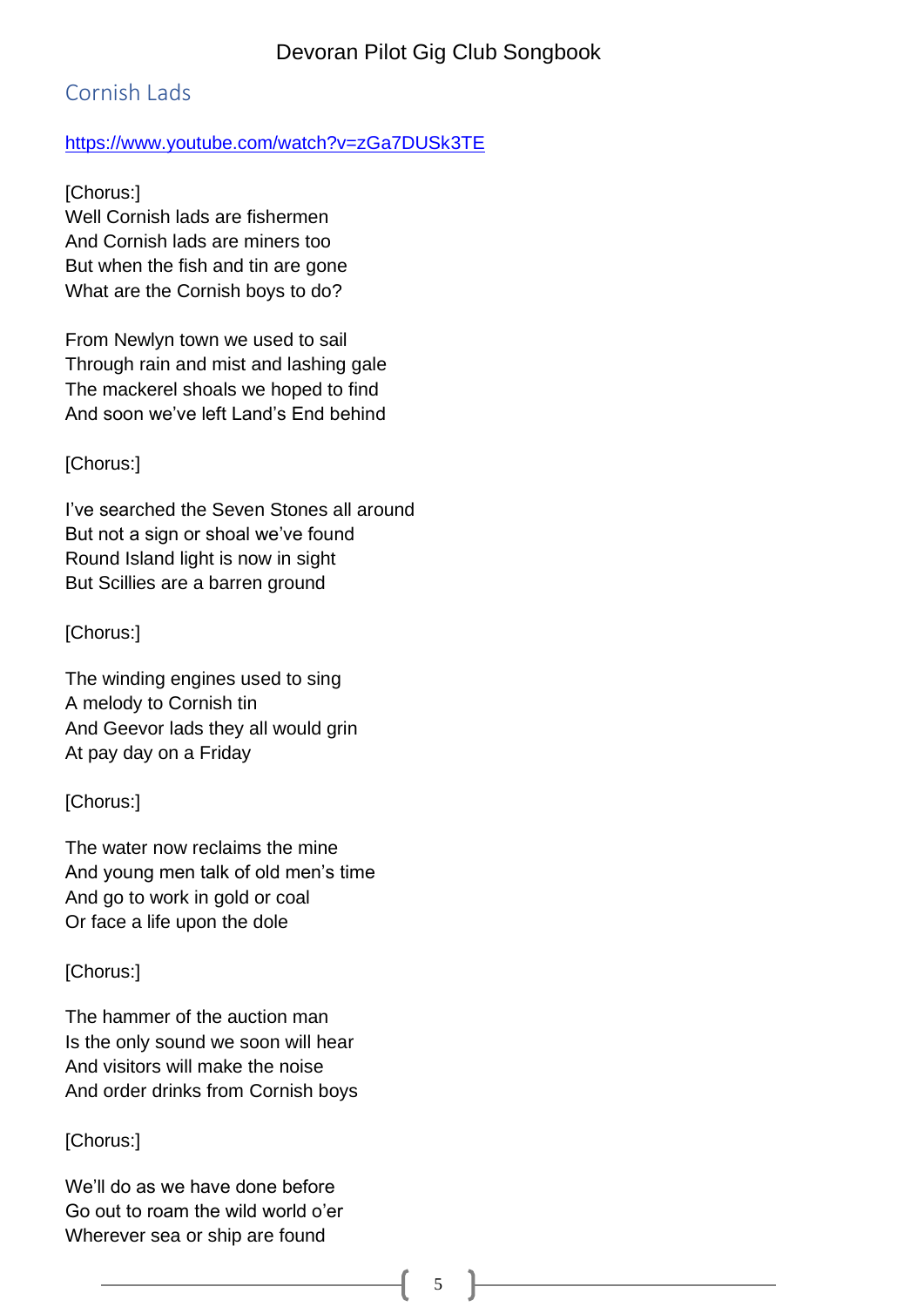# <span id="page-4-0"></span>Cornish Lads

### <https://www.youtube.com/watch?v=zGa7DUSk3TE>

[Chorus:] Well Cornish lads are fishermen And Cornish lads are miners too But when the fish and tin are gone What are the Cornish boys to do?

From Newlyn town we used to sail Through rain and mist and lashing gale The mackerel shoals we hoped to find And soon we've left Land's End behind

### [Chorus:]

I've searched the Seven Stones all around But not a sign or shoal we've found Round Island light is now in sight But Scillies are a barren ground

### [Chorus:]

The winding engines used to sing A melody to Cornish tin And Geevor lads they all would grin At pay day on a Friday

### [Chorus:]

The water now reclaims the mine And young men talk of old men's time And go to work in gold or coal Or face a life upon the dole

### [Chorus:]

The hammer of the auction man Is the only sound we soon will hear And visitors will make the noise And order drinks from Cornish boys

### [Chorus:]

We'll do as we have done before Go out to roam the wild world o'er Wherever sea or ship are found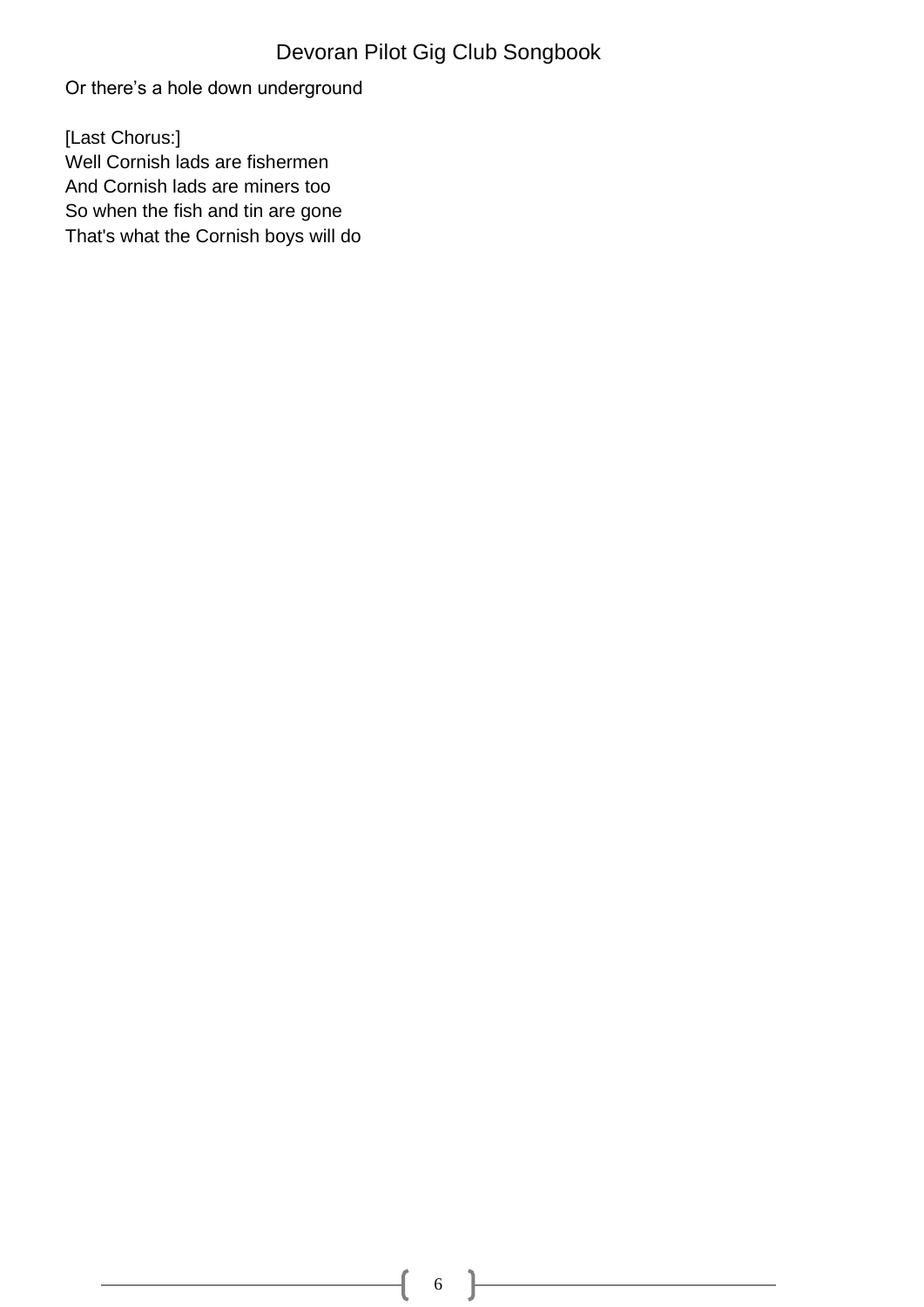Or there's a hole down underground

[Last Chorus:] Well Cornish lads are fishermen And Cornish lads are miners too So when the fish and tin are gone That's what the Cornish boys will do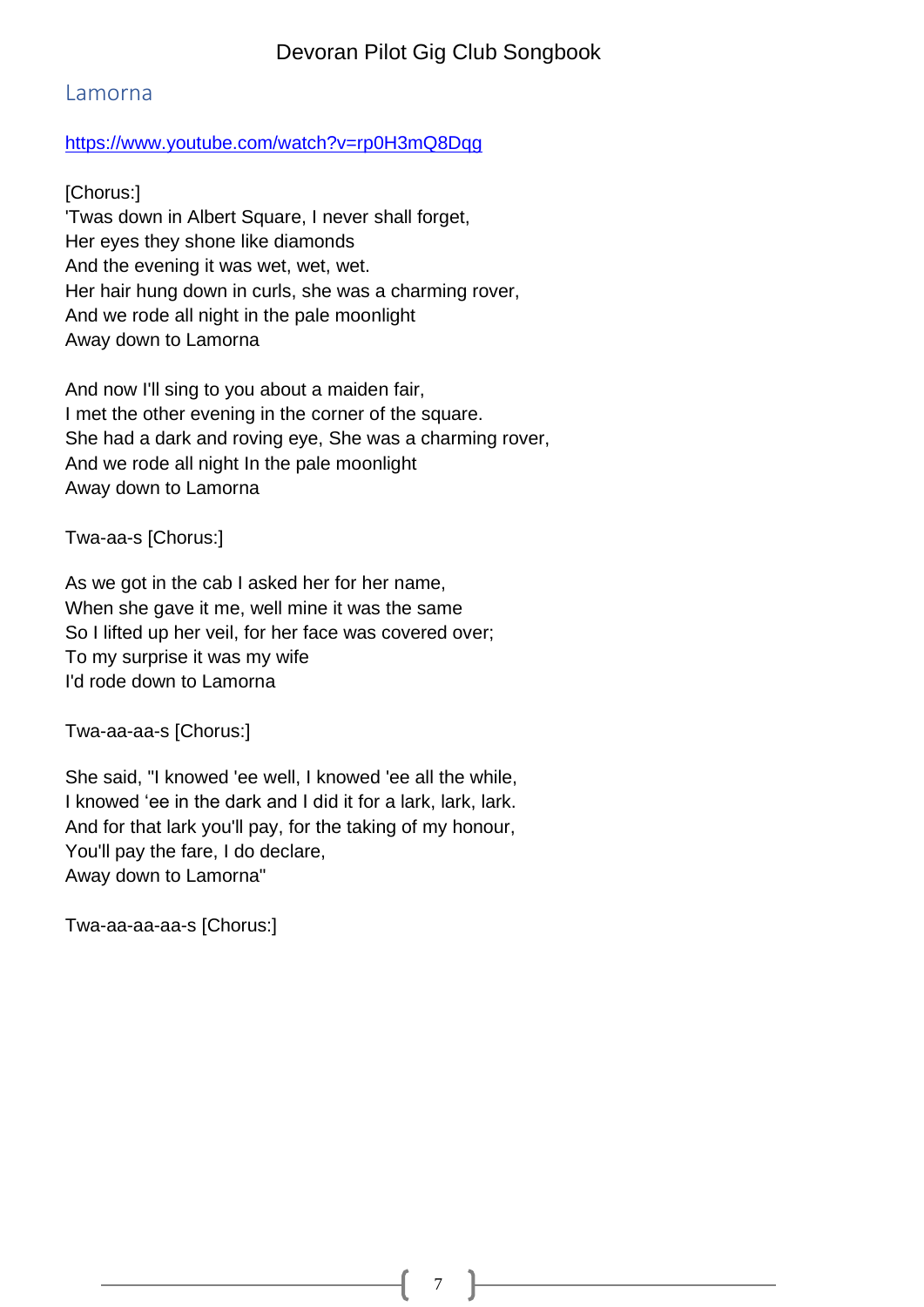### <span id="page-6-0"></span>Lamorna

#### <https://www.youtube.com/watch?v=rp0H3mQ8Dqg>

[Chorus:] 'Twas down in Albert Square, I never shall forget, Her eyes they shone like diamonds And the evening it was wet, wet, wet. Her hair hung down in curls, she was a charming rover, And we rode all night in the pale moonlight Away down to Lamorna

And now I'll sing to you about a maiden fair, I met the other evening in the corner of the square. She had a dark and roving eye, She was a charming rover, And we rode all night In the pale moonlight Away down to Lamorna

Twa-aa-s [Chorus:]

As we got in the cab I asked her for her name, When she gave it me, well mine it was the same So I lifted up her veil, for her face was covered over; To my surprise it was my wife I'd rode down to Lamorna

Twa-aa-aa-s [Chorus:]

She said, "I knowed 'ee well, I knowed 'ee all the while, I knowed 'ee in the dark and I did it for a lark, lark, lark. And for that lark you'll pay, for the taking of my honour, You'll pay the fare, I do declare, Away down to Lamorna"

Twa-aa-aa-aa-s [Chorus:]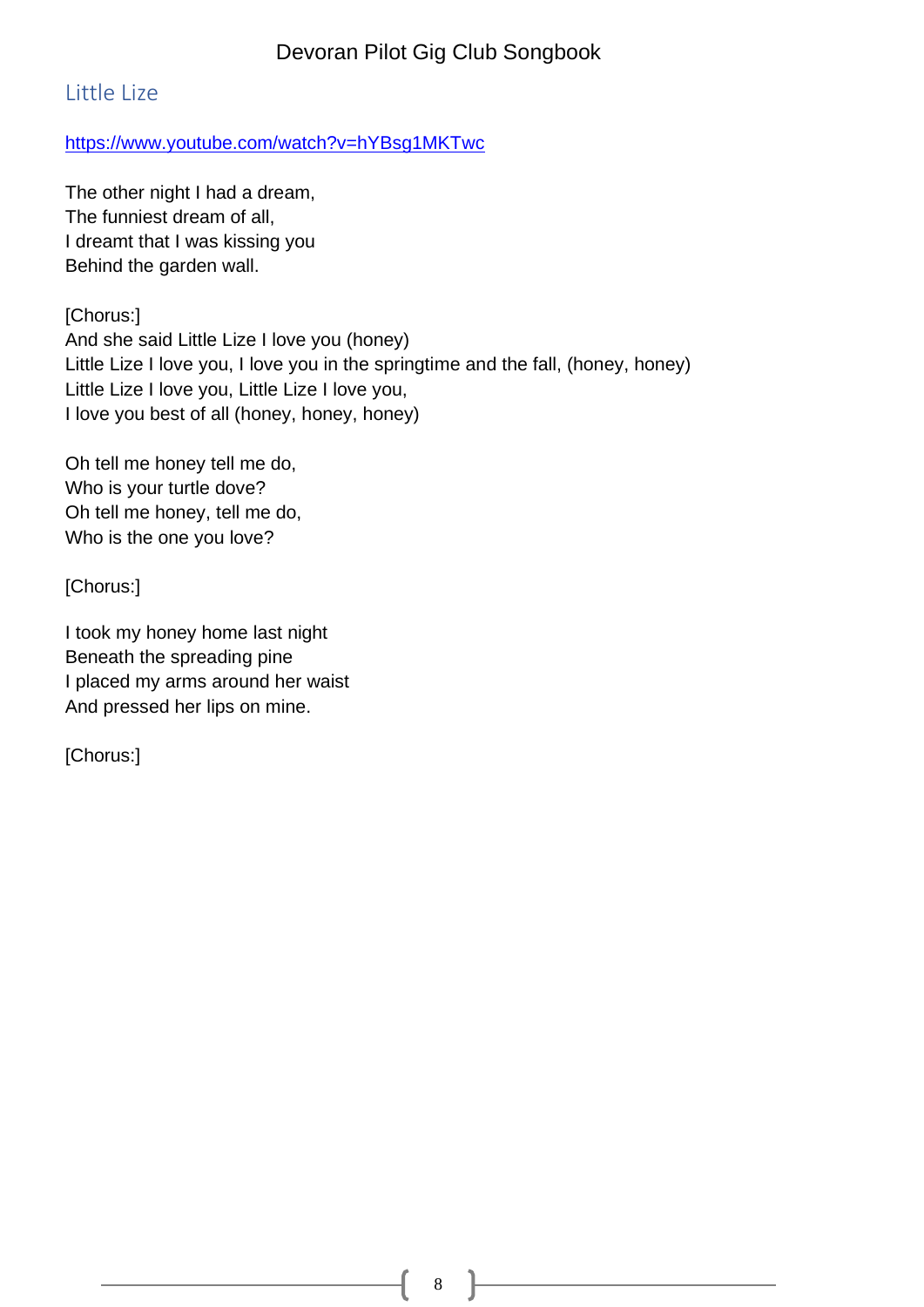# <span id="page-7-0"></span>Little Lize

### <https://www.youtube.com/watch?v=hYBsg1MKTwc>

The other night I had a dream, The funniest dream of all, I dreamt that I was kissing you Behind the garden wall.

[Chorus:] And she said Little Lize I love you (honey) Little Lize I love you, I love you in the springtime and the fall, (honey, honey) Little Lize I love you, Little Lize I love you, I love you best of all (honey, honey, honey)

Oh tell me honey tell me do, Who is your turtle dove? Oh tell me honey, tell me do, Who is the one you love?

[Chorus:]

I took my honey home last night Beneath the spreading pine I placed my arms around her waist And pressed her lips on mine.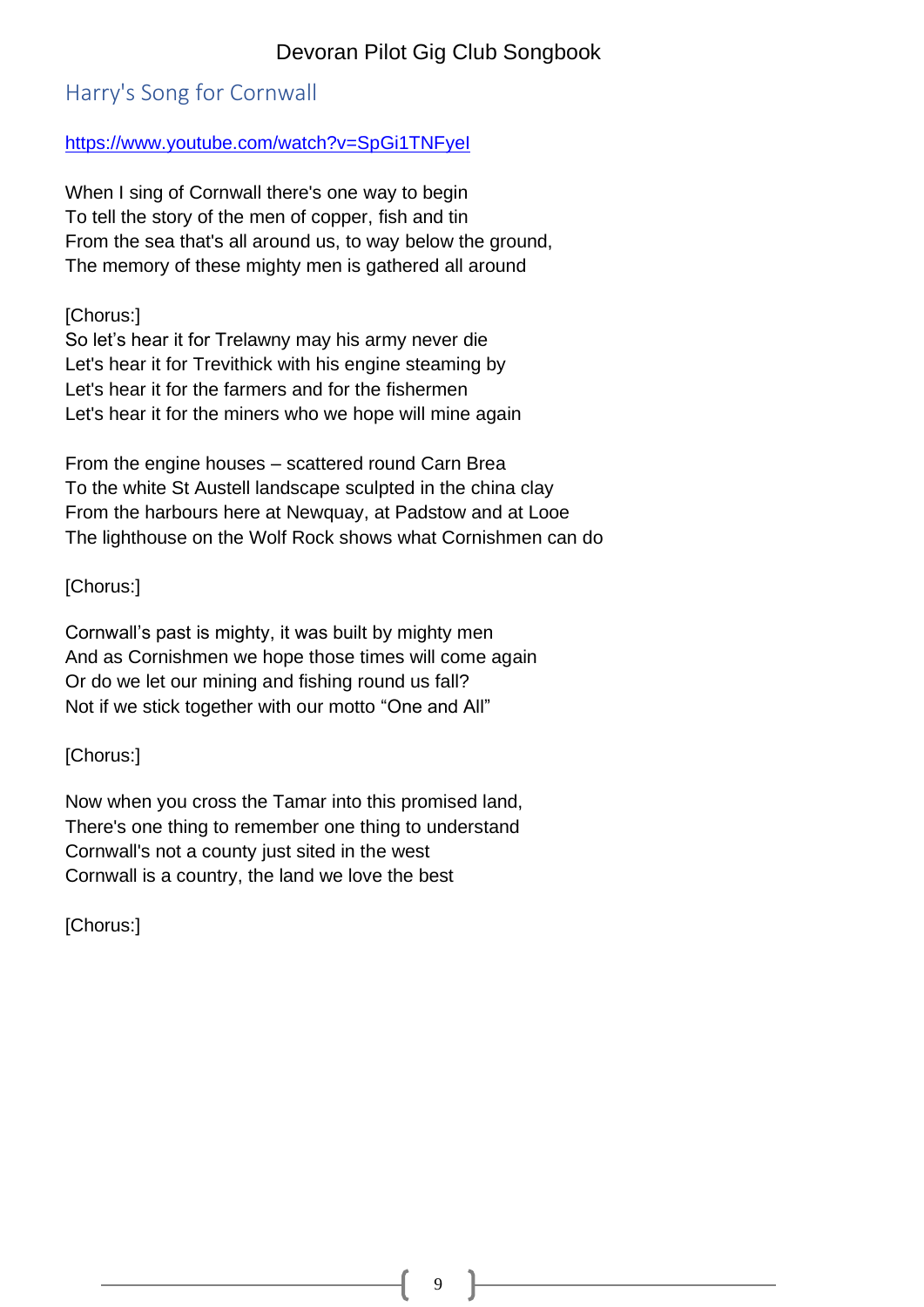# <span id="page-8-0"></span>Harry's Song for Cornwall

### https://www.youtube.com/watch?v=SpGi1TNFyel

When I sing of Cornwall there's one way to begin To tell the story of the men of copper, fish and tin From the sea that's all around us, to way below the ground, The memory of these mighty men is gathered all around

### [Chorus:]

So let's hear it for Trelawny may his army never die Let's hear it for Trevithick with his engine steaming by Let's hear it for the farmers and for the fishermen Let's hear it for the miners who we hope will mine again

From the engine houses – scattered round Carn Brea To the white St Austell landscape sculpted in the china clay From the harbours here at Newquay, at Padstow and at Looe The lighthouse on the Wolf Rock shows what Cornishmen can do

### [Chorus:]

Cornwall's past is mighty, it was built by mighty men And as Cornishmen we hope those times will come again Or do we let our mining and fishing round us fall? Not if we stick together with our motto "One and All"

### [Chorus:]

Now when you cross the Tamar into this promised land, There's one thing to remember one thing to understand Cornwall's not a county just sited in the west Cornwall is a country, the land we love the best

[Chorus:]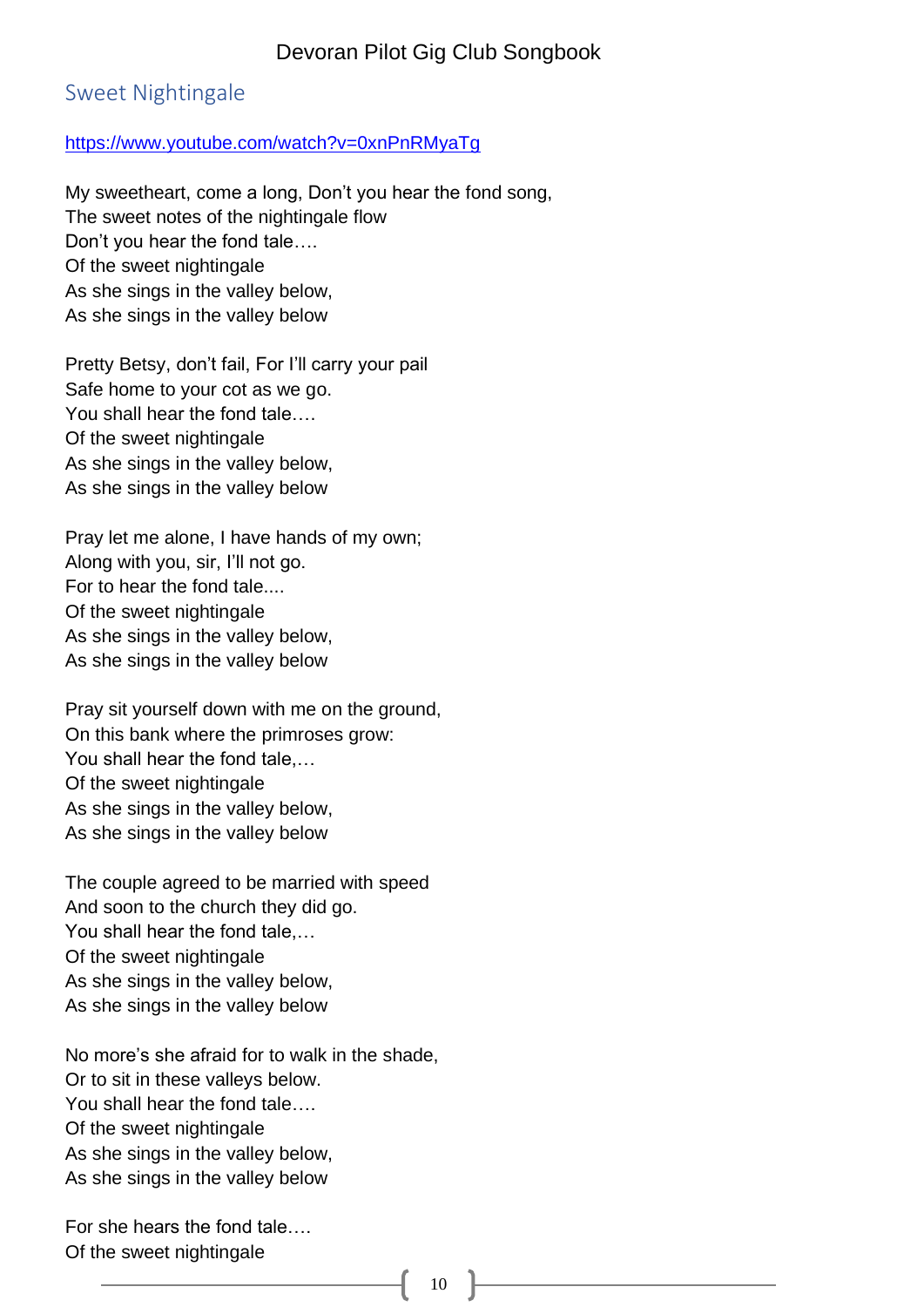### <span id="page-9-0"></span>Sweet Nightingale

#### <https://www.youtube.com/watch?v=0xnPnRMyaTg>

My sweetheart, come a long, Don't you hear the fond song, The sweet notes of the nightingale flow Don't you hear the fond tale…. Of the sweet nightingale As she sings in the valley below, As she sings in the valley below

Pretty Betsy, don't fail, For I'll carry your pail Safe home to your cot as we go. You shall hear the fond tale…. Of the sweet nightingale As she sings in the valley below, As she sings in the valley below

Pray let me alone, I have hands of my own; Along with you, sir, I'll not go. For to hear the fond tale.... Of the sweet nightingale As she sings in the valley below, As she sings in the valley below

Pray sit yourself down with me on the ground, On this bank where the primroses grow: You shall hear the fond tale,… Of the sweet nightingale As she sings in the valley below, As she sings in the valley below

The couple agreed to be married with speed And soon to the church they did go. You shall hear the fond tale,… Of the sweet nightingale As she sings in the valley below, As she sings in the valley below

No more's she afraid for to walk in the shade, Or to sit in these valleys below. You shall hear the fond tale…. Of the sweet nightingale As she sings in the valley below, As she sings in the valley below

For she hears the fond tale…. Of the sweet nightingale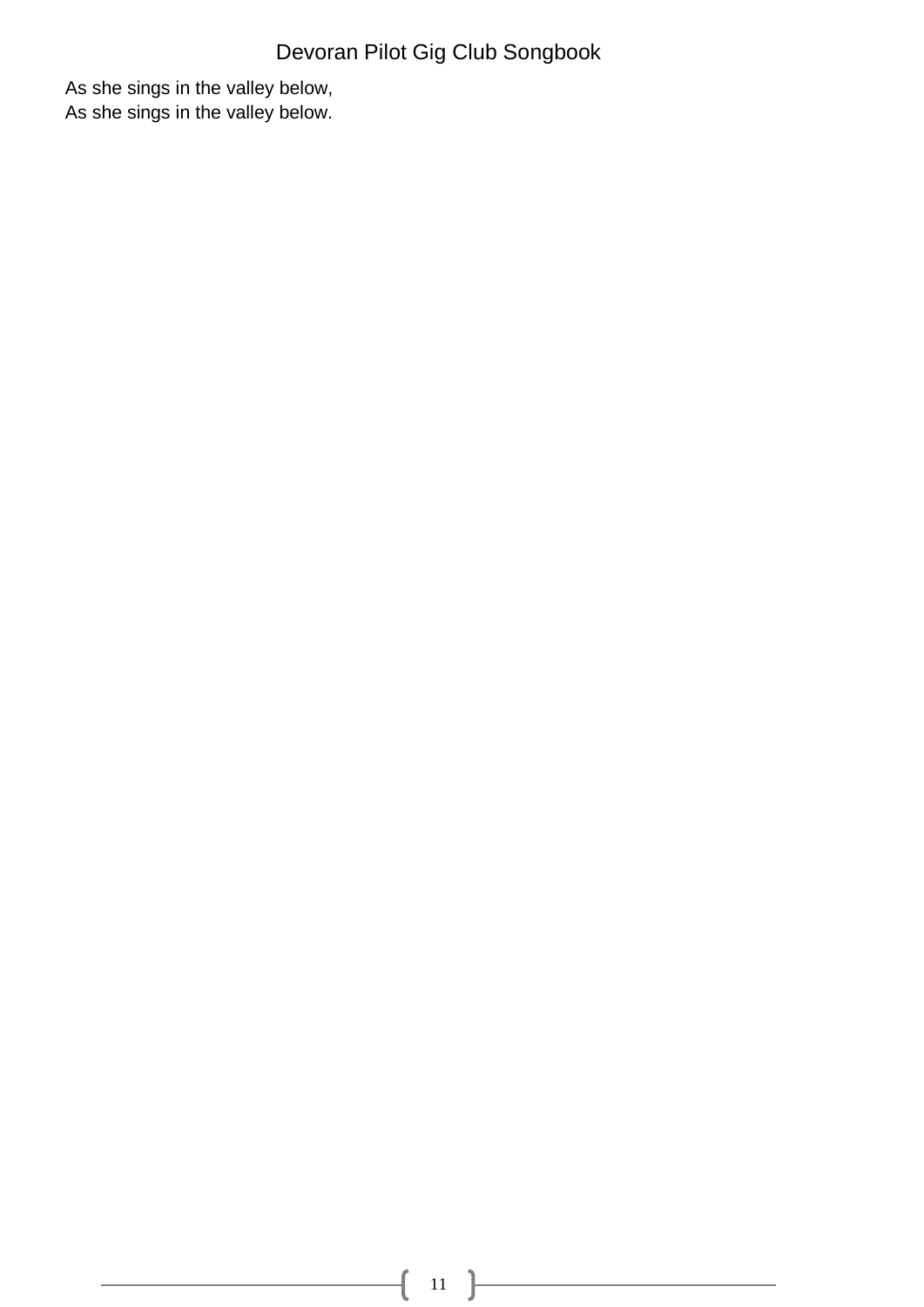As she sings in the valley below, As she sings in the valley below.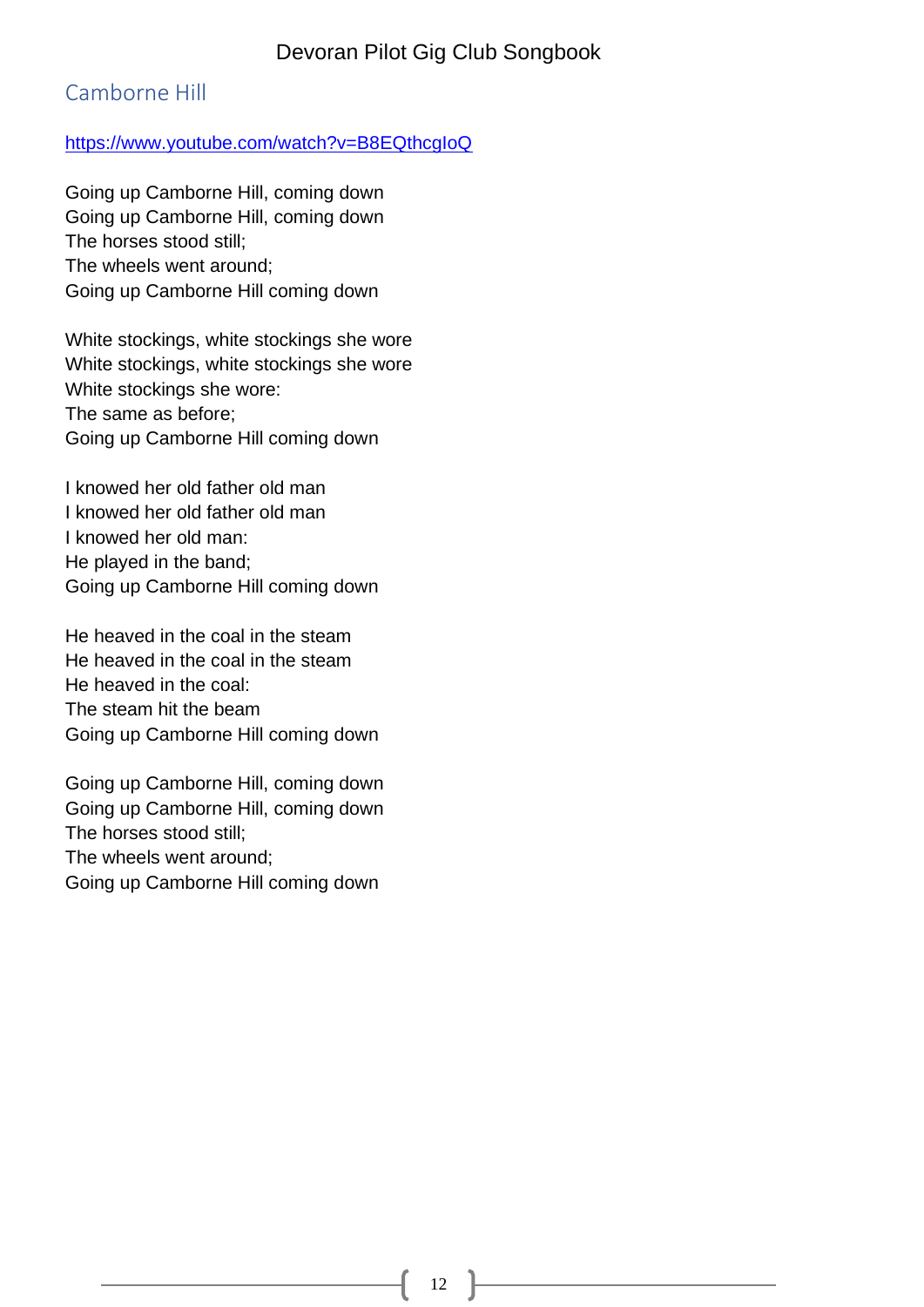# <span id="page-11-0"></span>Camborne Hill

### <https://www.youtube.com/watch?v=B8EQthcgIoQ>

Going up Camborne Hill, coming down Going up Camborne Hill, coming down The horses stood still; The wheels went around; Going up Camborne Hill coming down

White stockings, white stockings she wore White stockings, white stockings she wore White stockings she wore: The same as before; Going up Camborne Hill coming down

I knowed her old father old man I knowed her old father old man I knowed her old man: He played in the band; Going up Camborne Hill coming down

He heaved in the coal in the steam He heaved in the coal in the steam He heaved in the coal: The steam hit the beam Going up Camborne Hill coming down

Going up Camborne Hill, coming down Going up Camborne Hill, coming down The horses stood still; The wheels went around; Going up Camborne Hill coming down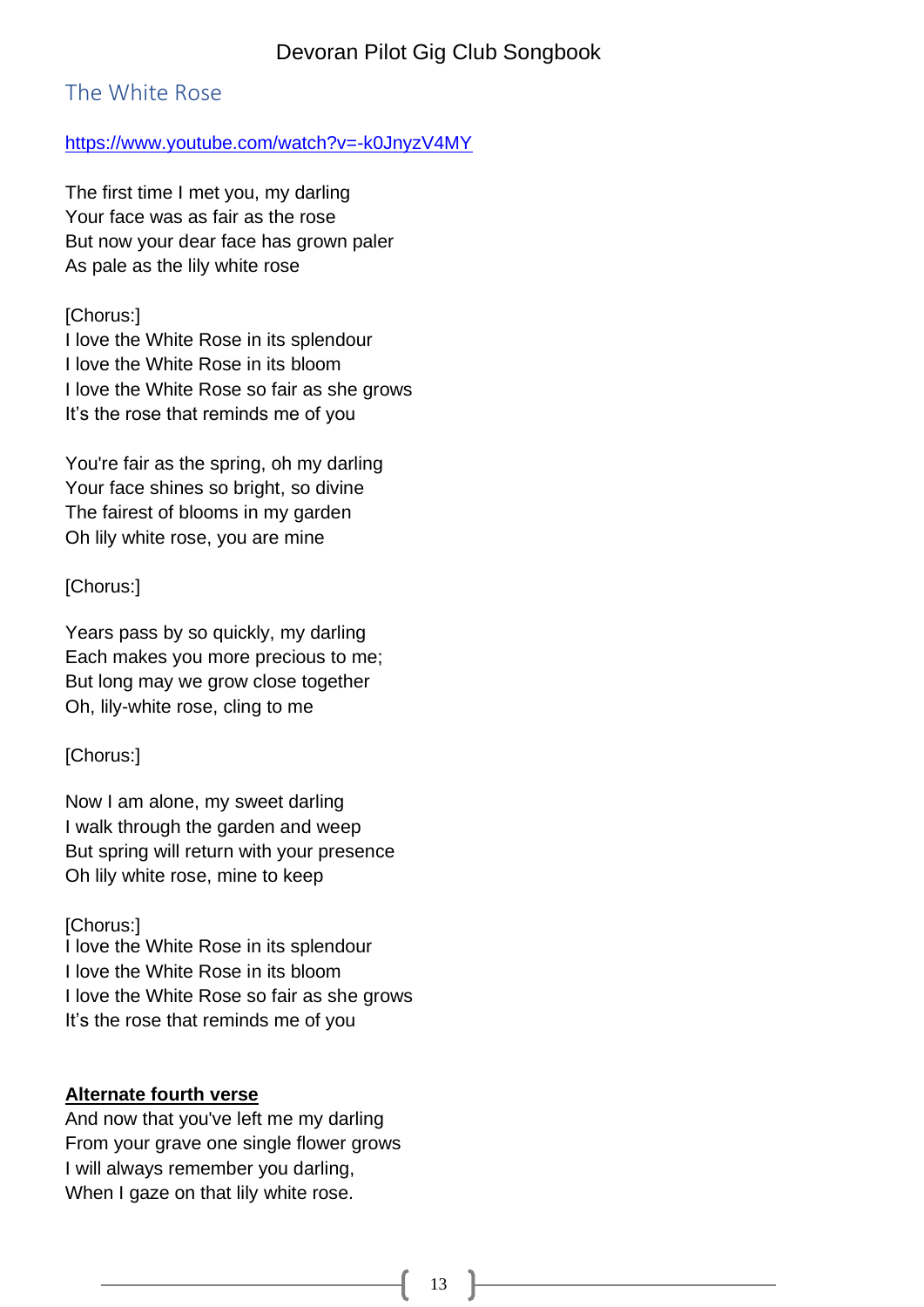### <span id="page-12-0"></span>The White Rose

#### <https://www.youtube.com/watch?v=-k0JnyzV4MY>

The first time I met you, my darling Your face was as fair as the rose But now your dear face has grown paler As pale as the lily white rose

#### [Chorus:]

I love the White Rose in its splendour I love the White Rose in its bloom I love the White Rose so fair as she grows It's the rose that reminds me of you

You're fair as the spring, oh my darling Your face shines so bright, so divine The fairest of blooms in my garden Oh lily white rose, you are mine

### [Chorus:]

Years pass by so quickly, my darling Each makes you more precious to me; But long may we grow close together Oh, lily-white rose, cling to me

#### [Chorus:]

Now I am alone, my sweet darling I walk through the garden and weep But spring will return with your presence Oh lily white rose, mine to keep

#### [Chorus:]

I love the White Rose in its splendour I love the White Rose in its bloom I love the White Rose so fair as she grows It's the rose that reminds me of you

### **Alternate fourth verse**

And now that you've left me my darling From your grave one single flower grows I will always remember you darling, When I gaze on that lily white rose.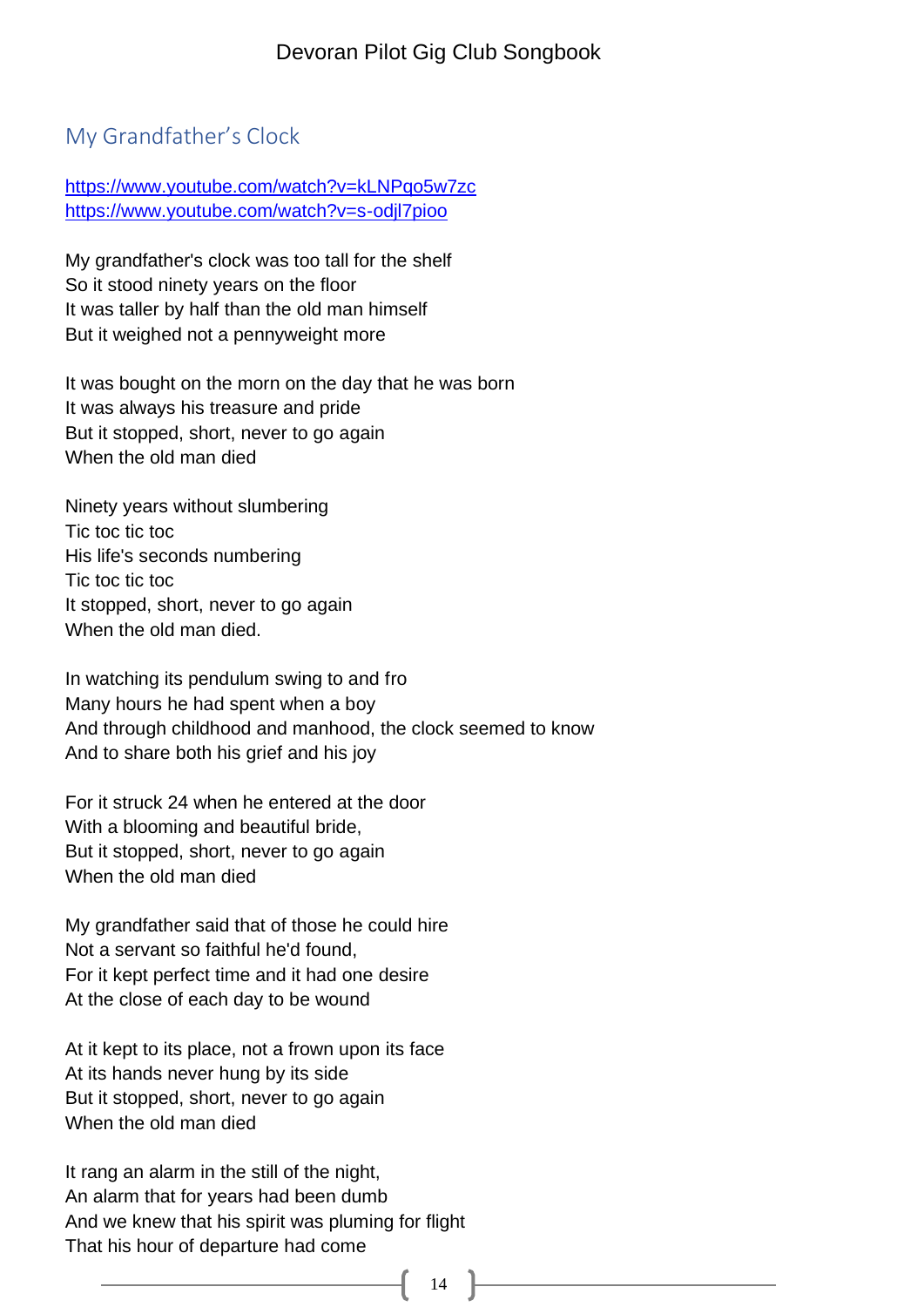# <span id="page-13-0"></span>My Grandfather's Clock

<https://www.youtube.com/watch?v=kLNPqo5w7zc> <https://www.youtube.com/watch?v=s-odjl7pioo>

My grandfather's clock was too tall for the shelf So it stood ninety years on the floor It was taller by half than the old man himself But it weighed not a pennyweight more

It was bought on the morn on the day that he was born It was always his treasure and pride But it stopped, short, never to go again When the old man died

Ninety years without slumbering Tic toc tic toc His life's seconds numbering Tic toc tic toc It stopped, short, never to go again When the old man died.

In watching its pendulum swing to and fro Many hours he had spent when a boy And through childhood and manhood, the clock seemed to know And to share both his grief and his joy

For it struck 24 when he entered at the door With a blooming and beautiful bride, But it stopped, short, never to go again When the old man died

My grandfather said that of those he could hire Not a servant so faithful he'd found, For it kept perfect time and it had one desire At the close of each day to be wound

At it kept to its place, not a frown upon its face At its hands never hung by its side But it stopped, short, never to go again When the old man died

It rang an alarm in the still of the night, An alarm that for years had been dumb And we knew that his spirit was pluming for flight That his hour of departure had come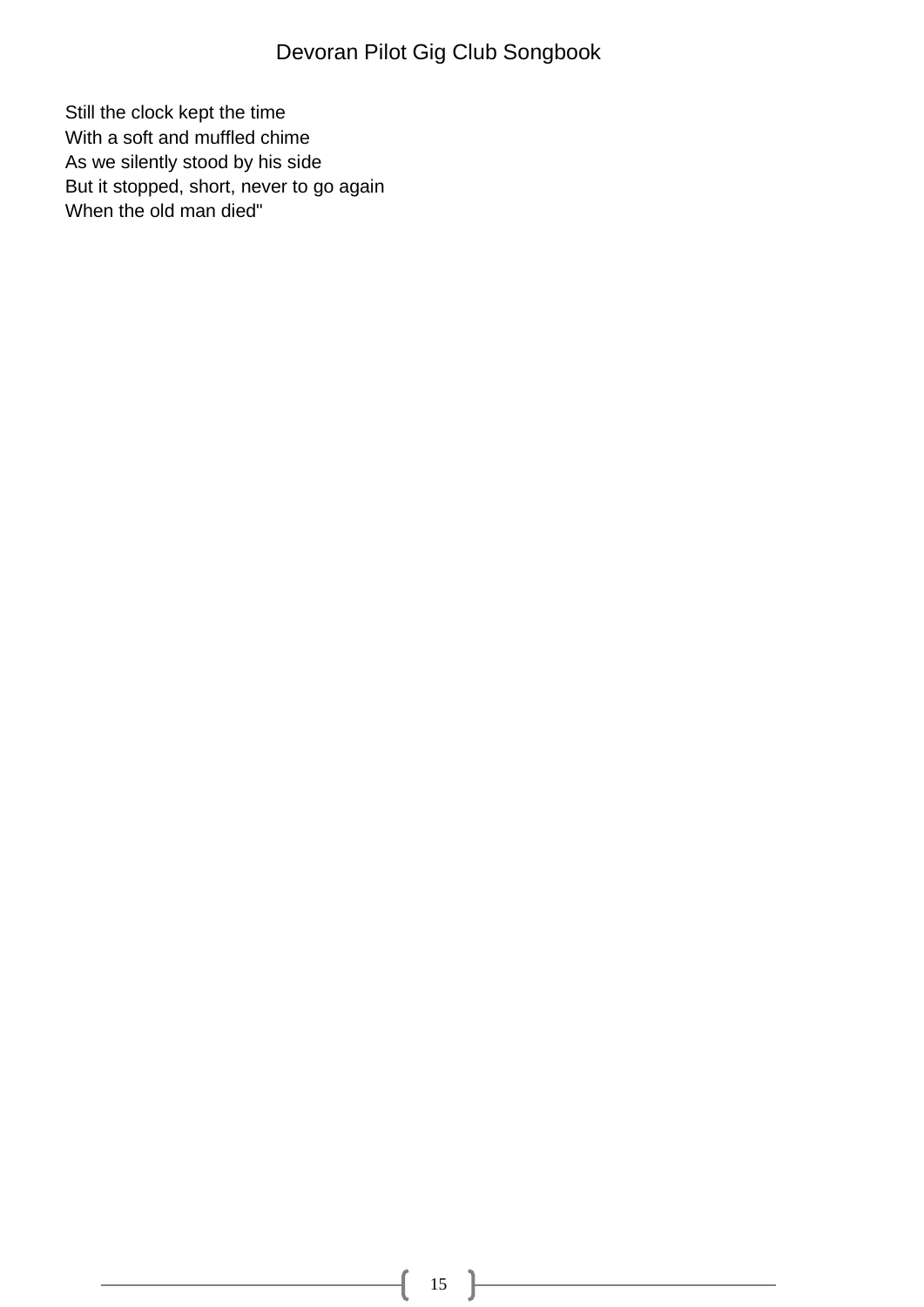Still the clock kept the time With a soft and muffled chime As we silently stood by his side But it stopped, short, never to go again When the old man died"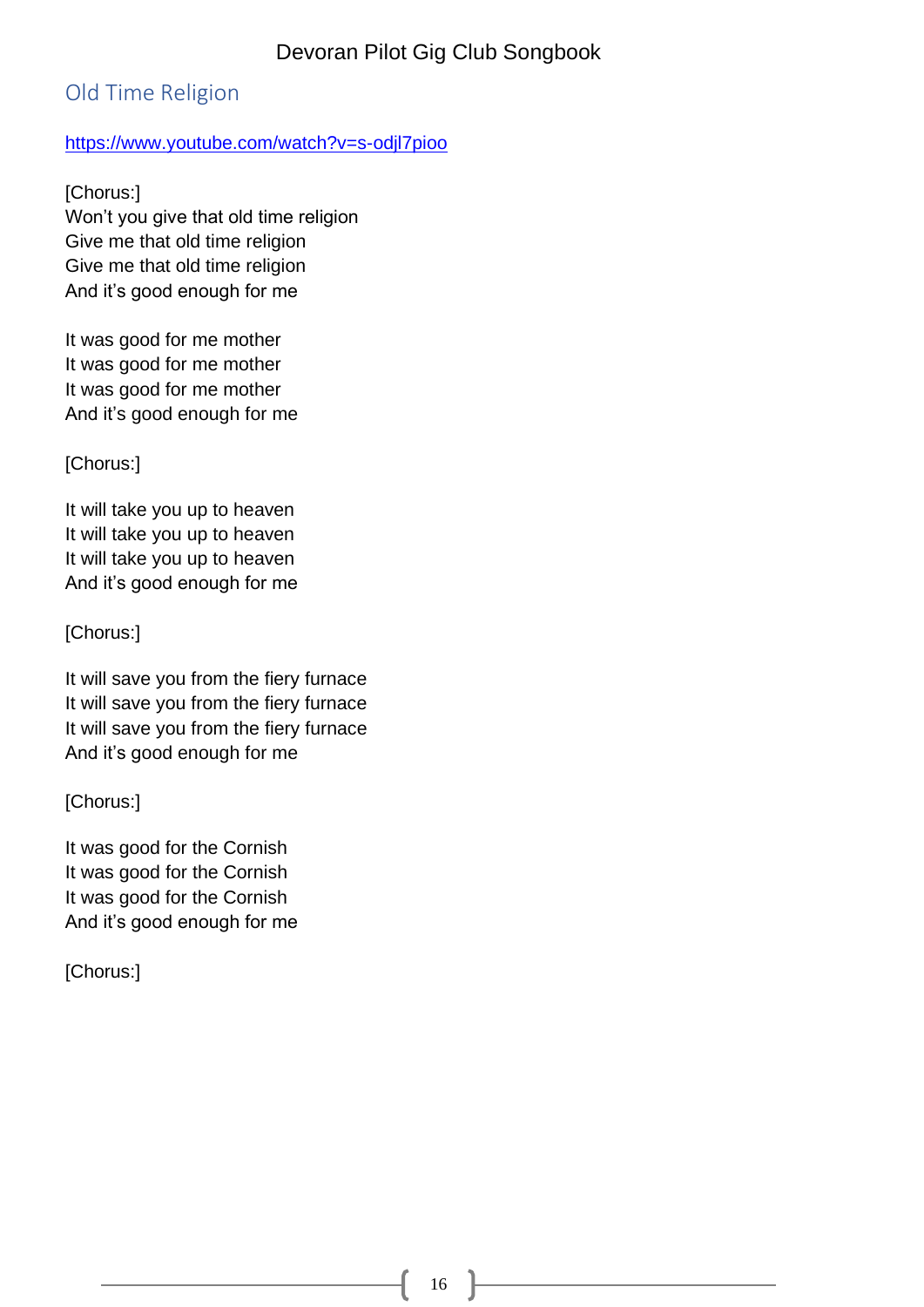# <span id="page-15-0"></span>Old Time Religion

### <https://www.youtube.com/watch?v=s-odjl7pioo>

[Chorus:] Won't you give that old time religion Give me that old time religion Give me that old time religion And it's good enough for me

It was good for me mother It was good for me mother It was good for me mother And it's good enough for me

[Chorus:]

It will take you up to heaven It will take you up to heaven It will take you up to heaven And it's good enough for me

[Chorus:]

It will save you from the fiery furnace It will save you from the fiery furnace It will save you from the fiery furnace And it's good enough for me

[Chorus:]

It was good for the Cornish It was good for the Cornish It was good for the Cornish And it's good enough for me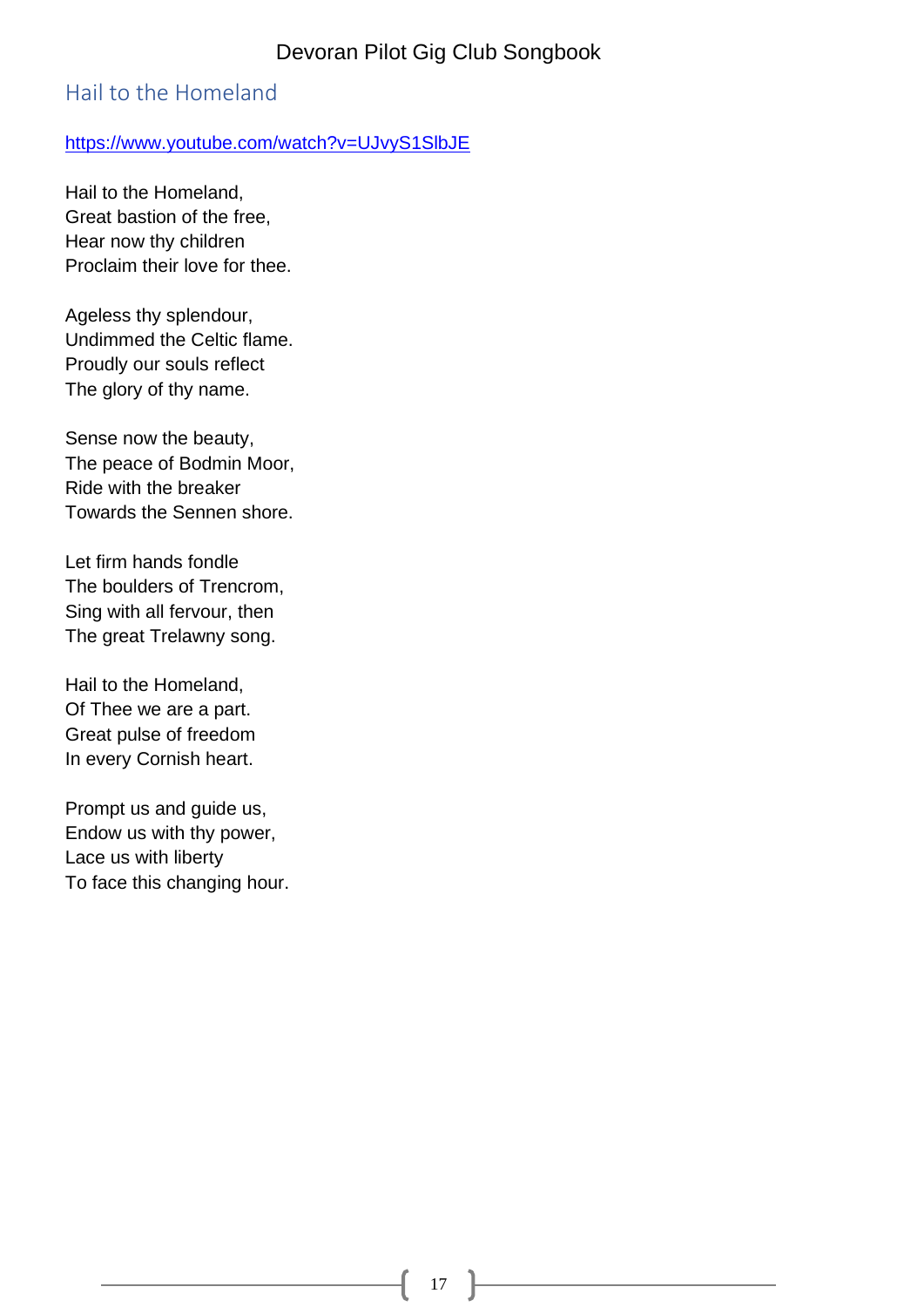### <span id="page-16-0"></span>Hail to the Homeland

#### <https://www.youtube.com/watch?v=UJvyS1SlbJE>

Hail to the Homeland, Great bastion of the free, Hear now thy children Proclaim their love for thee.

Ageless thy splendour, Undimmed the Celtic flame. Proudly our souls reflect The glory of thy name.

Sense now the beauty, The peace of Bodmin Moor, Ride with the breaker Towards the Sennen shore.

Let firm hands fondle The boulders of Trencrom, Sing with all fervour, then The great Trelawny song.

Hail to the Homeland, Of Thee we are a part. Great pulse of freedom In every Cornish heart.

Prompt us and guide us, Endow us with thy power, Lace us with liberty To face this changing hour.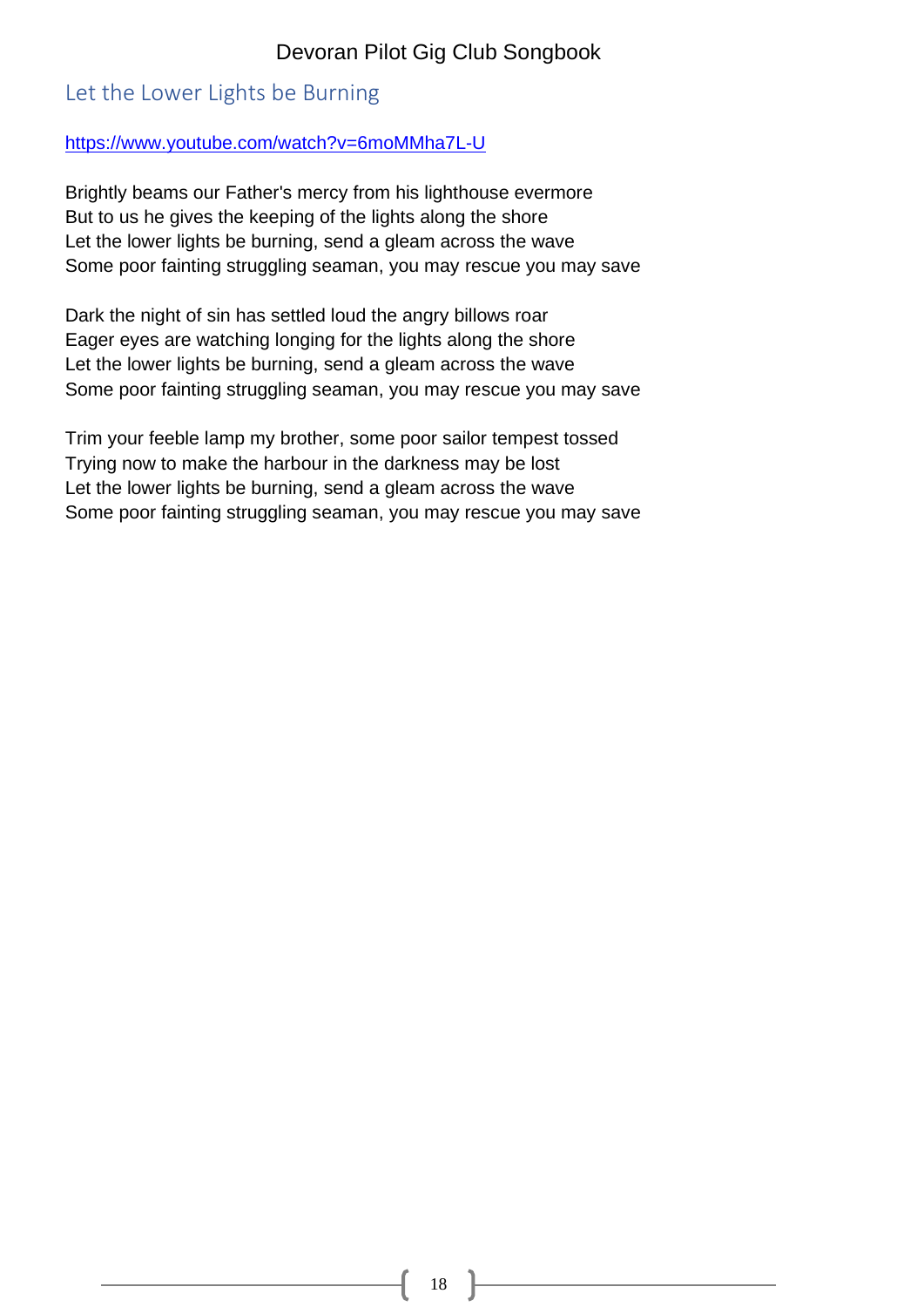# <span id="page-17-0"></span>Let the Lower Lights be Burning

#### <https://www.youtube.com/watch?v=6moMMha7L-U>

Brightly beams our Father's mercy from his lighthouse evermore But to us he gives the keeping of the lights along the shore Let the lower lights be burning, send a gleam across the wave Some poor fainting struggling seaman, you may rescue you may save

Dark the night of sin has settled loud the angry billows roar Eager eyes are watching longing for the lights along the shore Let the lower lights be burning, send a gleam across the wave Some poor fainting struggling seaman, you may rescue you may save

Trim your feeble lamp my brother, some poor sailor tempest tossed Trying now to make the harbour in the darkness may be lost Let the lower lights be burning, send a gleam across the wave Some poor fainting struggling seaman, you may rescue you may save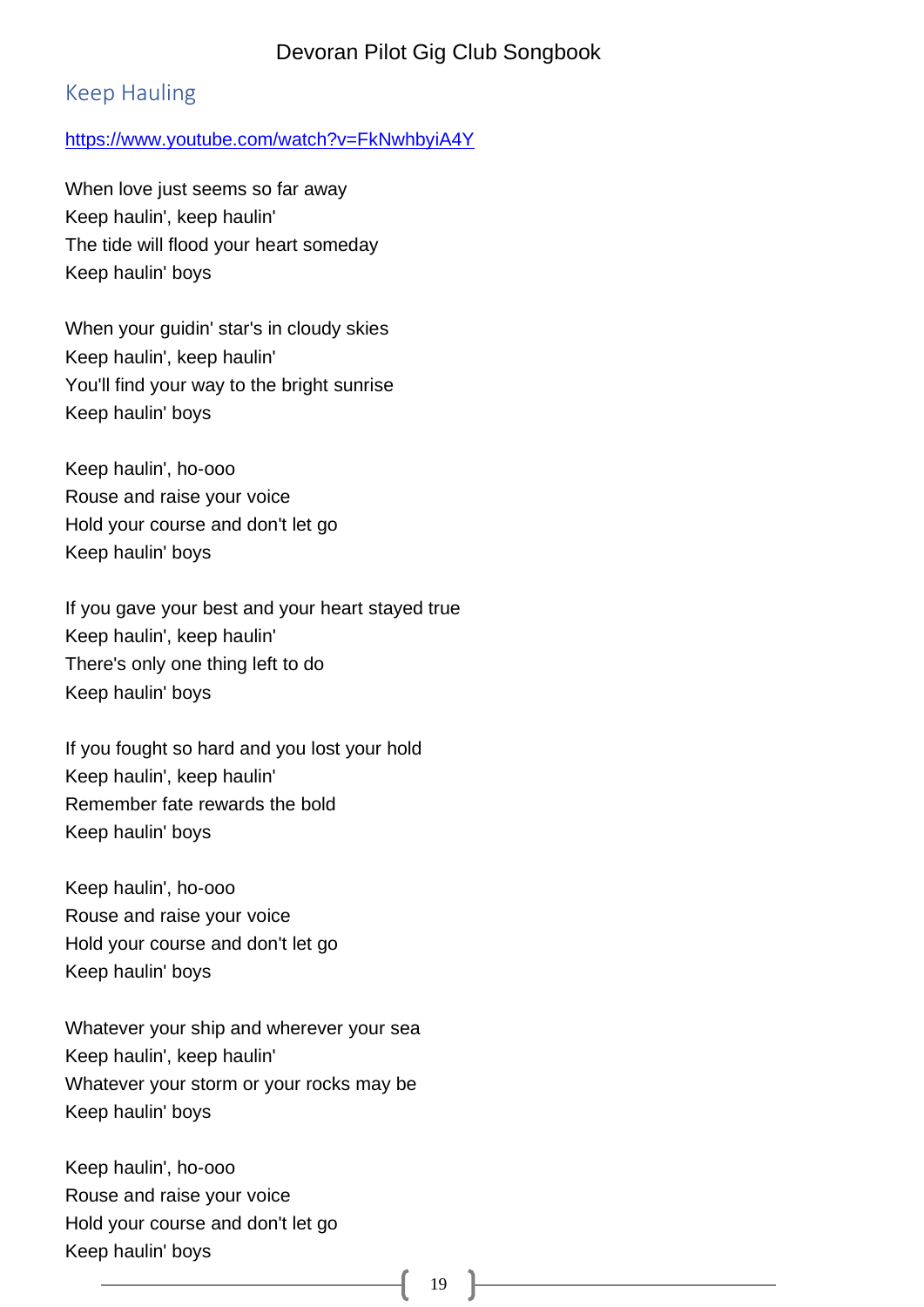### <span id="page-18-0"></span>Keep Hauling

#### <https://www.youtube.com/watch?v=FkNwhbyiA4Y>

When love just seems so far away Keep haulin', keep haulin' The tide will flood your heart someday Keep haulin' boys

When your guidin' star's in cloudy skies Keep haulin', keep haulin' You'll find your way to the bright sunrise Keep haulin' boys

Keep haulin', ho-ooo Rouse and raise your voice Hold your course and don't let go Keep haulin' boys

If you gave your best and your heart stayed true Keep haulin', keep haulin' There's only one thing left to do Keep haulin' boys

If you fought so hard and you lost your hold Keep haulin', keep haulin' Remember fate rewards the bold Keep haulin' boys

Keep haulin', ho-ooo Rouse and raise your voice Hold your course and don't let go Keep haulin' boys

Whatever your ship and wherever your sea Keep haulin', keep haulin' Whatever your storm or your rocks may be Keep haulin' boys

Keep haulin', ho-ooo Rouse and raise your voice Hold your course and don't let go Keep haulin' boys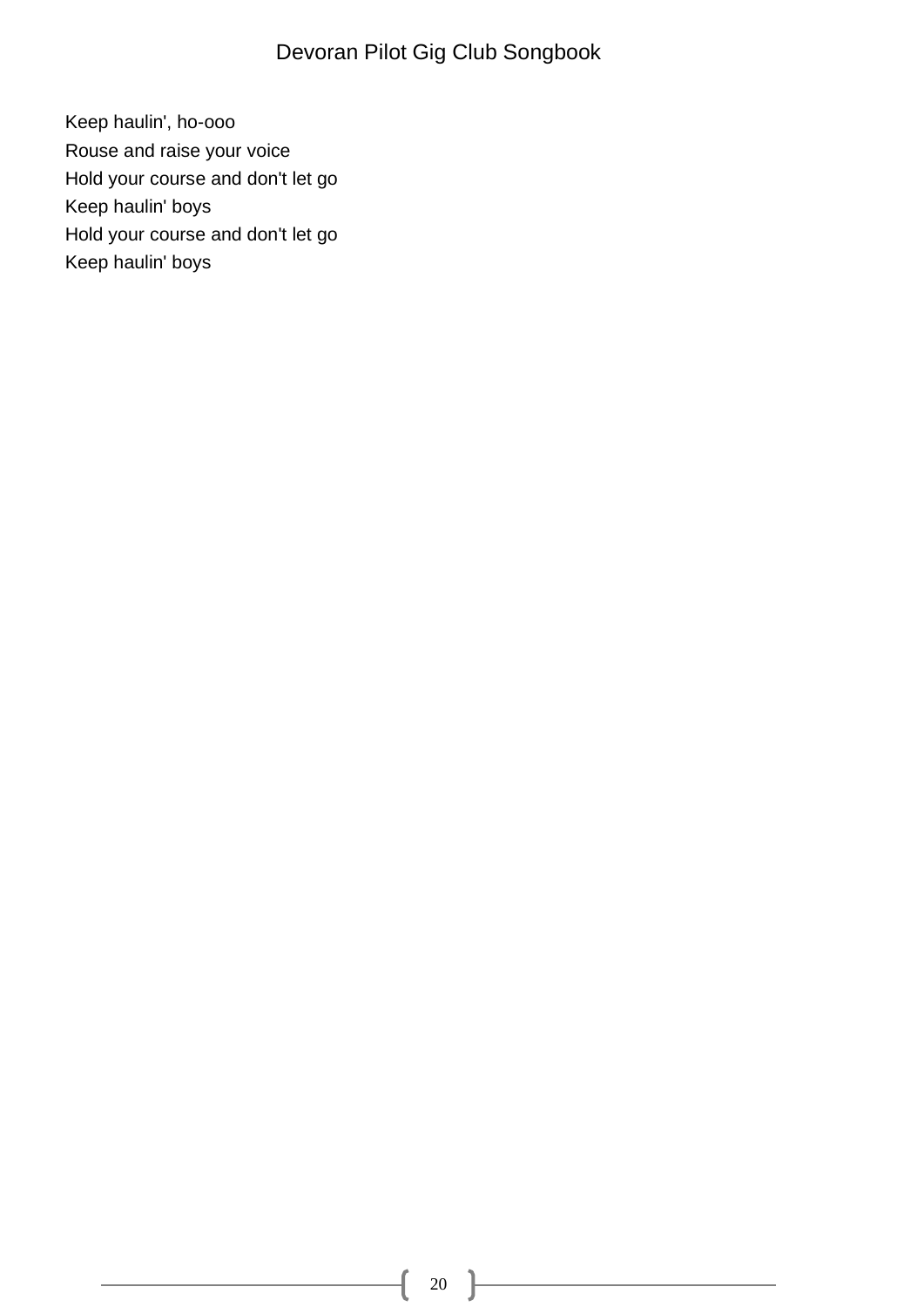Keep haulin', ho-ooo Rouse and raise your voice Hold your course and don't let go Keep haulin' boys Hold your course and don't let go Keep haulin' boys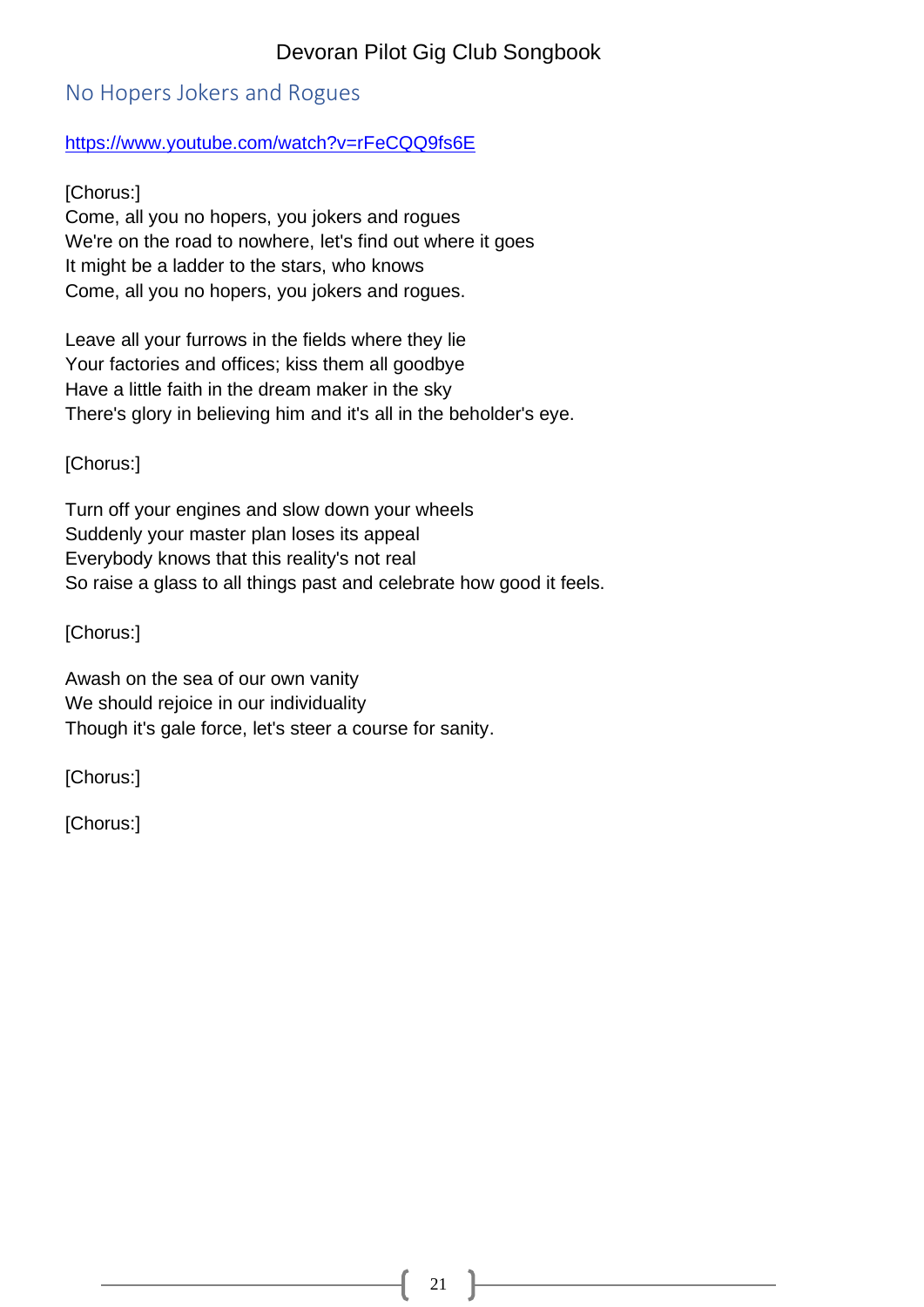# <span id="page-20-0"></span>No Hopers Jokers and Rogues

### <https://www.youtube.com/watch?v=rFeCQQ9fs6E>

[Chorus:]

Come, all you no hopers, you jokers and rogues We're on the road to nowhere, let's find out where it goes It might be a ladder to the stars, who knows Come, all you no hopers, you jokers and rogues.

Leave all your furrows in the fields where they lie Your factories and offices; kiss them all goodbye Have a little faith in the dream maker in the sky There's glory in believing him and it's all in the beholder's eye.

[Chorus:]

Turn off your engines and slow down your wheels Suddenly your master plan loses its appeal Everybody knows that this reality's not real So raise a glass to all things past and celebrate how good it feels.

[Chorus:]

Awash on the sea of our own vanity We should rejoice in our individuality Though it's gale force, let's steer a course for sanity.

[Chorus:]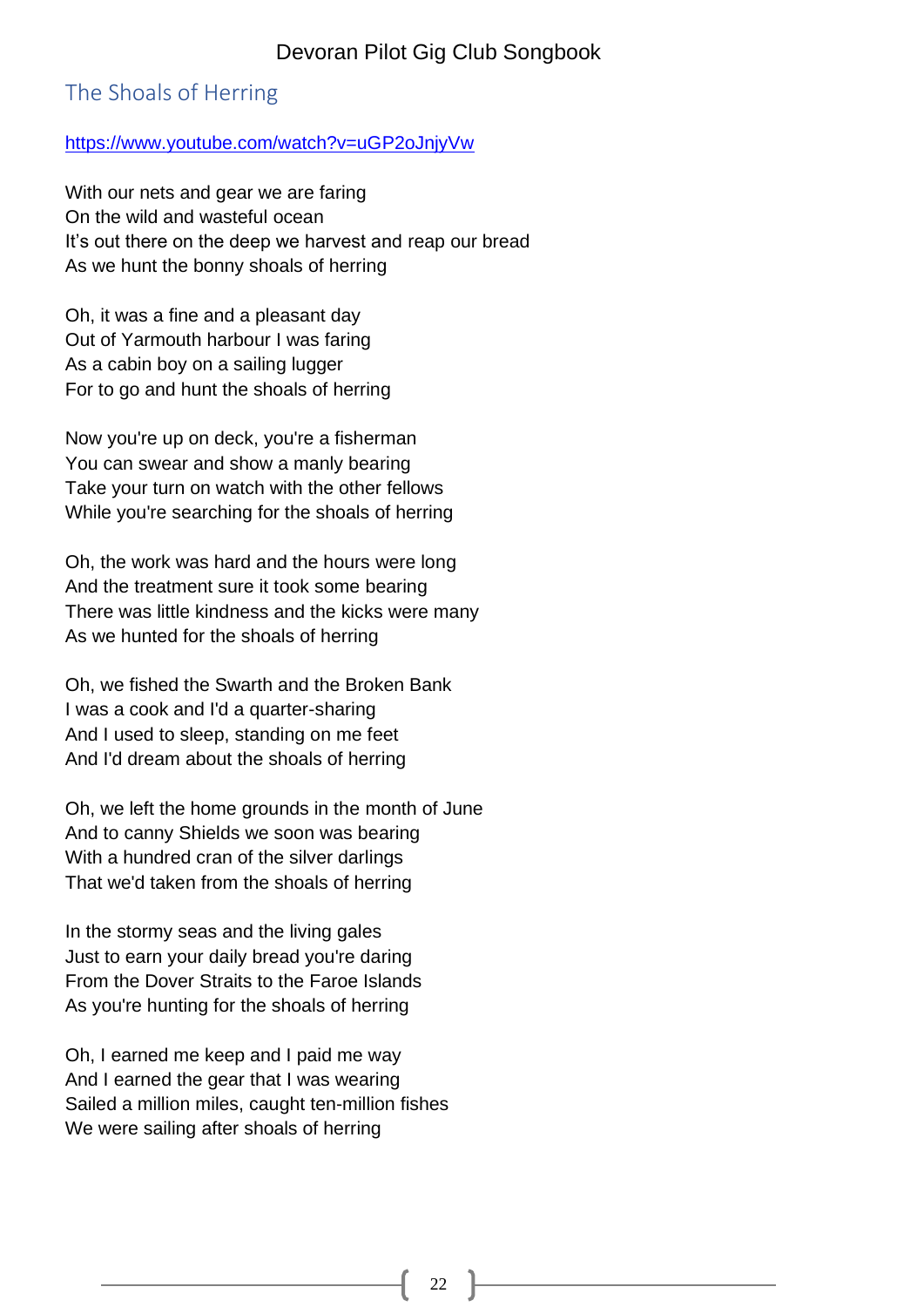# <span id="page-21-0"></span>The Shoals of Herring

#### <https://www.youtube.com/watch?v=uGP2oJnjyVw>

With our nets and gear we are faring On the wild and wasteful ocean It's out there on the deep we harvest and reap our bread As we hunt the bonny shoals of herring

Oh, it was a fine and a pleasant day Out of Yarmouth harbour I was faring As a cabin boy on a sailing lugger For to go and hunt the shoals of herring

Now you're up on deck, you're a fisherman You can swear and show a manly bearing Take your turn on watch with the other fellows While you're searching for the shoals of herring

Oh, the work was hard and the hours were long And the treatment sure it took some bearing There was little kindness and the kicks were many As we hunted for the shoals of herring

Oh, we fished the Swarth and the Broken Bank I was a cook and I'd a quarter-sharing And I used to sleep, standing on me feet And I'd dream about the shoals of herring

Oh, we left the home grounds in the month of June And to canny Shields we soon was bearing With a hundred cran of the silver darlings That we'd taken from the shoals of herring

In the stormy seas and the living gales Just to earn your daily bread you're daring From the Dover Straits to the Faroe Islands As you're hunting for the shoals of herring

Oh, I earned me keep and I paid me way And I earned the gear that I was wearing Sailed a million miles, caught ten-million fishes We were sailing after shoals of herring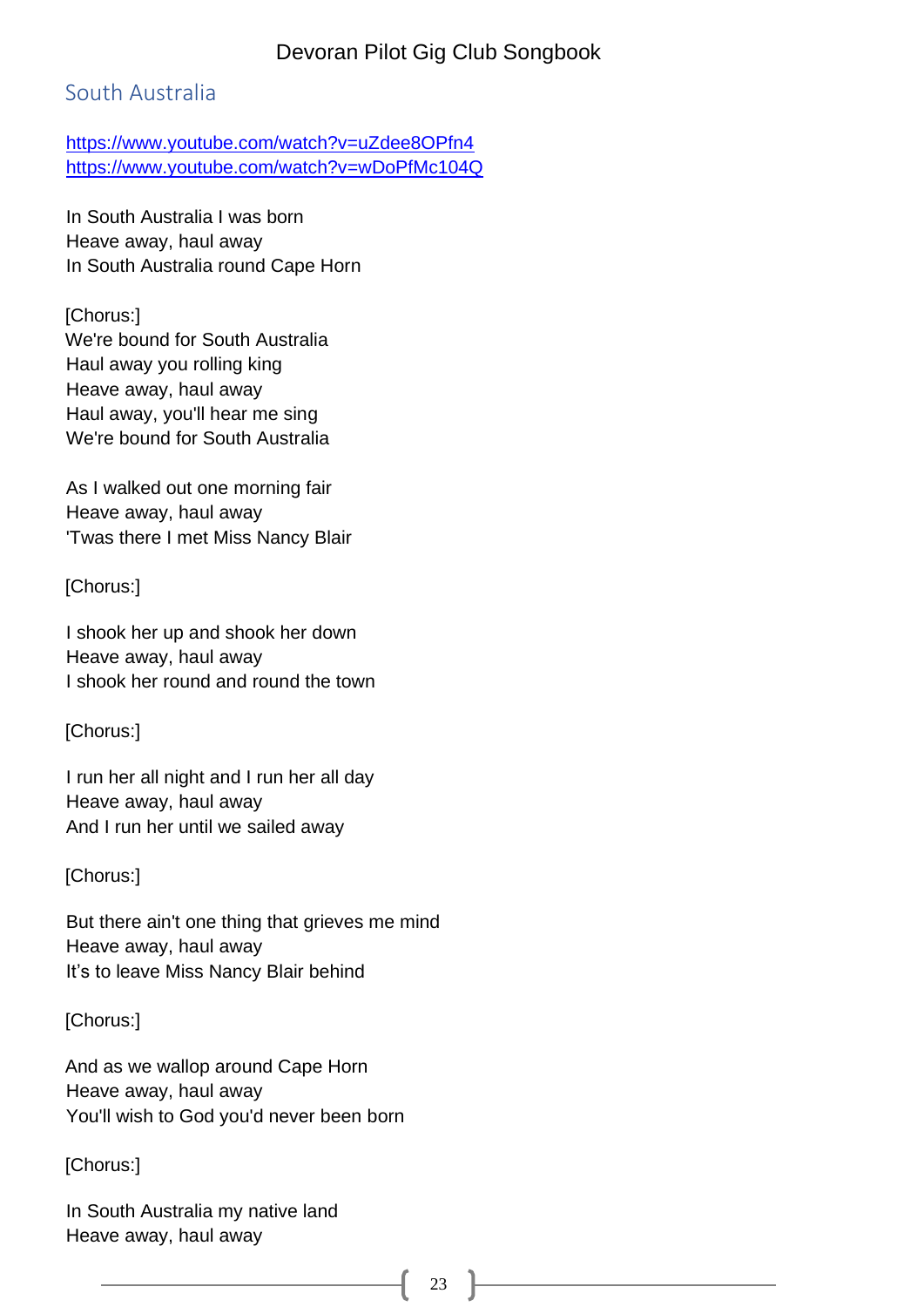## <span id="page-22-0"></span>South Australia

<https://www.youtube.com/watch?v=uZdee8OPfn4> <https://www.youtube.com/watch?v=wDoPfMc104Q>

In South Australia I was born Heave away, haul away In South Australia round Cape Horn

[Chorus:] We're bound for South Australia Haul away you rolling king Heave away, haul away Haul away, you'll hear me sing We're bound for South Australia

As I walked out one morning fair Heave away, haul away 'Twas there I met Miss Nancy Blair

[Chorus:]

I shook her up and shook her down Heave away, haul away I shook her round and round the town

[Chorus:]

I run her all night and I run her all day Heave away, haul away And I run her until we sailed away

[Chorus:]

But there ain't one thing that grieves me mind Heave away, haul away It's to leave Miss Nancy Blair behind

[Chorus:]

And as we wallop around Cape Horn Heave away, haul away You'll wish to God you'd never been born

[Chorus:]

In South Australia my native land Heave away, haul away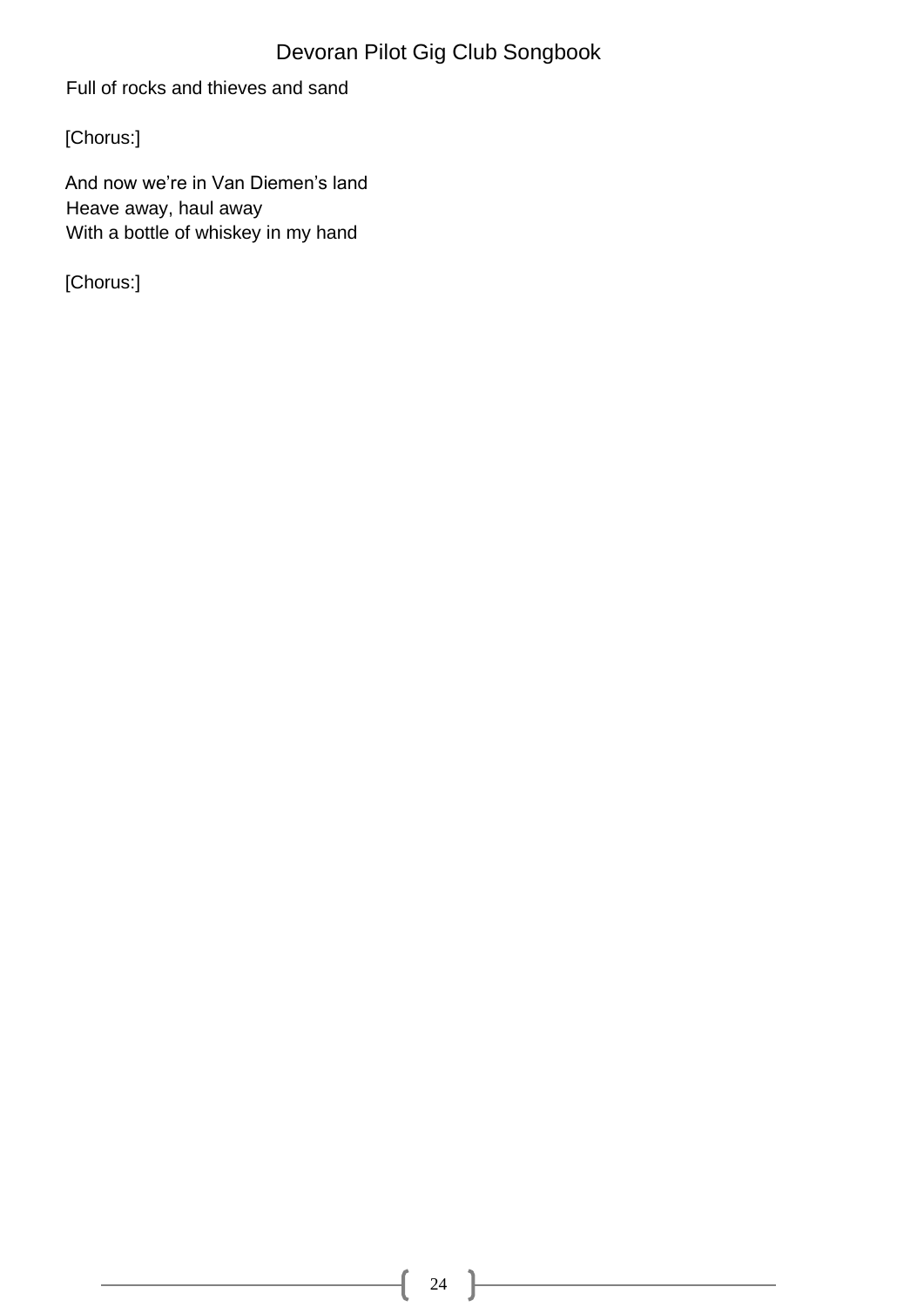Full of rocks and thieves and sand

[Chorus:]

And now we're in Van Diemen's land Heave away, haul away With a bottle of whiskey in my hand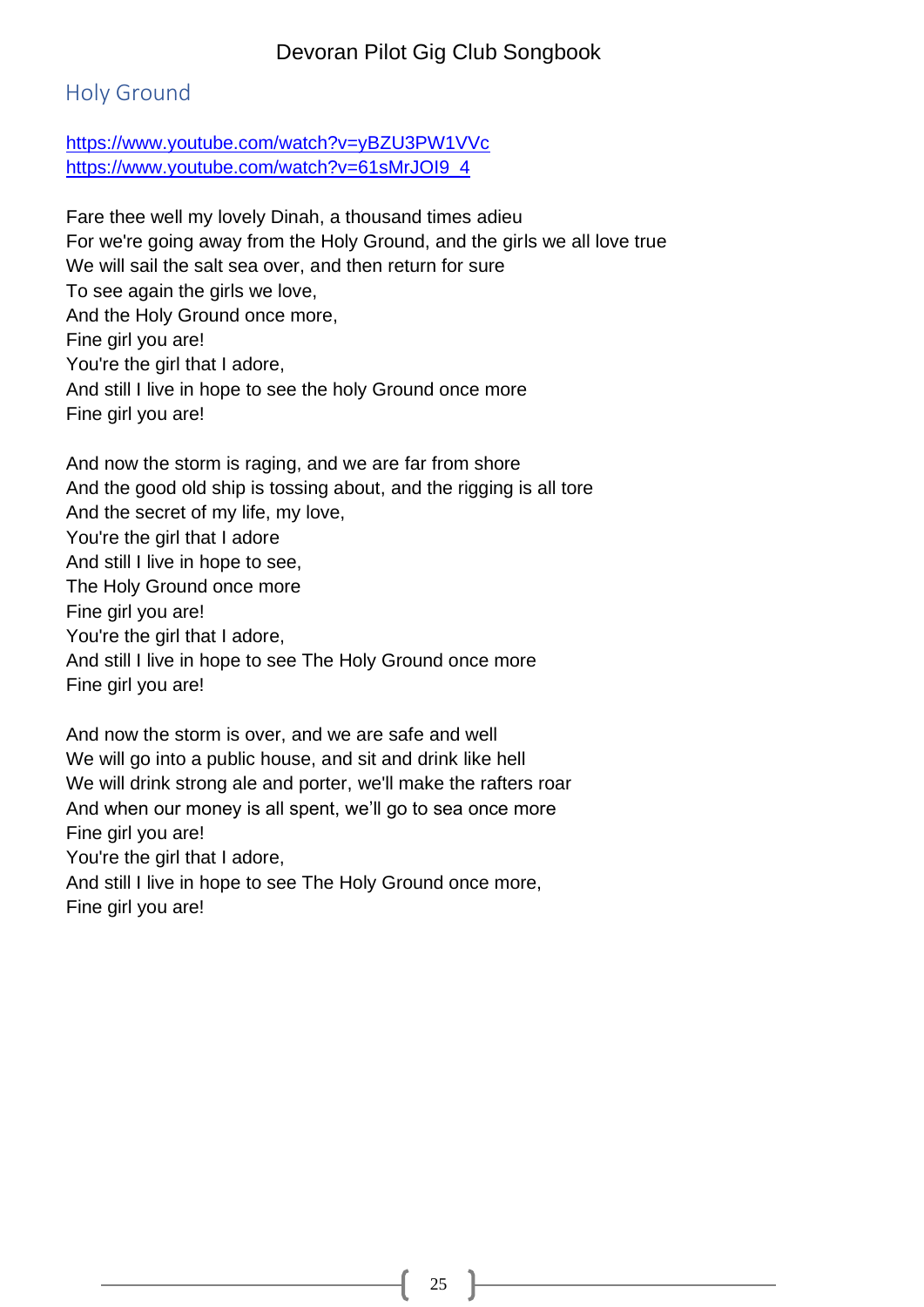# <span id="page-24-0"></span>Holy Ground

<https://www.youtube.com/watch?v=yBZU3PW1VVc> [https://www.youtube.com/watch?v=61sMrJOI9\\_4](https://www.youtube.com/watch?v=61sMrJOI9_4)

Fare thee well my lovely Dinah, a thousand times adieu For we're going away from the Holy Ground, and the girls we all love true We will sail the salt sea over, and then return for sure To see again the girls we love, And the Holy Ground once more, Fine girl you are! You're the girl that I adore, And still I live in hope to see the holy Ground once more Fine girl you are!

And now the storm is raging, and we are far from shore And the good old ship is tossing about, and the rigging is all tore And the secret of my life, my love, You're the girl that I adore And still I live in hope to see, The Holy Ground once more Fine girl you are! You're the girl that I adore, And still I live in hope to see The Holy Ground once more Fine girl you are!

And now the storm is over, and we are safe and well We will go into a public house, and sit and drink like hell We will drink strong ale and porter, we'll make the rafters roar And when our money is all spent, we'll go to sea once more Fine girl you are! You're the girl that I adore, And still I live in hope to see The Holy Ground once more,

Fine girl you are!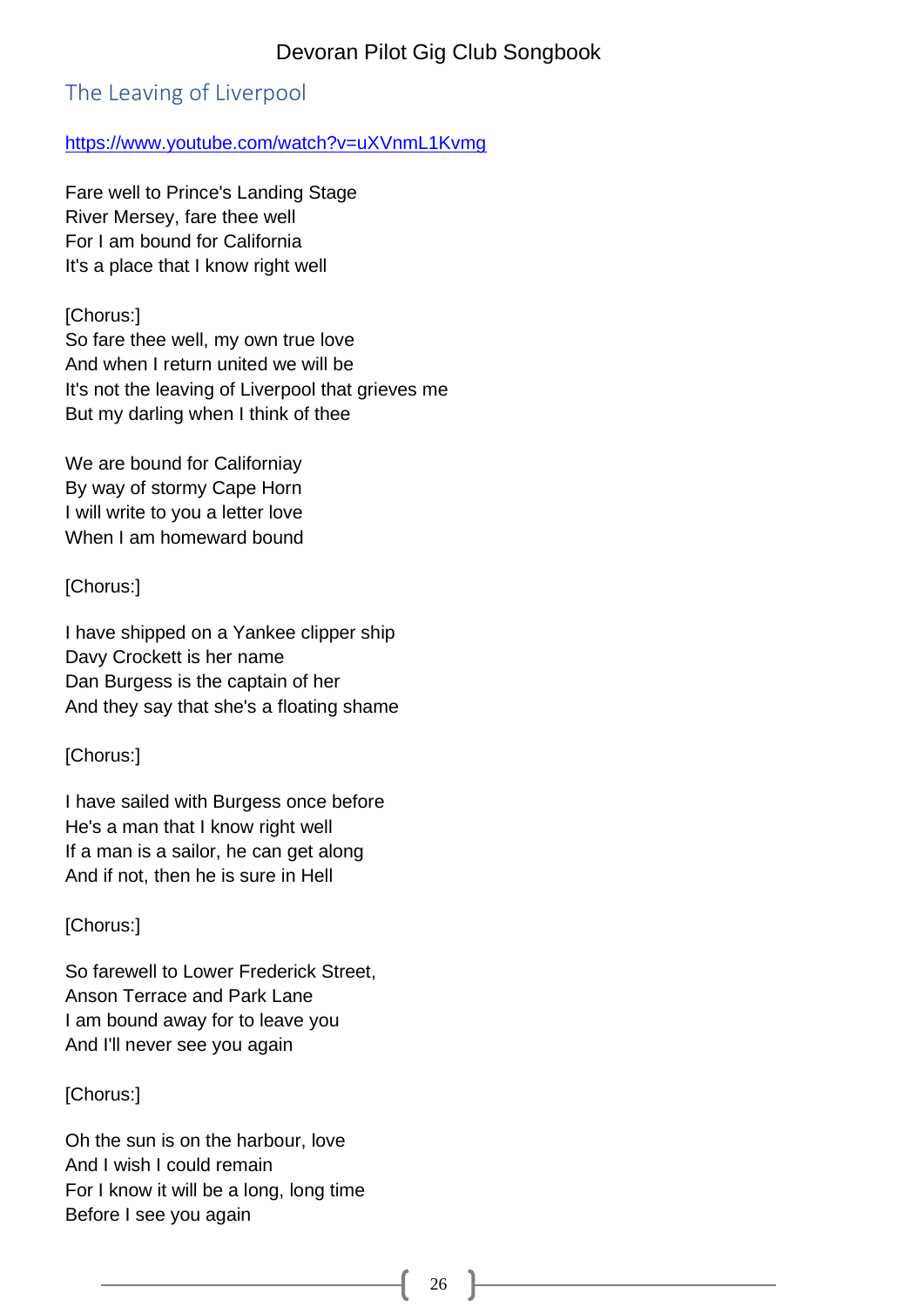<span id="page-25-0"></span>The Leaving of Liverpool

#### <https://www.youtube.com/watch?v=uXVnmL1Kvmg>

Fare well to Prince's Landing Stage River Mersey, fare thee well For I am bound for California It's a place that I know right well

[Chorus:]

So fare thee well, my own true love And when I return united we will be It's not the leaving of Liverpool that grieves me But my darling when I think of thee

We are bound for Californiay By way of stormy Cape Horn I will write to you a letter love When I am homeward bound

#### [Chorus:]

I have shipped on a Yankee clipper ship Davy Crockett is her name Dan Burgess is the captain of her And they say that she's a floating shame

#### [Chorus:]

I have sailed with Burgess once before He's a man that I know right well If a man is a sailor, he can get along And if not, then he is sure in Hell

#### [Chorus:]

So farewell to Lower Frederick Street, Anson Terrace and Park Lane I am bound away for to leave you And I'll never see you again

### [Chorus:]

Oh the sun is on the harbour, love And I wish I could remain For I know it will be a long, long time Before I see you again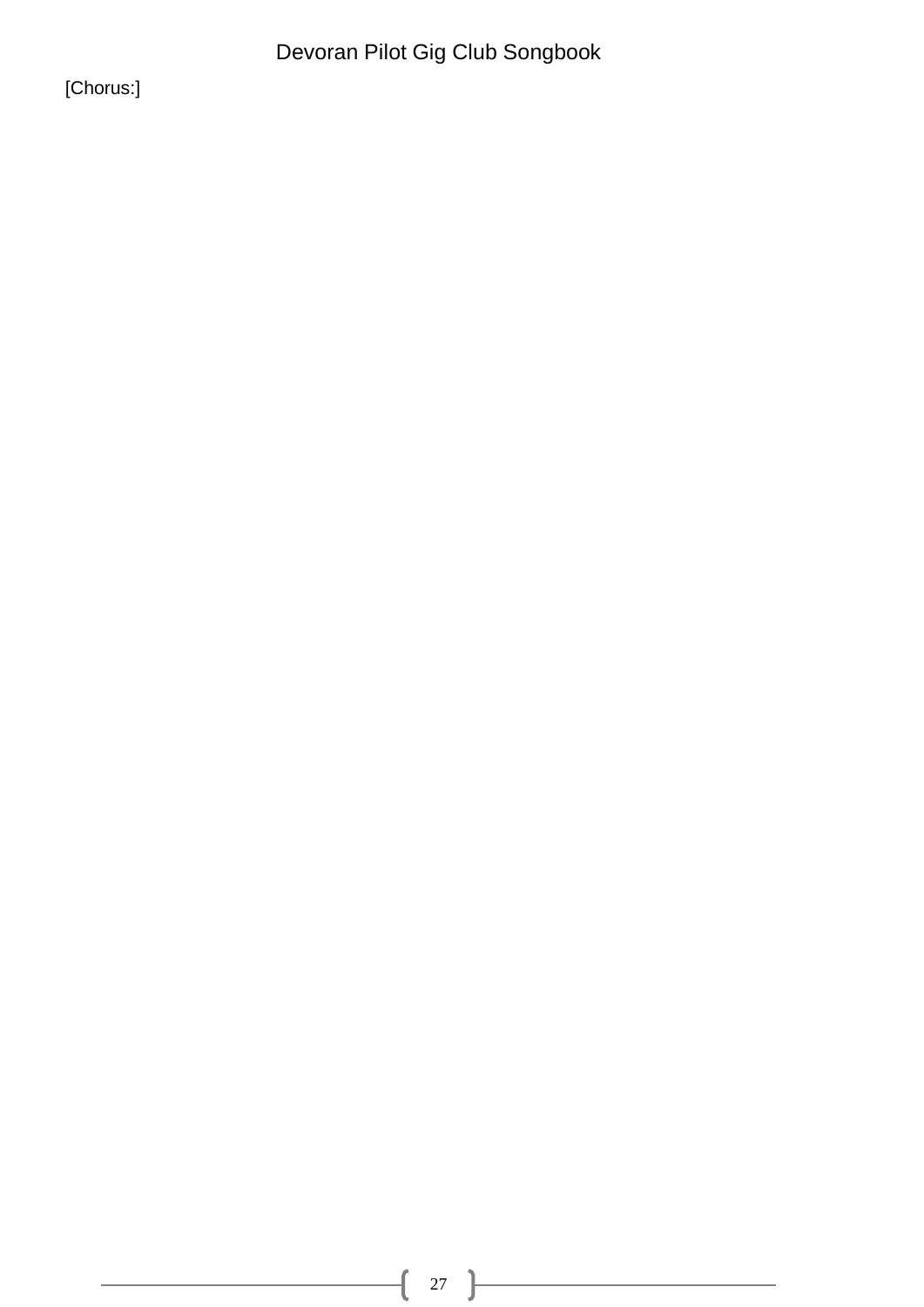[Chorus:]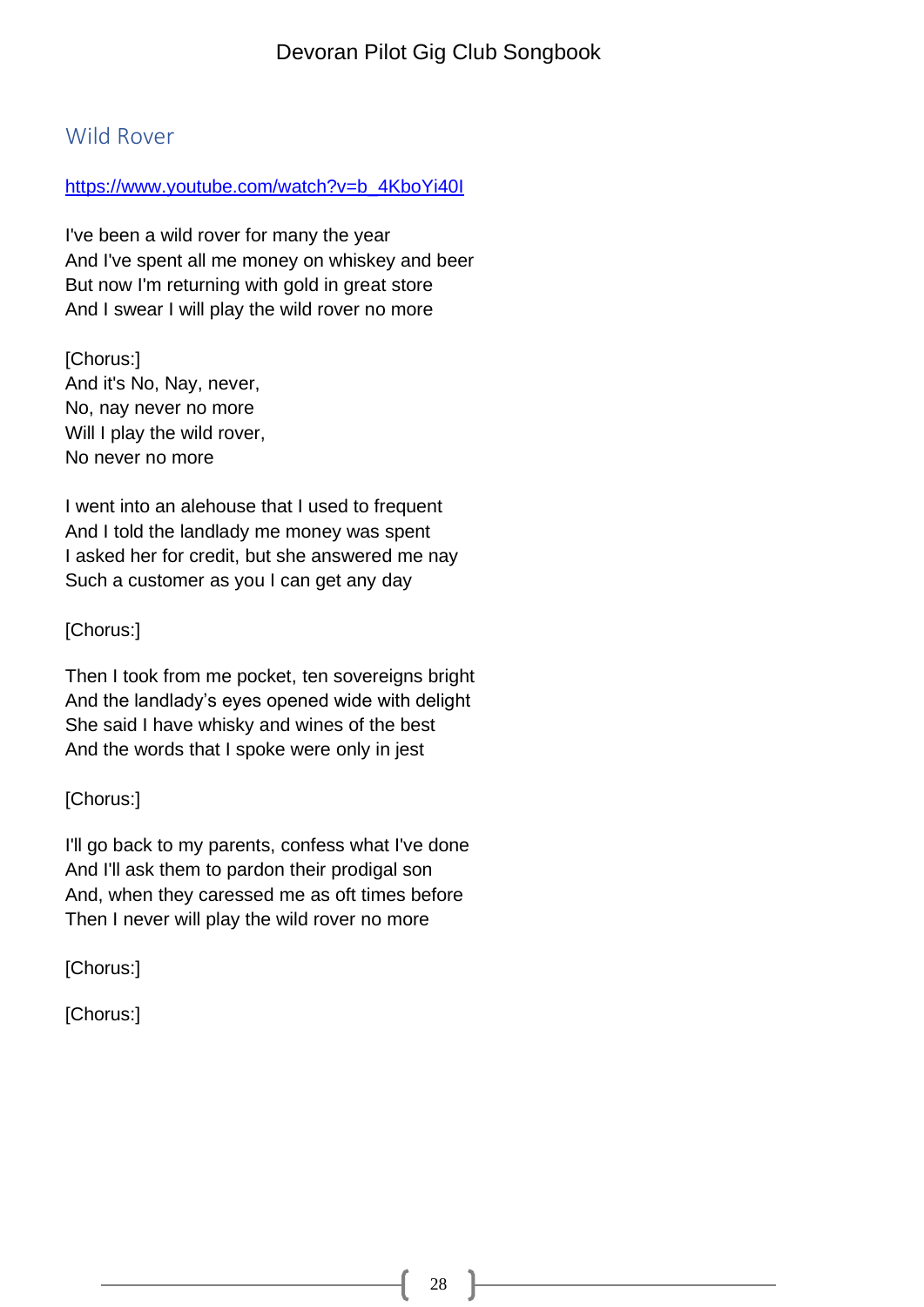# <span id="page-27-0"></span>Wild Rover

### [https://www.youtube.com/watch?v=b\\_4KboYi40I](https://www.youtube.com/watch?v=b_4KboYi40I)

I've been a wild rover for many the year And I've spent all me money on whiskey and beer But now I'm returning with gold in great store And I swear I will play the wild rover no more

[Chorus:] And it's No, Nay, never, No, nay never no more Will I play the wild rover, No never no more

I went into an alehouse that I used to frequent And I told the landlady me money was spent I asked her for credit, but she answered me nay Such a customer as you I can get any day

[Chorus:]

Then I took from me pocket, ten sovereigns bright And the landlady's eyes opened wide with delight She said I have whisky and wines of the best And the words that I spoke were only in jest

[Chorus:]

I'll go back to my parents, confess what I've done And I'll ask them to pardon their prodigal son And, when they caressed me as oft times before Then I never will play the wild rover no more

[Chorus:]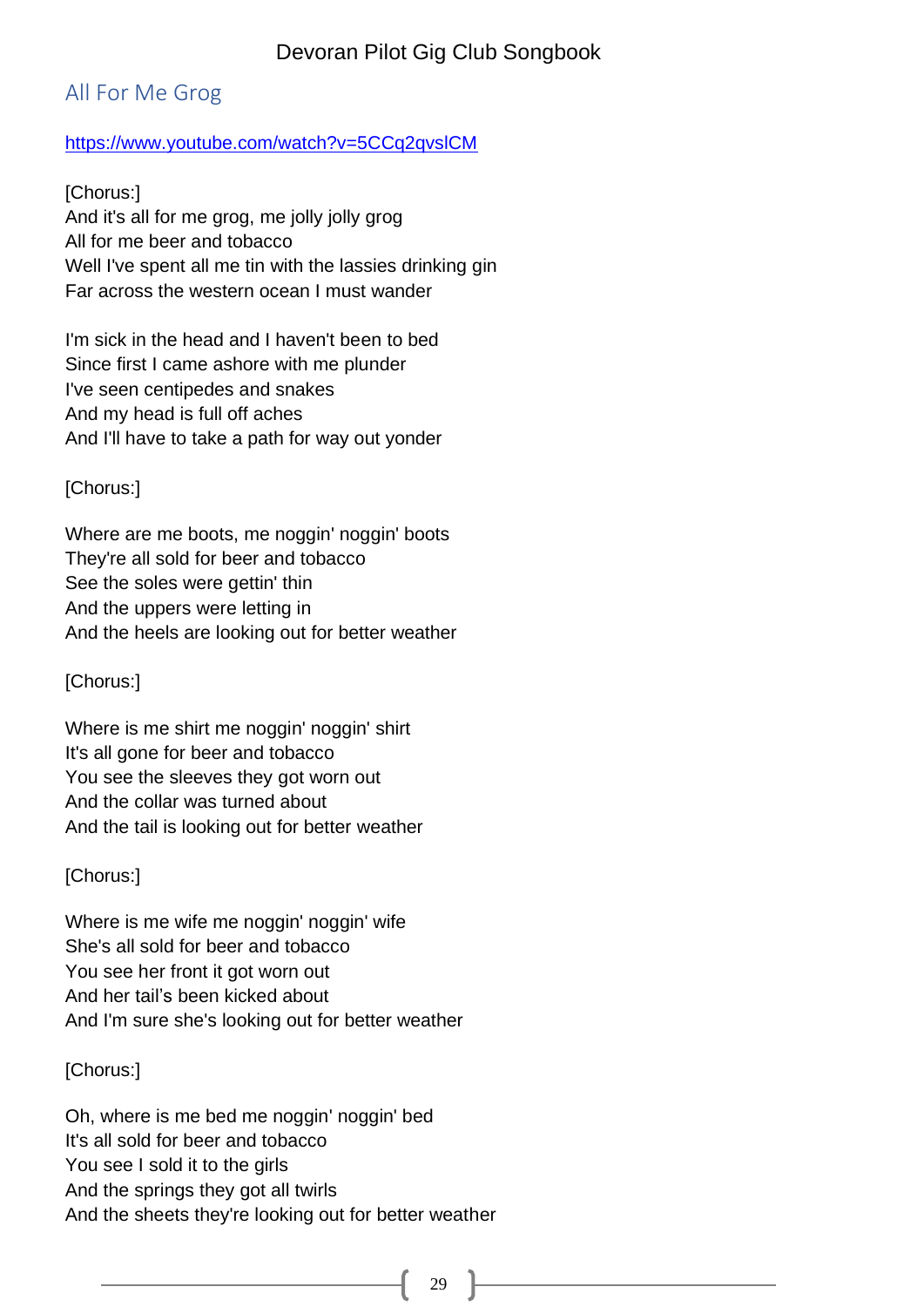# <span id="page-28-0"></span>All For Me Grog

### <https://www.youtube.com/watch?v=5CCq2qvslCM>

[Chorus:] And it's all for me grog, me jolly jolly grog All for me beer and tobacco Well I've spent all me tin with the lassies drinking gin Far across the western ocean I must wander

I'm sick in the head and I haven't been to bed Since first I came ashore with me plunder I've seen centipedes and snakes And my head is full off aches And I'll have to take a path for way out yonder

### [Chorus:]

Where are me boots, me noggin' noggin' boots They're all sold for beer and tobacco See the soles were gettin' thin And the uppers were letting in And the heels are looking out for better weather

### [Chorus:]

Where is me shirt me noggin' noggin' shirt It's all gone for beer and tobacco You see the sleeves they got worn out And the collar was turned about And the tail is looking out for better weather

### [Chorus:]

Where is me wife me noggin' noggin' wife She's all sold for beer and tobacco You see her front it got worn out And her tail's been kicked about And I'm sure she's looking out for better weather

### [Chorus:]

Oh, where is me bed me noggin' noggin' bed It's all sold for beer and tobacco You see I sold it to the girls And the springs they got all twirls And the sheets they're looking out for better weather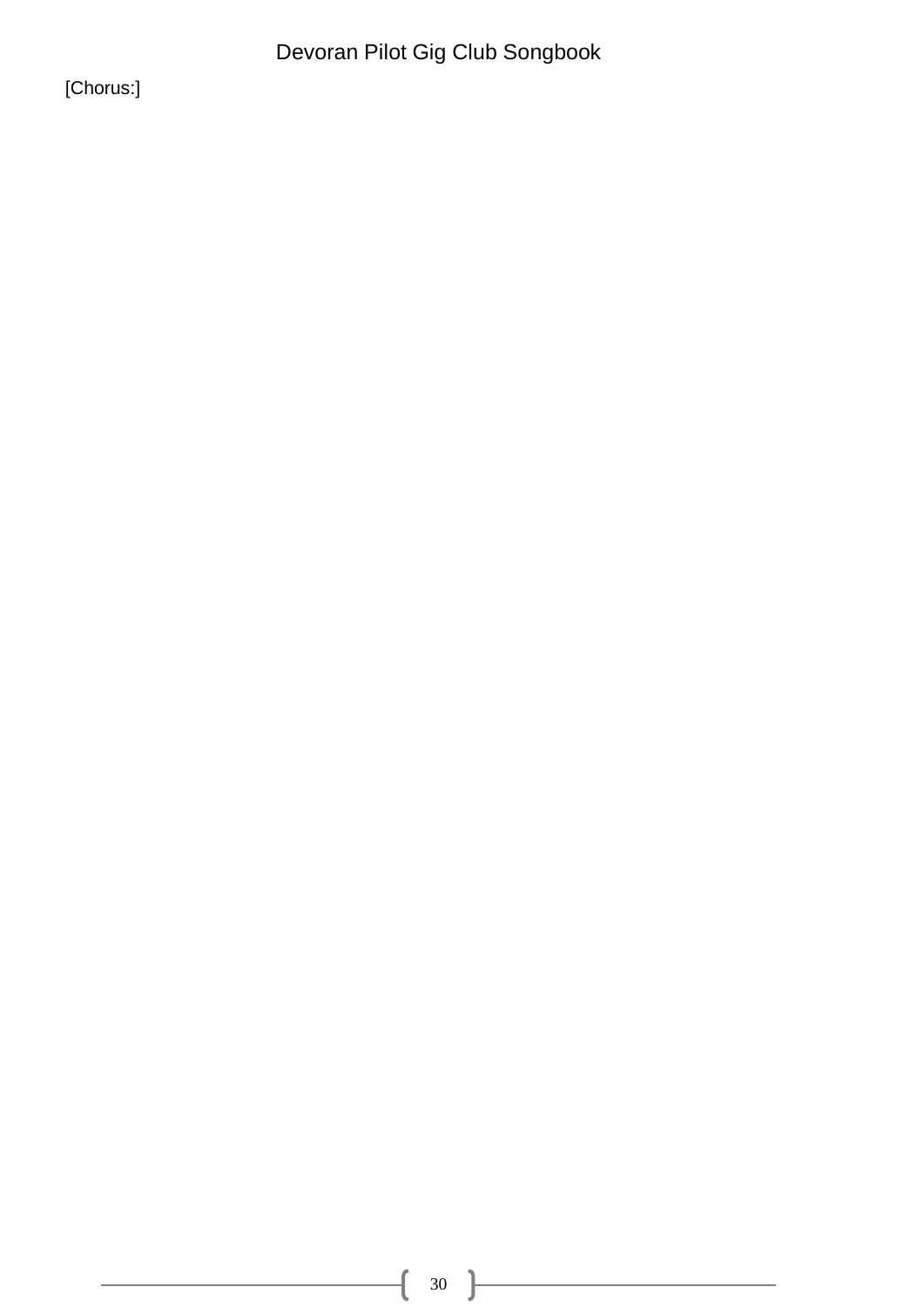[Chorus:]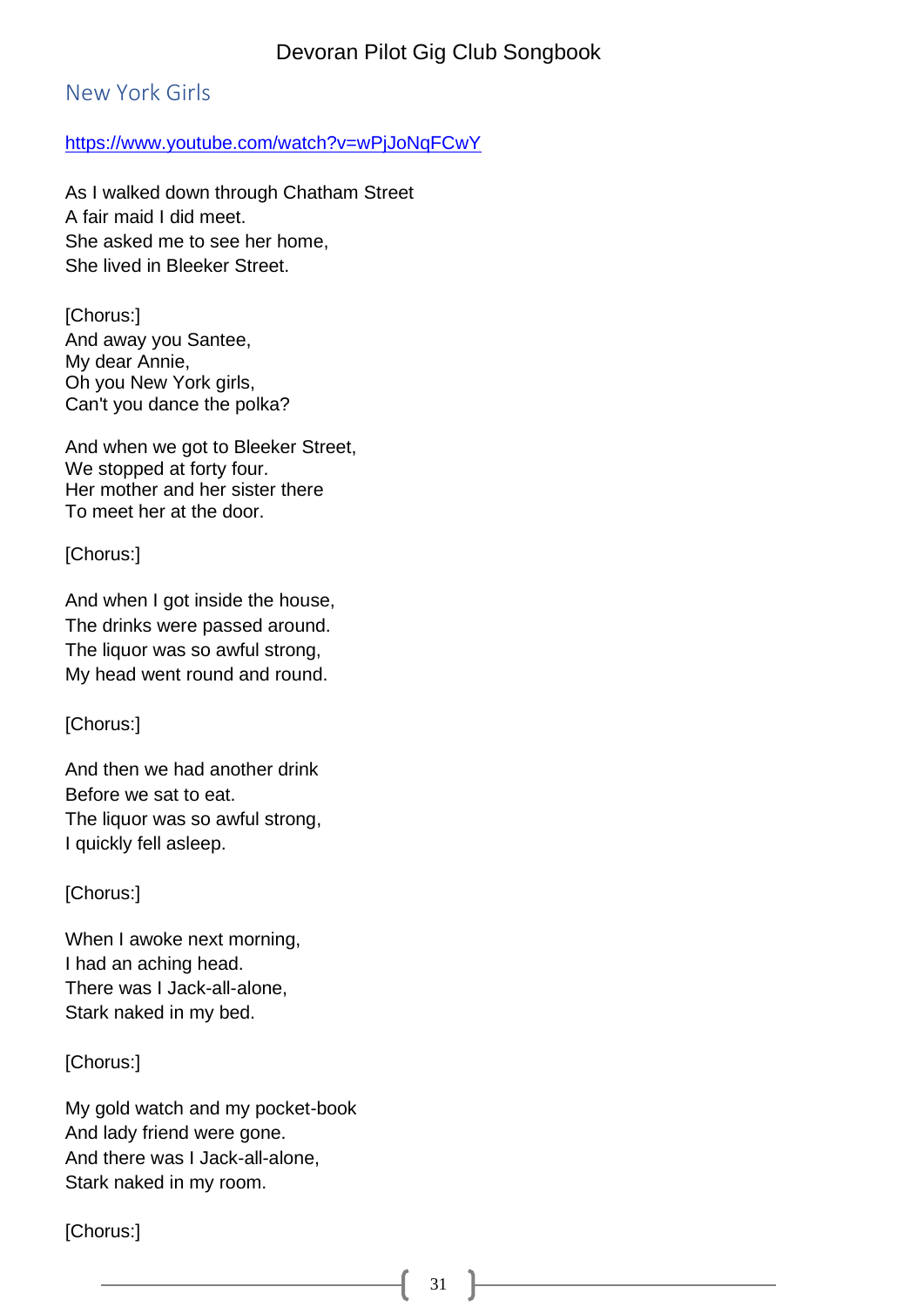<span id="page-30-0"></span>New York Girls

### <https://www.youtube.com/watch?v=wPjJoNqFCwY>

As I walked down through Chatham Street A fair maid I did meet. She asked me to see her home, She lived in Bleeker Street.

[Chorus:] And away you Santee, My dear Annie, Oh you New York girls, Can't you dance the polka?

And when we got to Bleeker Street, We stopped at forty four. Her mother and her sister there To meet her at the door.

[Chorus:]

And when I got inside the house, The drinks were passed around. The liquor was so awful strong, My head went round and round.

[Chorus:]

And then we had another drink Before we sat to eat. The liquor was so awful strong, I quickly fell asleep.

[Chorus:]

When I awoke next morning, I had an aching head. There was I Jack-all-alone, Stark naked in my bed.

### [Chorus:]

My gold watch and my pocket-book And lady friend were gone. And there was I Jack-all-alone, Stark naked in my room.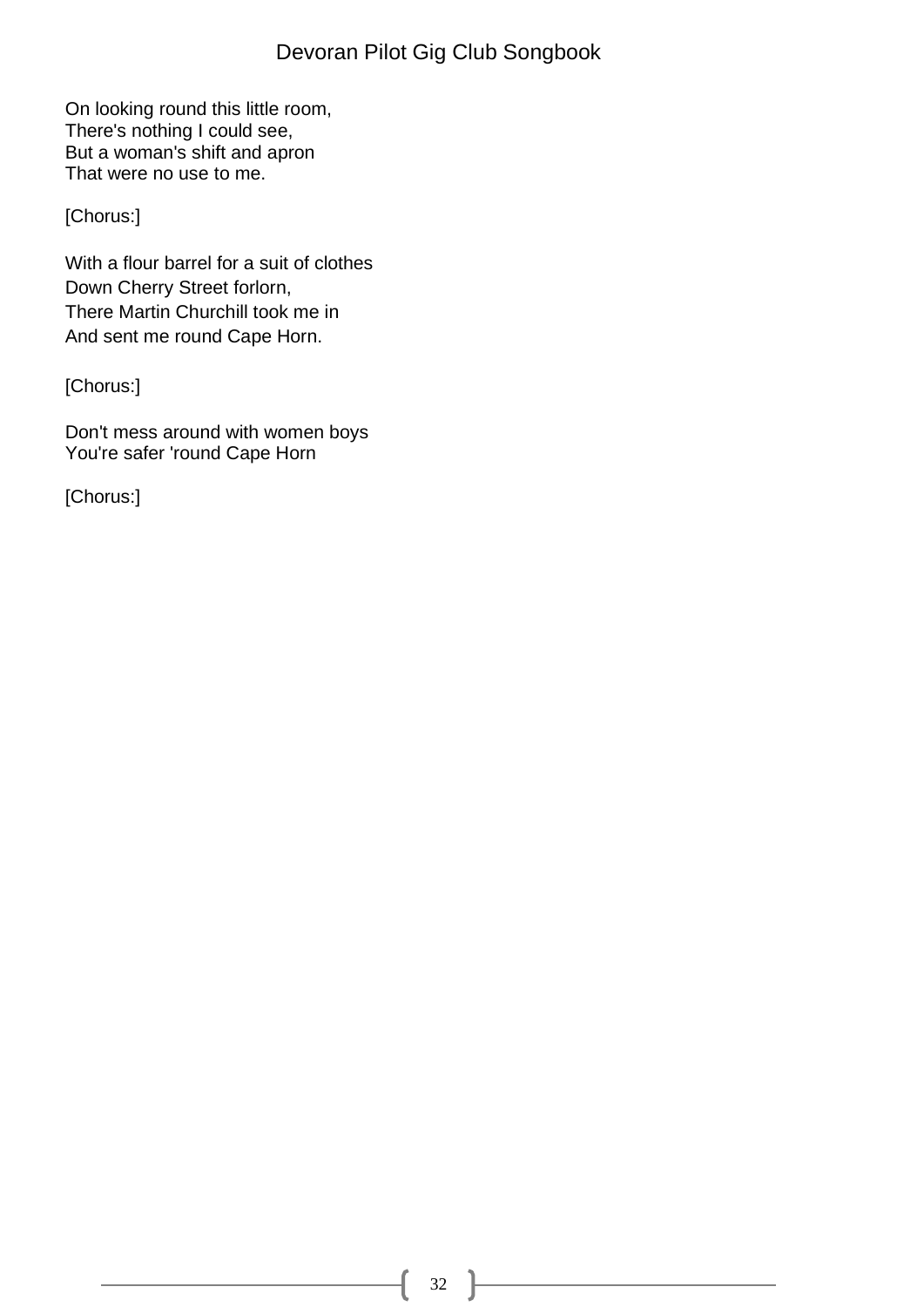On looking round this little room, There's nothing I could see, But a woman's shift and apron That were no use to me.

[Chorus:]

With a flour barrel for a suit of clothes Down Cherry Street forlorn, There Martin Churchill took me in And sent me round Cape Horn.

[Chorus:]

Don't mess around with women boys You're safer 'round Cape Horn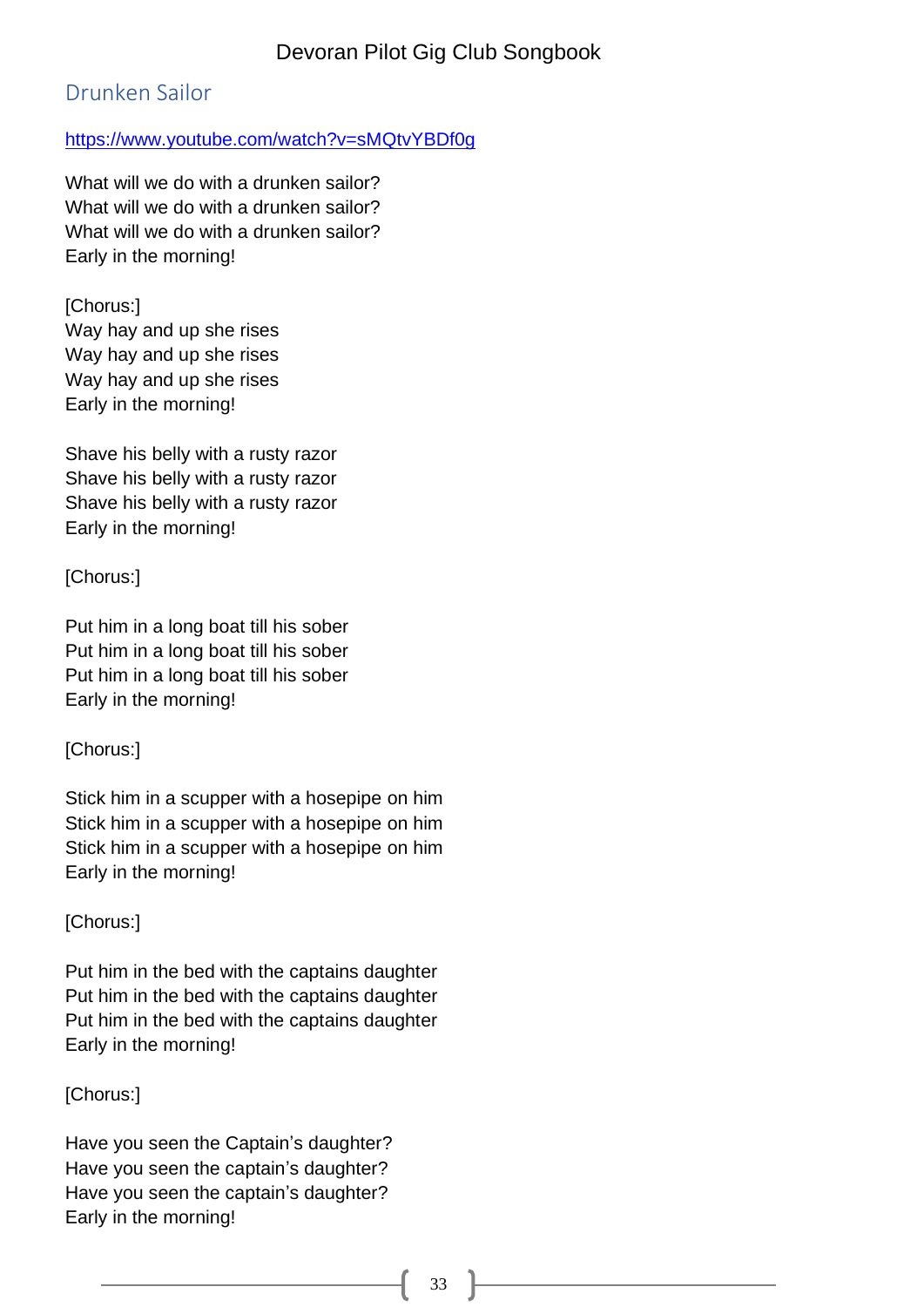# <span id="page-32-0"></span>Drunken Sailor

### <https://www.youtube.com/watch?v=sMQtvYBDf0g>

What will we do with a drunken sailor? What will we do with a drunken sailor? What will we do with a drunken sailor? Early in the morning!

[Chorus:]

Way hay and up she rises Way hay and up she rises Way hay and up she rises Early in the morning!

Shave his belly with a rusty razor Shave his belly with a rusty razor Shave his belly with a rusty razor Early in the morning!

### [Chorus:]

Put him in a long boat till his sober Put him in a long boat till his sober Put him in a long boat till his sober Early in the morning!

### [Chorus:]

Stick him in a scupper with a hosepipe on him Stick him in a scupper with a hosepipe on him Stick him in a scupper with a hosepipe on him Early in the morning!

### [Chorus:]

Put him in the bed with the captains daughter Put him in the bed with the captains daughter Put him in the bed with the captains daughter Early in the morning!

### [Chorus:]

Have you seen the Captain's daughter? Have you seen the captain's daughter? Have you seen the captain's daughter? Early in the morning!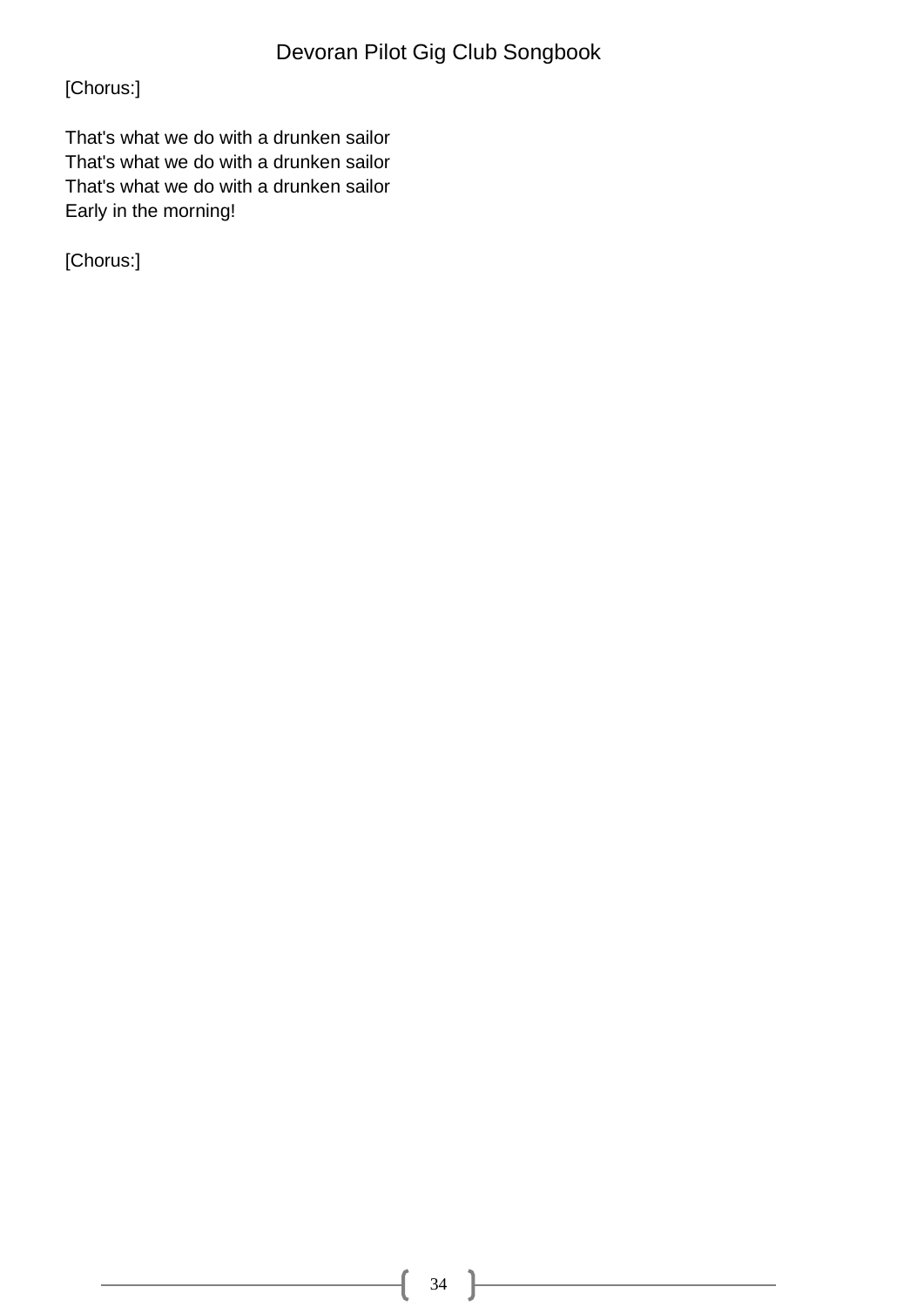[Chorus:]

That's what we do with a drunken sailor That's what we do with a drunken sailor That's what we do with a drunken sailor Early in the morning!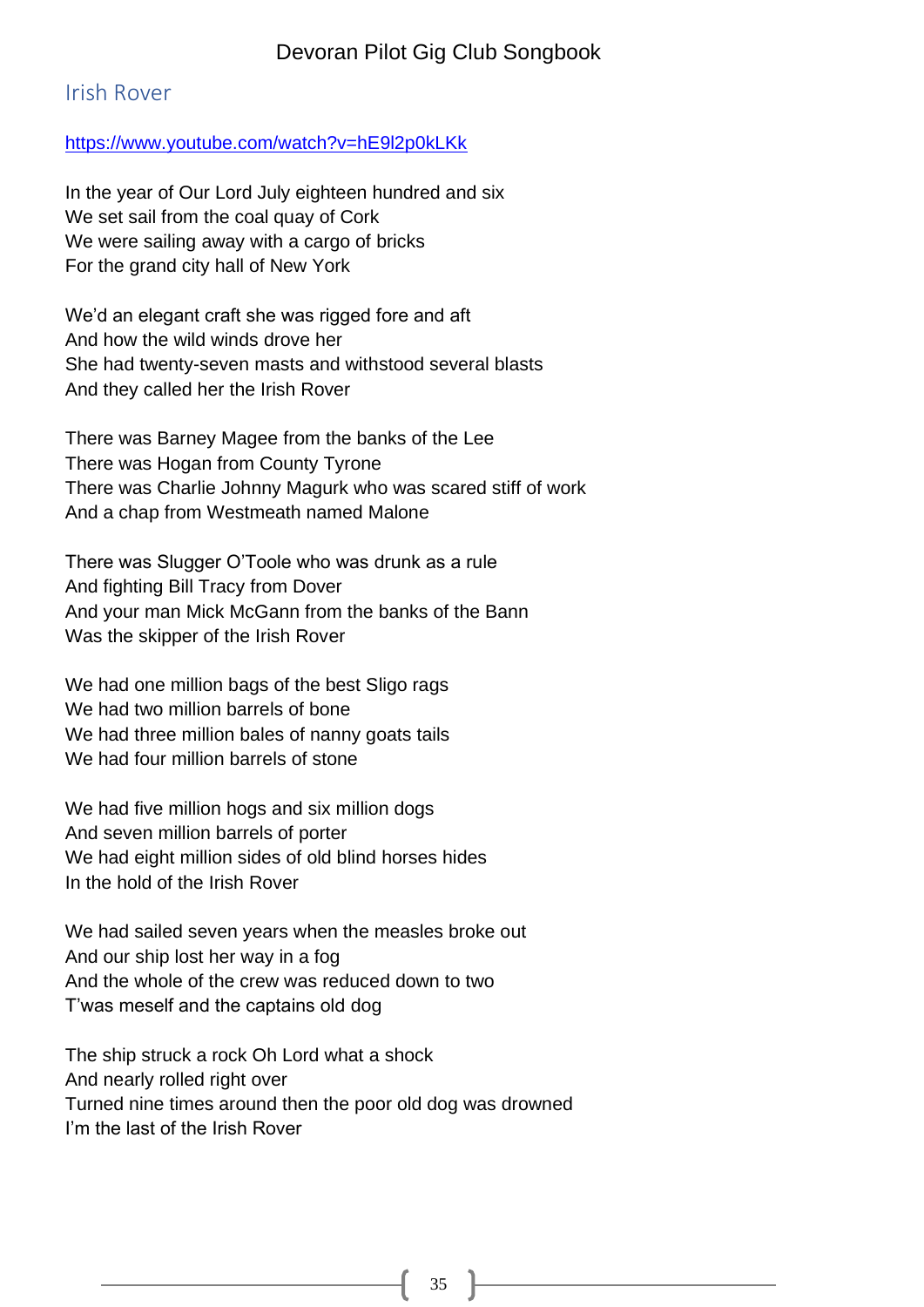### <span id="page-34-0"></span>Irish Rover

#### <https://www.youtube.com/watch?v=hE9l2p0kLKk>

In the year of Our Lord July eighteen hundred and six We set sail from the coal quay of Cork We were sailing away with a cargo of bricks For the grand city hall of New York

We'd an elegant craft she was rigged fore and aft And how the wild winds drove her She had twenty-seven masts and withstood several blasts And they called her the Irish Rover

There was Barney Magee from the banks of the Lee There was Hogan from County Tyrone There was Charlie Johnny Magurk who was scared stiff of work And a chap from Westmeath named Malone

There was Slugger O'Toole who was drunk as a rule And fighting Bill Tracy from Dover And your man Mick McGann from the banks of the Bann Was the skipper of the Irish Rover

We had one million bags of the best Sligo rags We had two million barrels of bone We had three million bales of nanny goats tails We had four million barrels of stone

We had five million hogs and six million dogs And seven million barrels of porter We had eight million sides of old blind horses hides In the hold of the Irish Rover

We had sailed seven years when the measles broke out And our ship lost her way in a fog And the whole of the crew was reduced down to two T'was meself and the captains old dog

The ship struck a rock Oh Lord what a shock And nearly rolled right over Turned nine times around then the poor old dog was drowned I'm the last of the Irish Rover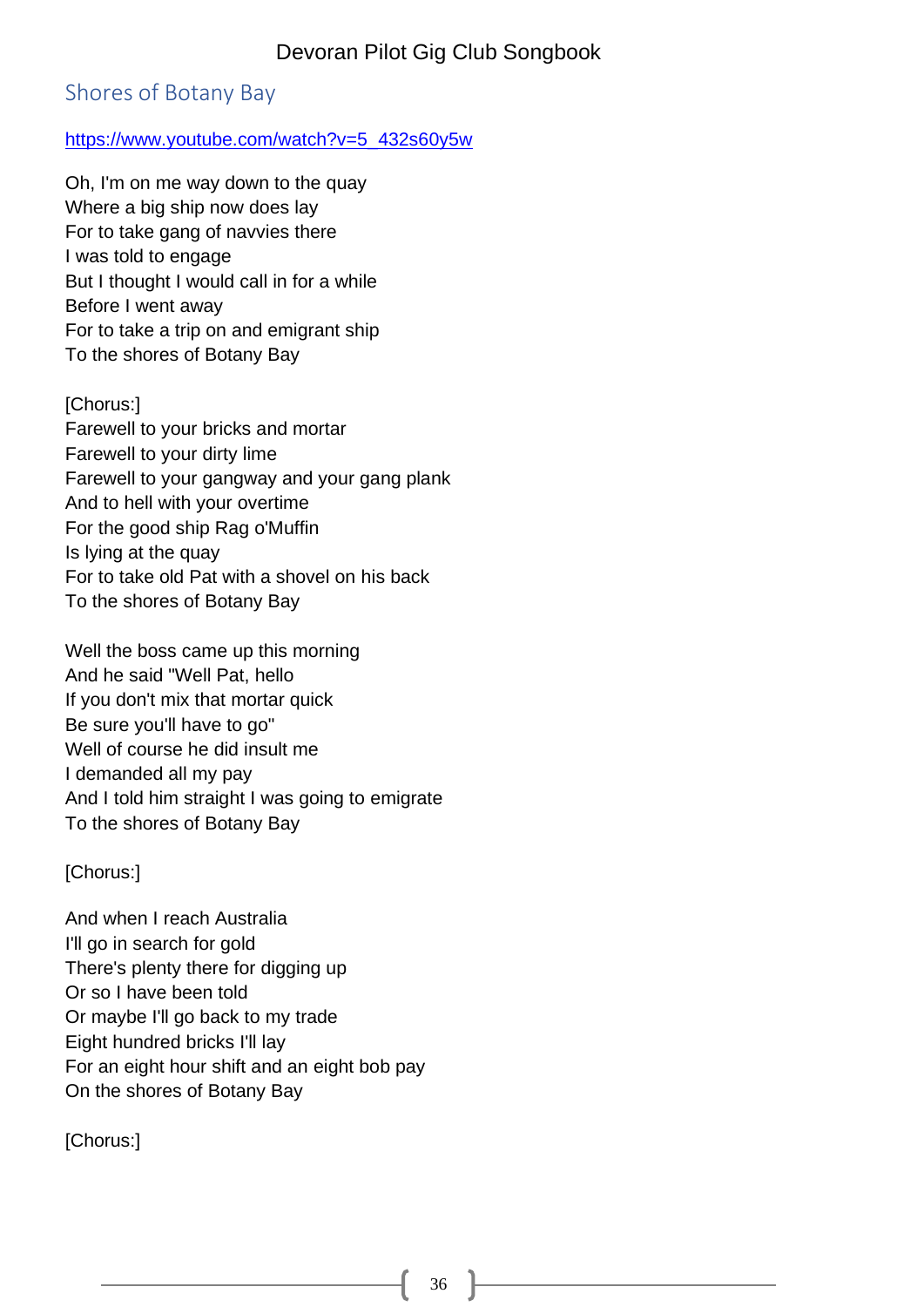### <span id="page-35-0"></span>Shores of Botany Bay

#### [https://www.youtube.com/watch?v=5\\_432s60y5w](https://www.youtube.com/watch?v=5_432s60y5w)

Oh, I'm on me way down to the quay Where a big ship now does lay For to take gang of navvies there I was told to engage But I thought I would call in for a while Before I went away For to take a trip on and emigrant ship To the shores of Botany Bay

[Chorus:]

Farewell to your bricks and mortar Farewell to your dirty lime Farewell to your gangway and your gang plank And to hell with your overtime For the good ship Rag o'Muffin Is lying at the quay For to take old Pat with a shovel on his back To the shores of Botany Bay

Well the boss came up this morning And he said "Well Pat, hello If you don't mix that mortar quick Be sure you'll have to go" Well of course he did insult me I demanded all my pay And I told him straight I was going to emigrate To the shores of Botany Bay

[Chorus:]

And when I reach Australia I'll go in search for gold There's plenty there for digging up Or so I have been told Or maybe I'll go back to my trade Eight hundred bricks I'll lay For an eight hour shift and an eight bob pay On the shores of Botany Bay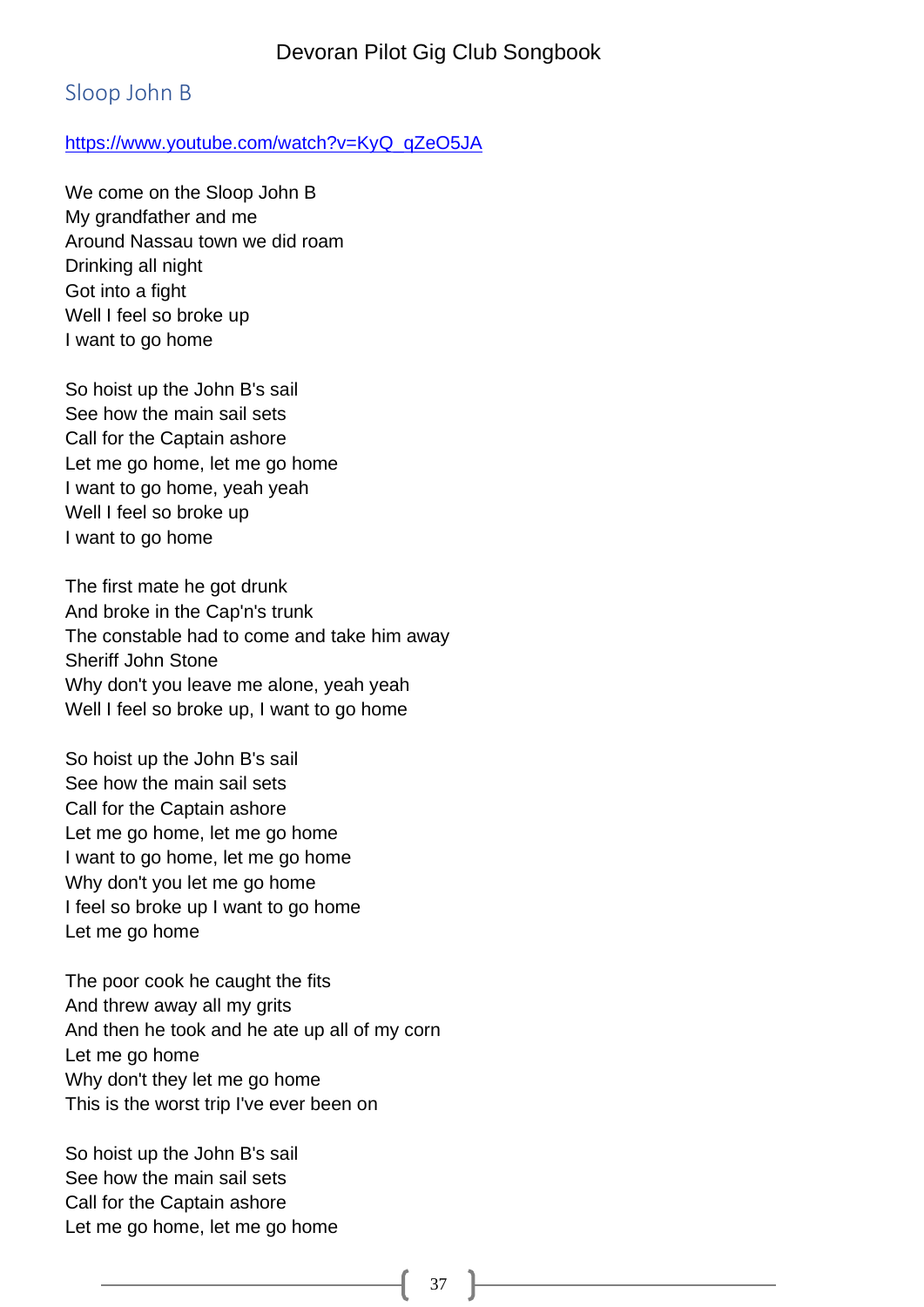## Sloop John B

#### [https://www.youtube.com/watch?v=KyQ\\_qZeO5JA](https://www.youtube.com/watch?v=KyQ_qZeO5JA)

We come on the Sloop John B My grandfather and me Around Nassau town we did roam Drinking all night Got into a fight Well I feel so broke up I want to go home

So hoist up the John B's sail See how the main sail sets Call for the Captain ashore Let me go home, let me go home I want to go home, yeah yeah Well I feel so broke up I want to go home

The first mate he got drunk And broke in the Cap'n's trunk The constable had to come and take him away Sheriff John Stone Why don't you leave me alone, yeah yeah Well I feel so broke up, I want to go home

So hoist up the John B's sail See how the main sail sets Call for the Captain ashore Let me go home, let me go home I want to go home, let me go home Why don't you let me go home I feel so broke up I want to go home Let me go home

The poor cook he caught the fits And threw away all my grits And then he took and he ate up all of my corn Let me go home Why don't they let me go home This is the worst trip I've ever been on

So hoist up the John B's sail See how the main sail sets Call for the Captain ashore Let me go home, let me go home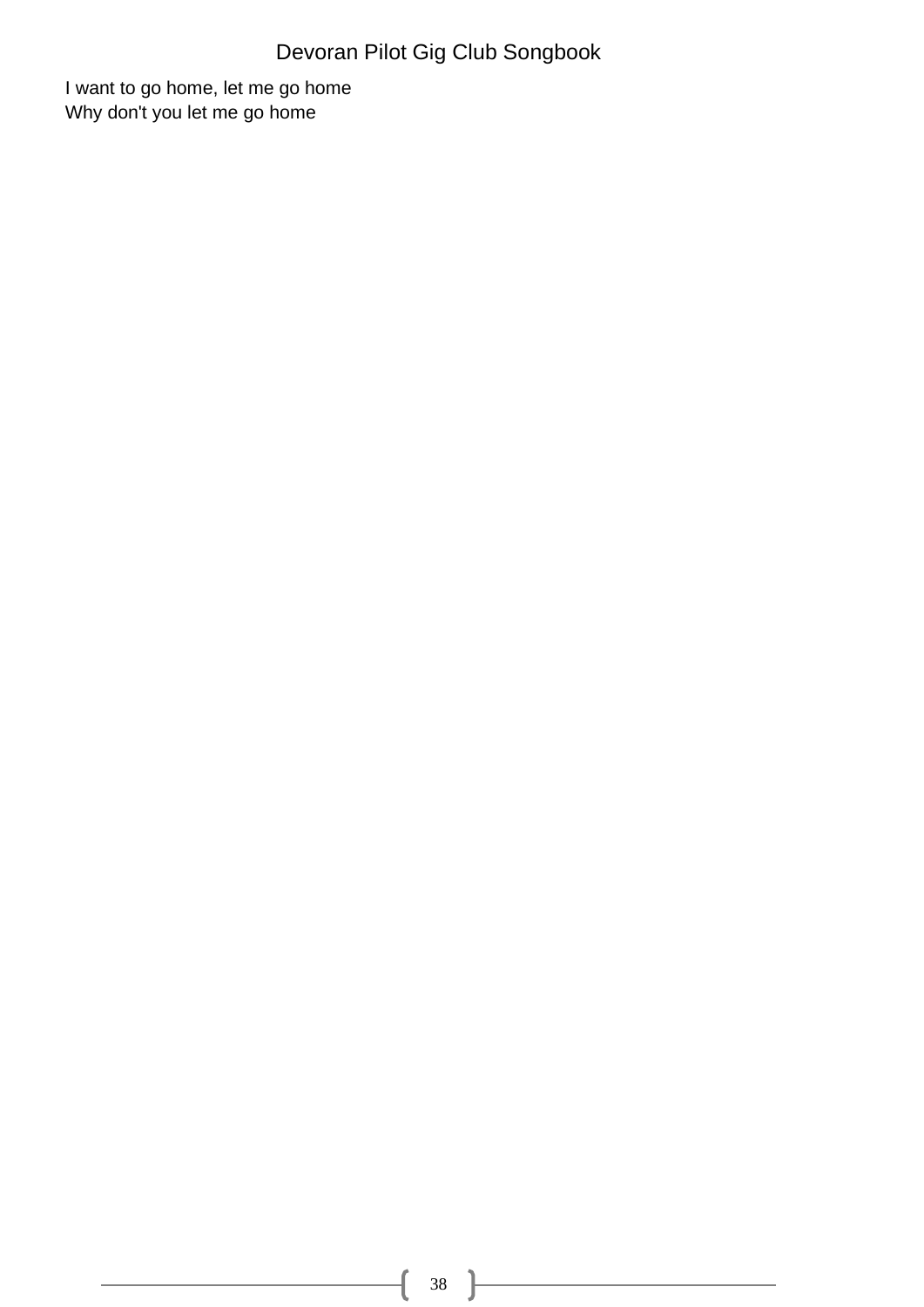I want to go home, let me go home Why don't you let me go home

<u> 1990 - Johann Barbara, martin a</u>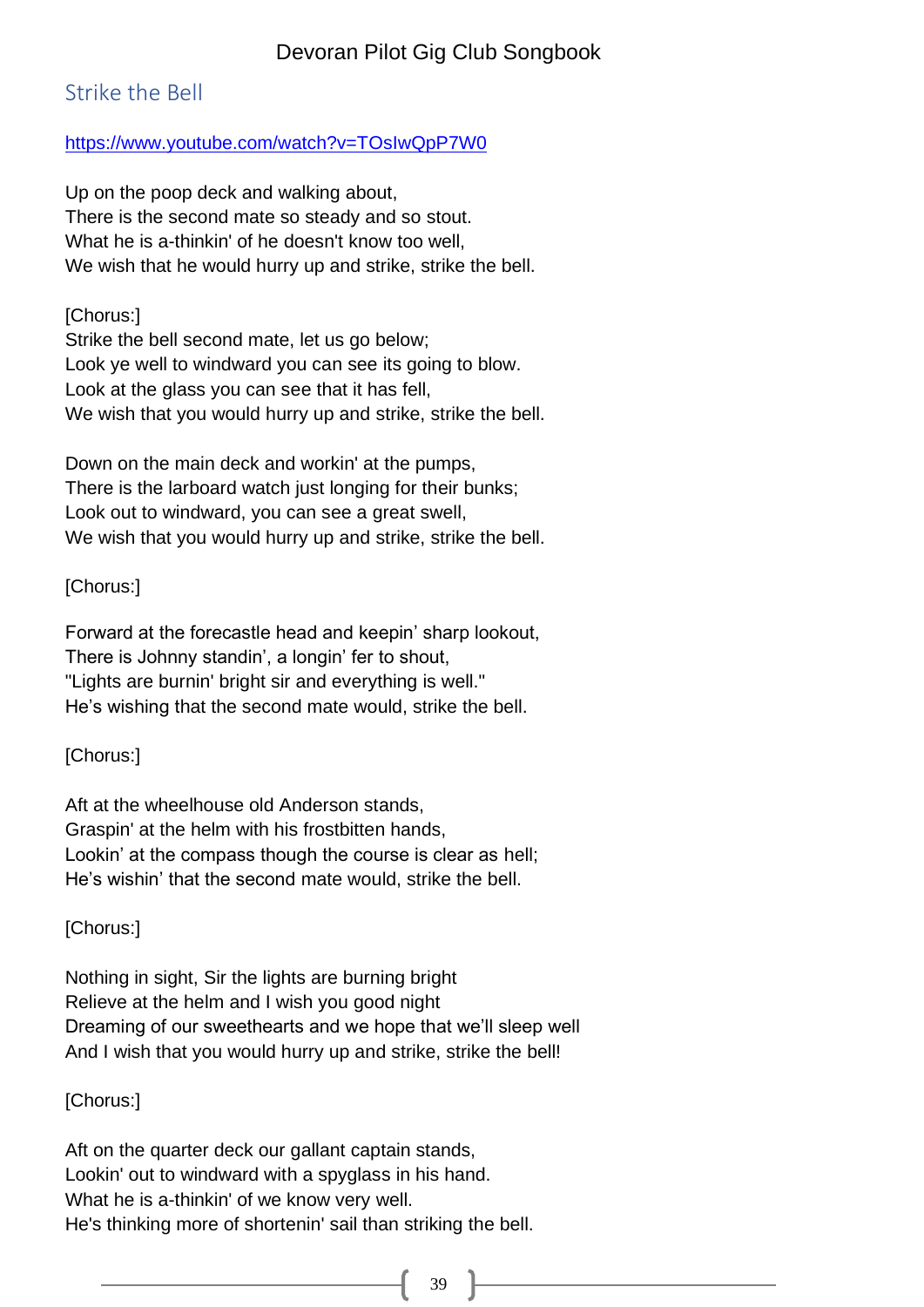## Strike the Bell

### <https://www.youtube.com/watch?v=TOsIwQpP7W0>

Up on the poop deck and walking about, There is the second mate so steady and so stout. What he is a-thinkin' of he doesn't know too well, We wish that he would hurry up and strike, strike the bell.

#### [Chorus:]

Strike the bell second mate, let us go below; Look ye well to windward you can see its going to blow. Look at the glass you can see that it has fell, We wish that you would hurry up and strike, strike the bell.

Down on the main deck and workin' at the pumps, There is the larboard watch just longing for their bunks; Look out to windward, you can see a great swell, We wish that you would hurry up and strike, strike the bell.

### [Chorus:]

Forward at the forecastle head and keepin' sharp lookout, There is Johnny standin', a longin' fer to shout, "Lights are burnin' bright sir and everything is well." He's wishing that the second mate would, strike the bell.

#### [Chorus:]

Aft at the wheelhouse old Anderson stands, Graspin' at the helm with his frostbitten hands, Lookin' at the compass though the course is clear as hell; He's wishin' that the second mate would, strike the bell.

[Chorus:]

Nothing in sight, Sir the lights are burning bright Relieve at the helm and I wish you good night Dreaming of our sweethearts and we hope that we'll sleep well And I wish that you would hurry up and strike, strike the bell!

### [Chorus:]

Aft on the quarter deck our gallant captain stands, Lookin' out to windward with a spyglass in his hand. What he is a-thinkin' of we know very well. He's thinking more of shortenin' sail than striking the bell.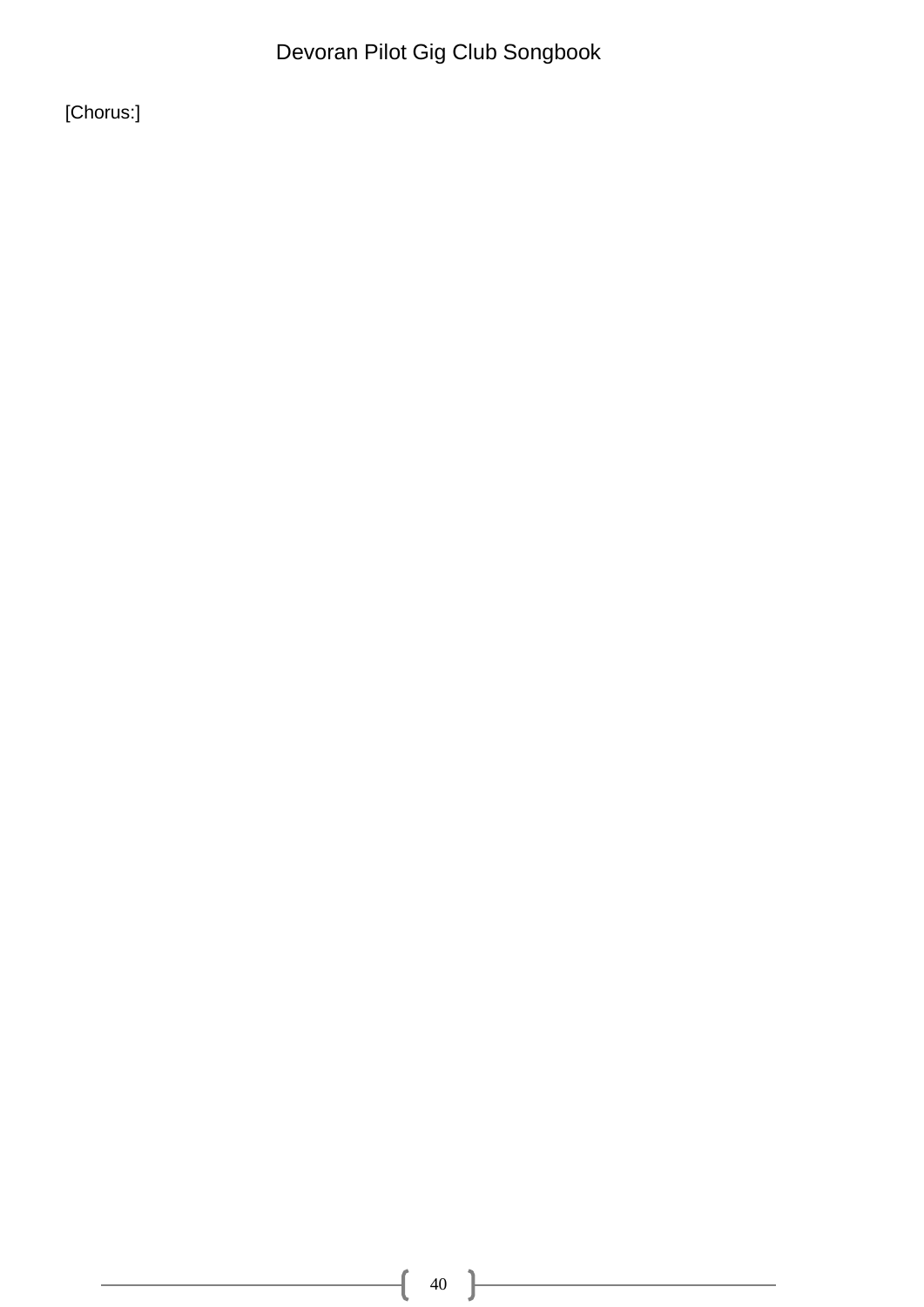[Chorus:]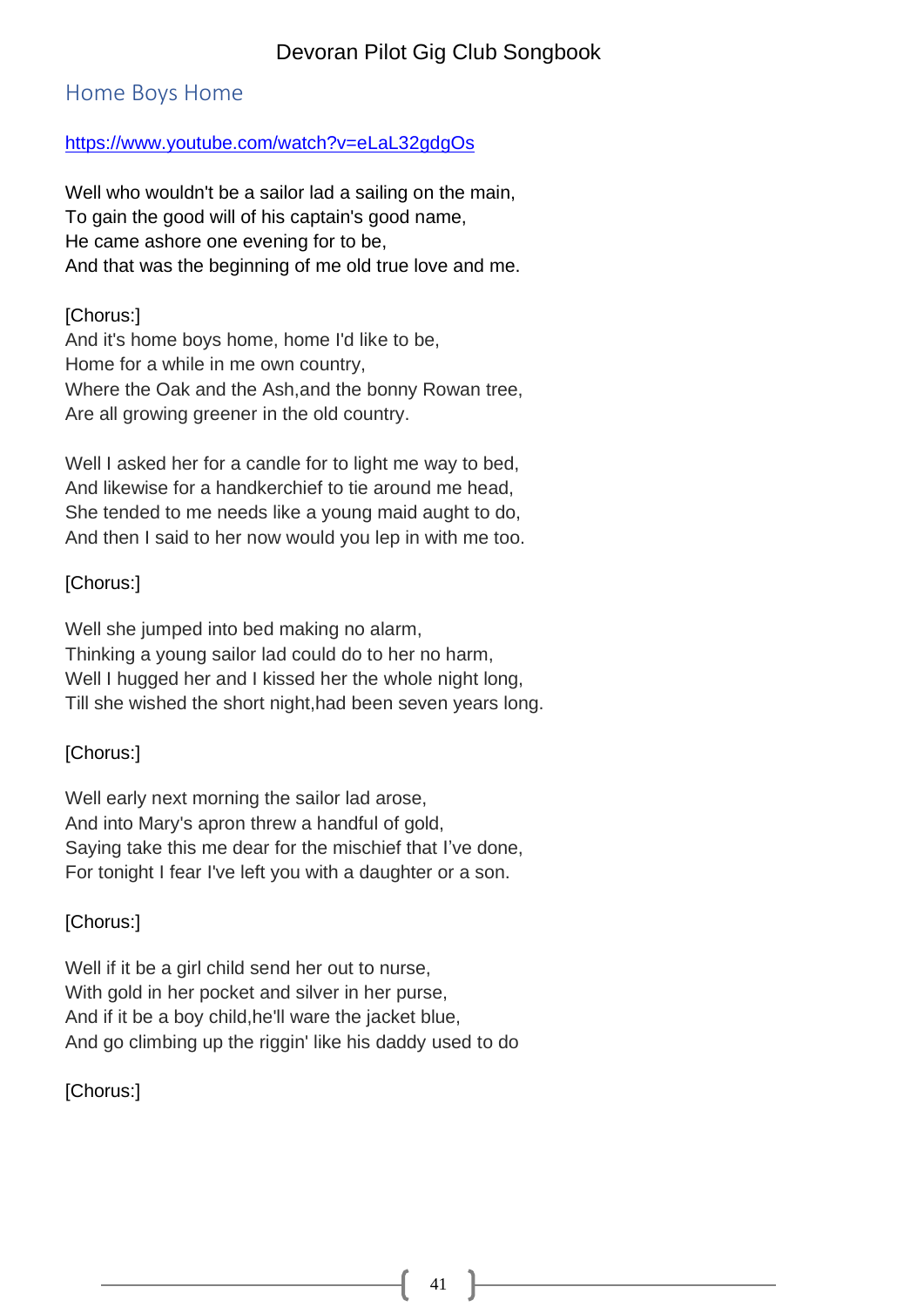## Home Boys Home

#### <https://www.youtube.com/watch?v=eLaL32gdgOs>

Well who wouldn't be a sailor lad a sailing on the main, To gain the good will of his captain's good name, He came ashore one evening for to be, And that was the beginning of me old true love and me.

### [Chorus:]

And it's home boys home, home I'd like to be, Home for a while in me own country, Where the Oak and the Ash,and the bonny Rowan tree, Are all growing greener in the old country.

Well I asked her for a candle for to light me way to bed, And likewise for a handkerchief to tie around me head, She tended to me needs like a young maid aught to do, And then I said to her now would you lep in with me too.

### [Chorus:]

Well she jumped into bed making no alarm, Thinking a young sailor lad could do to her no harm, Well I hugged her and I kissed her the whole night long, Till she wished the short night,had been seven years long.

### [Chorus:]

Well early next morning the sailor lad arose, And into Mary's apron threw a handful of gold, Saying take this me dear for the mischief that I've done, For tonight I fear I've left you with a daughter or a son.

### [Chorus:]

Well if it be a girl child send her out to nurse, With gold in her pocket and silver in her purse, And if it be a boy child,he'll ware the jacket blue, And go climbing up the riggin' like his daddy used to do

[Chorus:]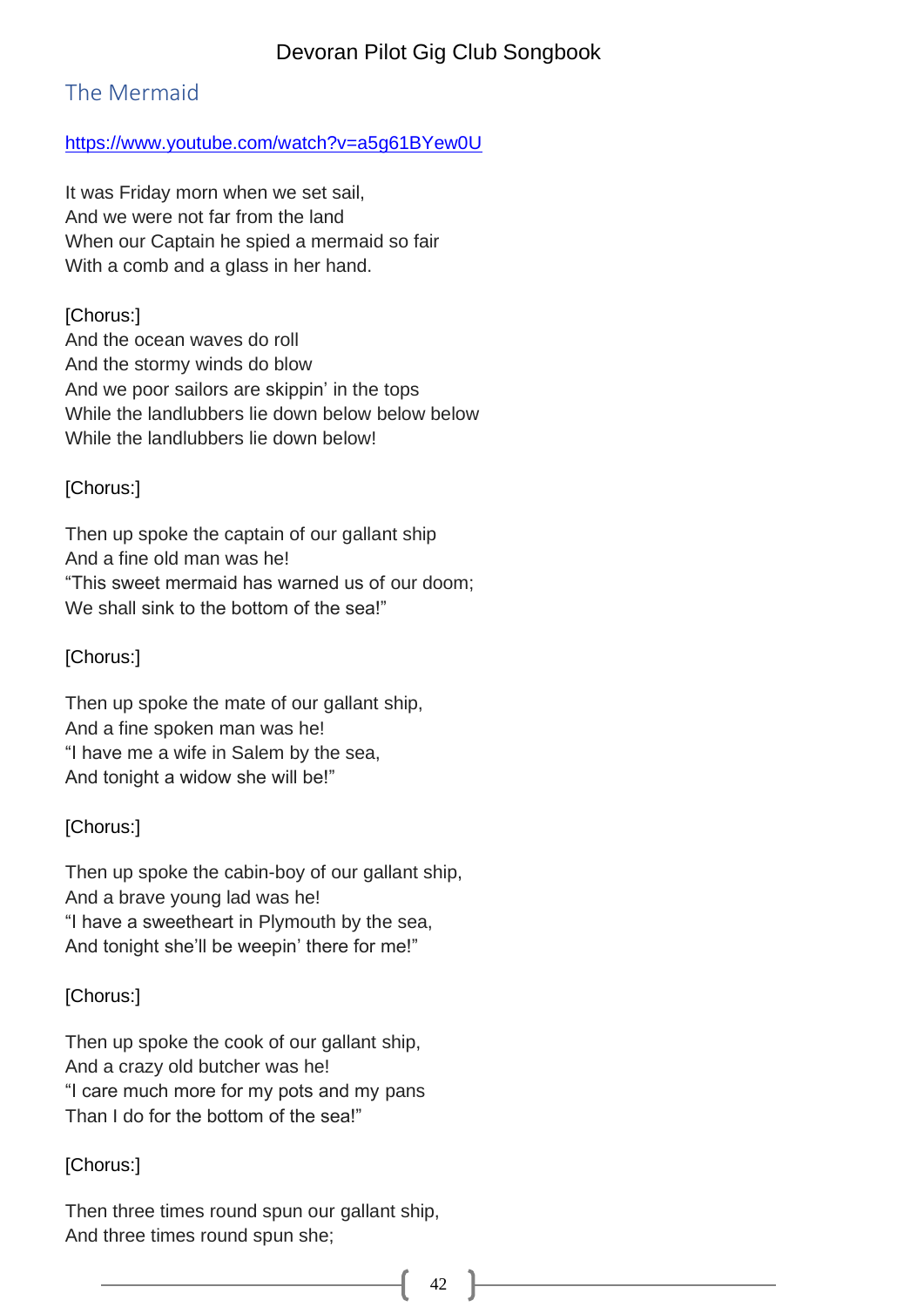## The Mermaid

#### <https://www.youtube.com/watch?v=a5g61BYew0U>

It was Friday morn when we set sail, And we were not far from the land When our Captain he spied a mermaid so fair With a comb and a glass in her hand.

#### [Chorus:]

And the ocean waves do roll And the stormy winds do blow And we poor sailors are skippin' in the tops While the landlubbers lie down below below below While the landlubbers lie down below!

### [Chorus:]

Then up spoke the captain of our gallant ship And a fine old man was he! "This sweet mermaid has warned us of our doom; We shall sink to the bottom of the sea!"

#### [Chorus:]

Then up spoke the mate of our gallant ship, And a fine spoken man was he! "I have me a wife in Salem by the sea, And tonight a widow she will be!"

#### [Chorus:]

Then up spoke the cabin-boy of our gallant ship, And a brave young lad was he! "I have a sweetheart in Plymouth by the sea, And tonight she'll be weepin' there for me!"

#### [Chorus:]

Then up spoke the cook of our gallant ship, And a crazy old butcher was he! "I care much more for my pots and my pans Than I do for the bottom of the sea!"

#### [Chorus:]

Then three times round spun our gallant ship, And three times round spun she;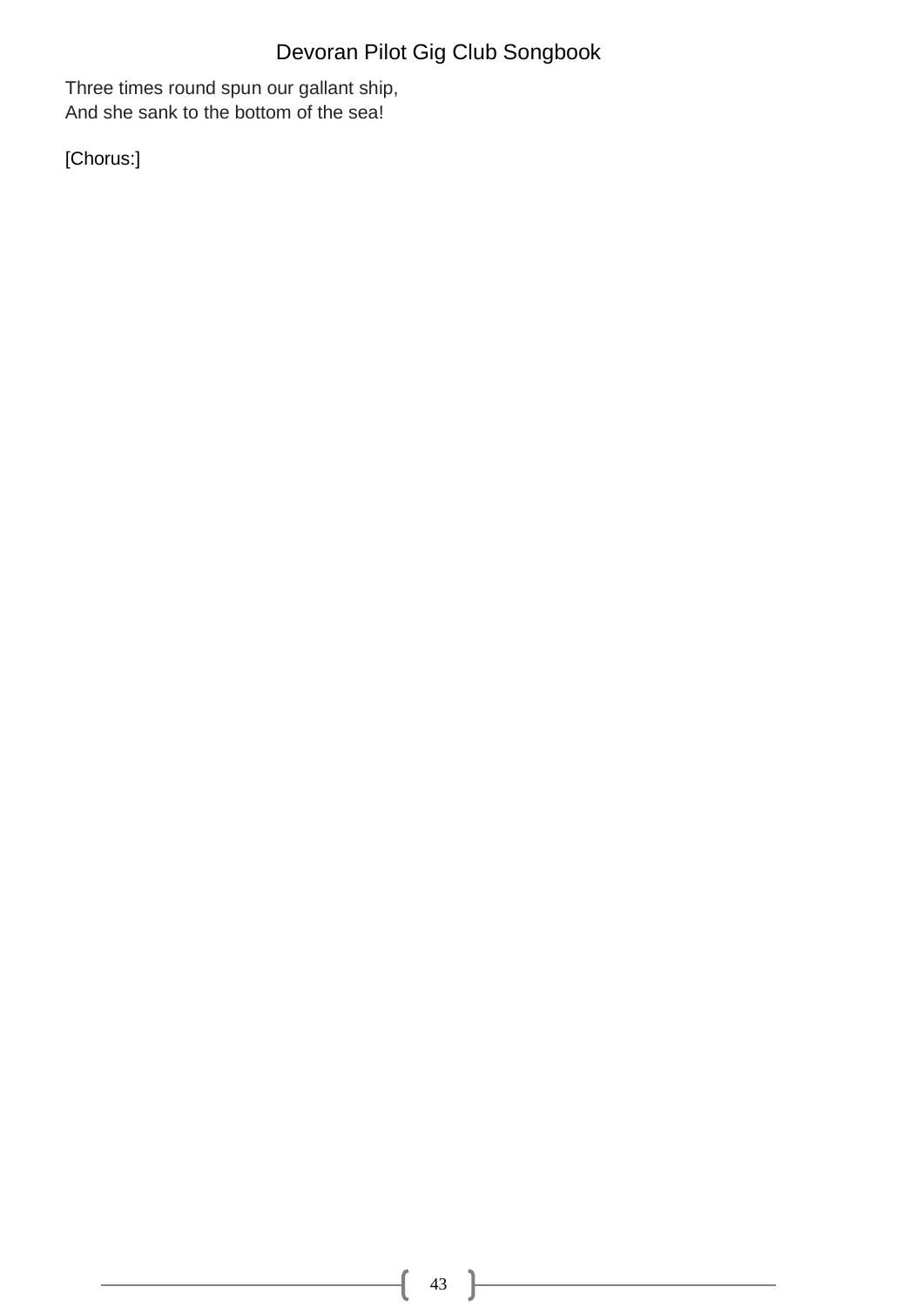Three times round spun our gallant ship, And she sank to the bottom of the sea!

[Chorus:]

<u> 1989 - Johann Barbara, martxa a</u>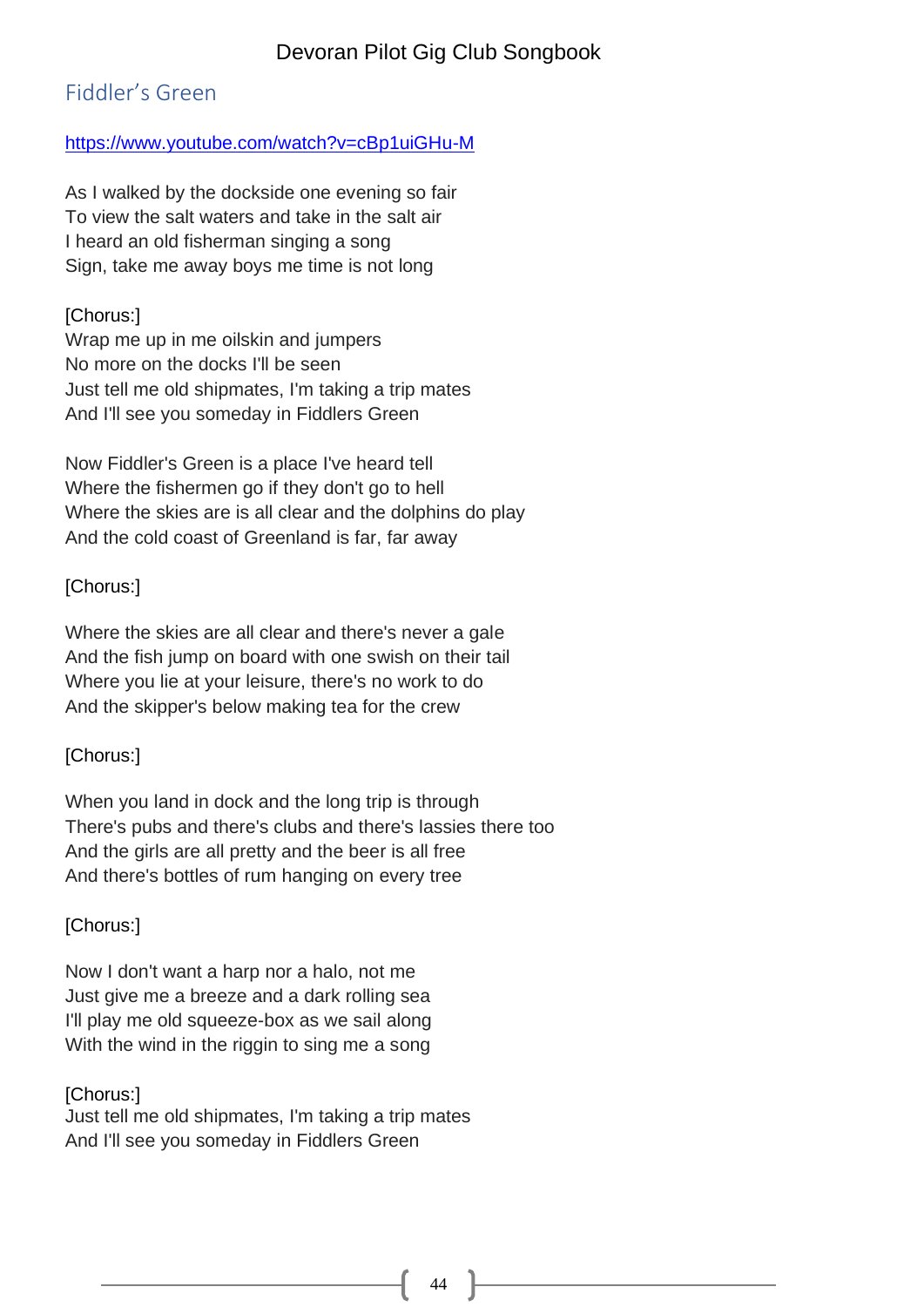## Fiddler's Green

### <https://www.youtube.com/watch?v=cBp1uiGHu-M>

As I walked by the dockside one evening so fair To view the salt waters and take in the salt air I heard an old fisherman singing a song Sign, take me away boys me time is not long

### [Chorus:]

Wrap me up in me oilskin and jumpers No more on the docks I'll be seen Just tell me old shipmates, I'm taking a trip mates And I'll see you someday in Fiddlers Green

Now Fiddler's Green is a place I've heard tell Where the fishermen go if they don't go to hell Where the skies are is all clear and the dolphins do play And the cold coast of Greenland is far, far away

### [Chorus:]

Where the skies are all clear and there's never a gale And the fish jump on board with one swish on their tail Where you lie at your leisure, there's no work to do And the skipper's below making tea for the crew

#### [Chorus:]

When you land in dock and the long trip is through There's pubs and there's clubs and there's lassies there too And the girls are all pretty and the beer is all free And there's bottles of rum hanging on every tree

### [Chorus:]

Now I don't want a harp nor a halo, not me Just give me a breeze and a dark rolling sea I'll play me old squeeze-box as we sail along With the wind in the riggin to sing me a song

#### [Chorus:]

Just tell me old shipmates, I'm taking a trip mates And I'll see you someday in Fiddlers Green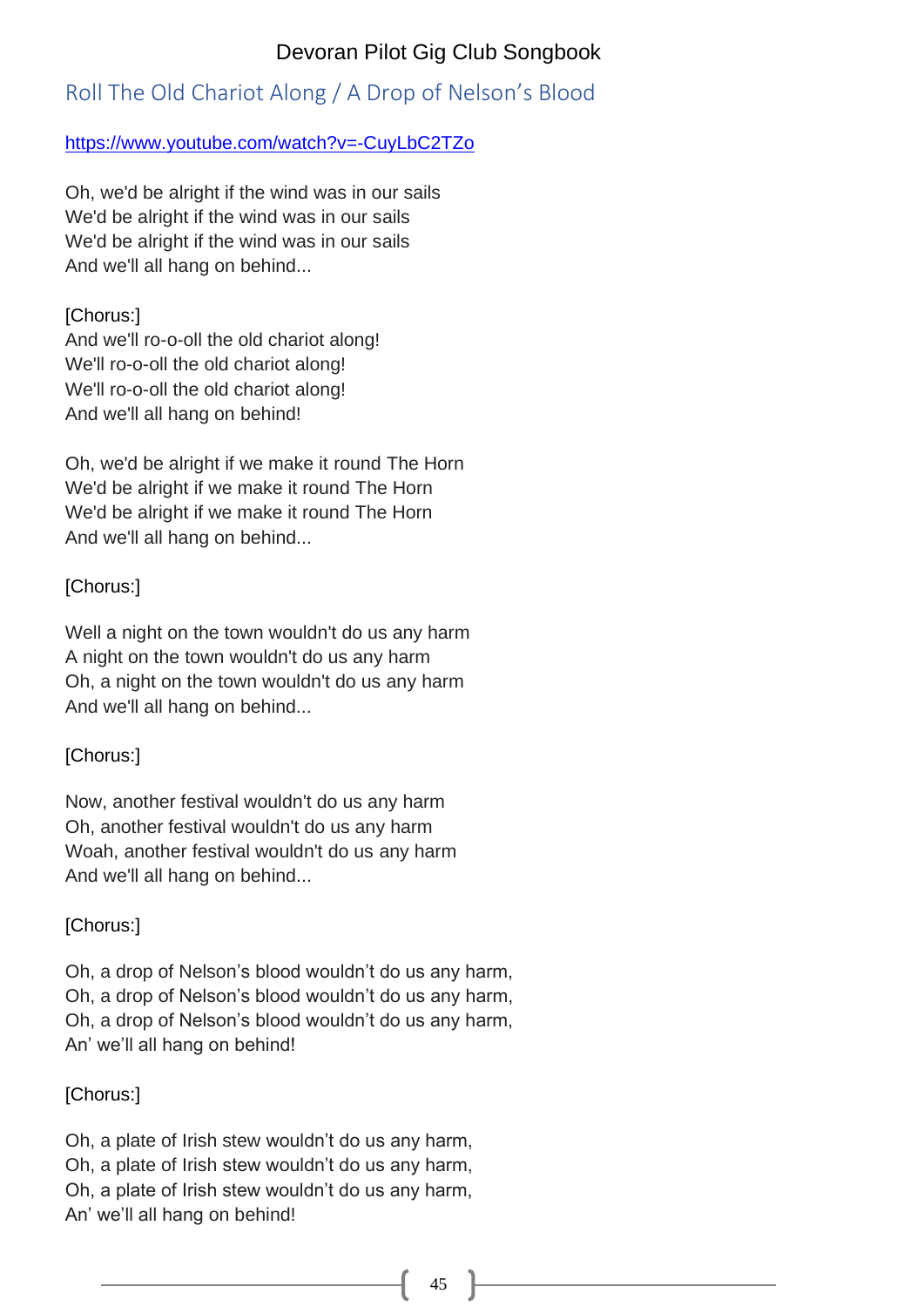## Roll The Old Chariot Along / A Drop of Nelson's Blood

### <https://www.youtube.com/watch?v=-CuyLbC2TZo>

Oh, we'd be alright if the wind was in our sails We'd be alright if the wind was in our sails We'd be alright if the wind was in our sails And we'll all hang on behind...

## [Chorus:]

And we'll ro-o-oll the old chariot along! We'll ro-o-oll the old chariot along! We'll ro-o-oll the old chariot along! And we'll all hang on behind!

Oh, we'd be alright if we make it round The Horn We'd be alright if we make it round The Horn We'd be alright if we make it round The Horn And we'll all hang on behind...

### [Chorus:]

Well a night on the town wouldn't do us any harm A night on the town wouldn't do us any harm Oh, a night on the town wouldn't do us any harm And we'll all hang on behind...

### [Chorus:]

Now, another festival wouldn't do us any harm Oh, another festival wouldn't do us any harm Woah, another festival wouldn't do us any harm And we'll all hang on behind...

### [Chorus:]

Oh, a drop of Nelson's blood wouldn't do us any harm, Oh, a drop of Nelson's blood wouldn't do us any harm, Oh, a drop of Nelson's blood wouldn't do us any harm, An' we'll all hang on behind!

### [Chorus:]

Oh, a plate of Irish stew wouldn't do us any harm, Oh, a plate of Irish stew wouldn't do us any harm, Oh, a plate of Irish stew wouldn't do us any harm, An' we'll all hang on behind!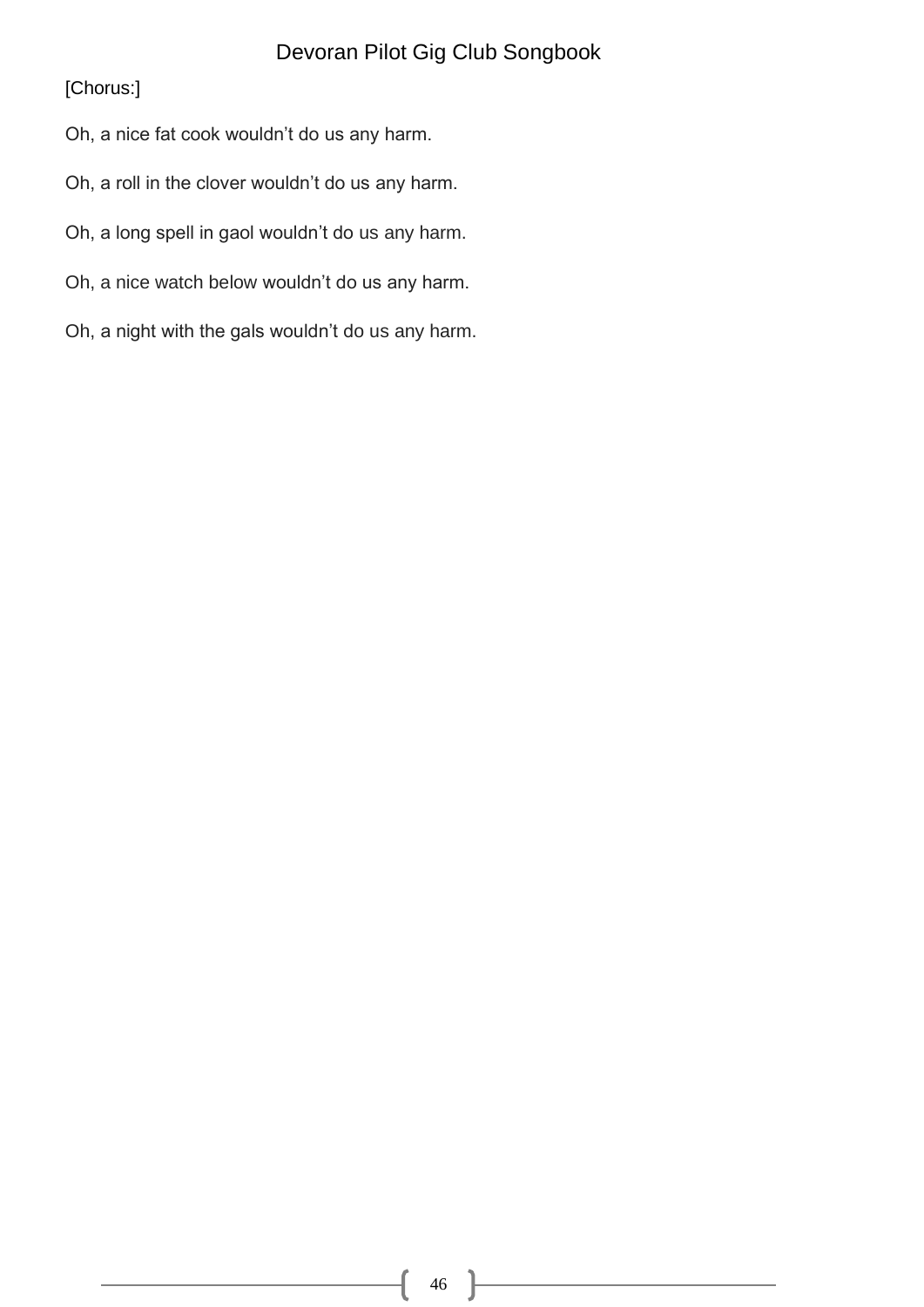- Oh, a nice fat cook wouldn't do us any harm.
- Oh, a roll in the clover wouldn't do us any harm.
- Oh, a long spell in gaol wouldn't do us any harm.
- Oh, a nice watch below wouldn't do us any harm.
- Oh, a night with the gals wouldn't do us any harm.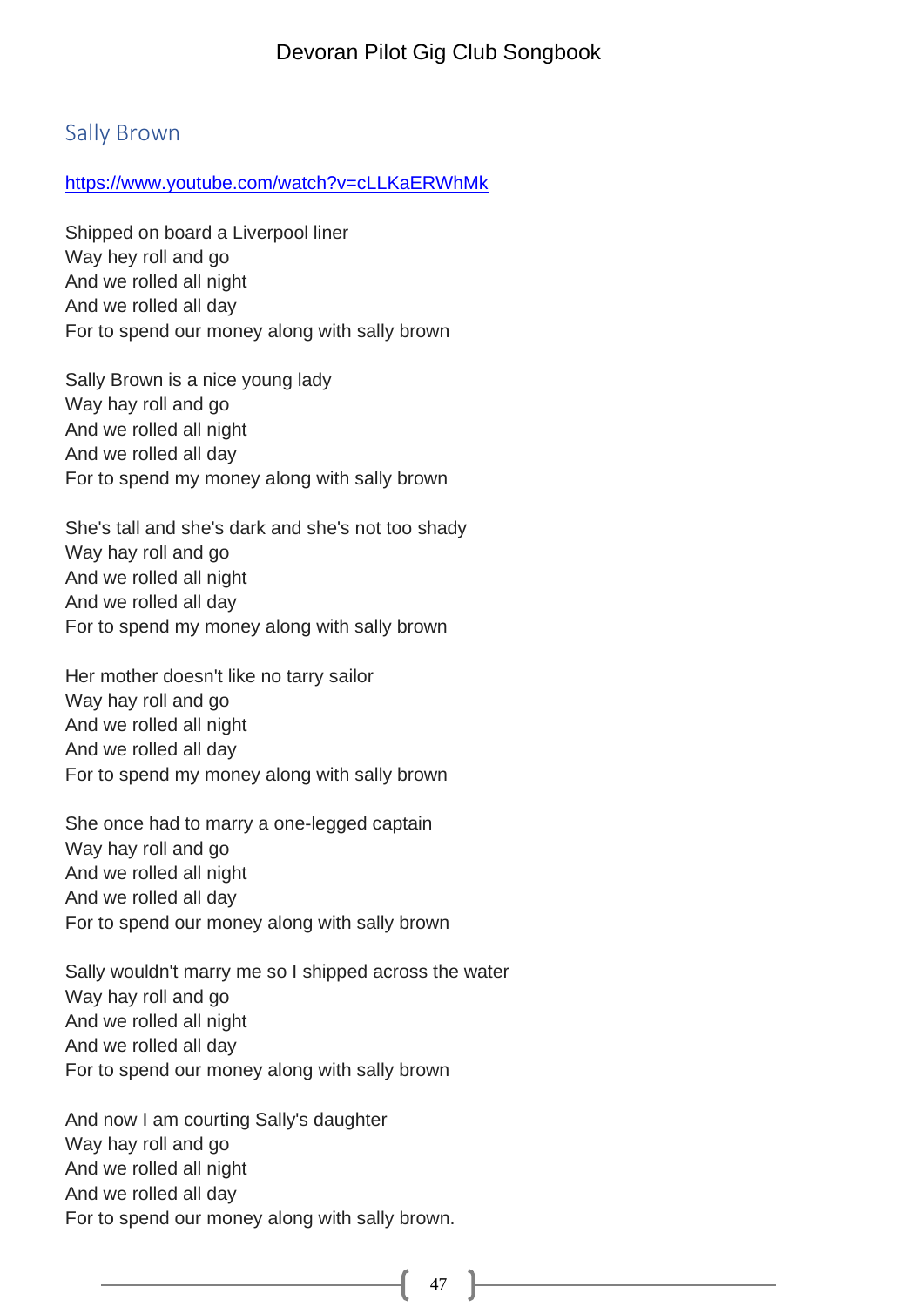### Sally Brown

#### <https://www.youtube.com/watch?v=cLLKaERWhMk>

Shipped on board a Liverpool liner Way hey roll and go And we rolled all night And we rolled all day For to spend our money along with sally brown

Sally Brown is a nice young lady Way hay roll and go And we rolled all night And we rolled all day For to spend my money along with sally brown

She's tall and she's dark and she's not too shady Way hay roll and go And we rolled all night And we rolled all day For to spend my money along with sally brown

Her mother doesn't like no tarry sailor Way hay roll and go And we rolled all night And we rolled all day For to spend my money along with sally brown

She once had to marry a one-legged captain Way hay roll and go And we rolled all night And we rolled all day For to spend our money along with sally brown

Sally wouldn't marry me so I shipped across the water Way hay roll and go And we rolled all night And we rolled all day For to spend our money along with sally brown

And now I am courting Sally's daughter Way hay roll and go And we rolled all night And we rolled all day For to spend our money along with sally brown.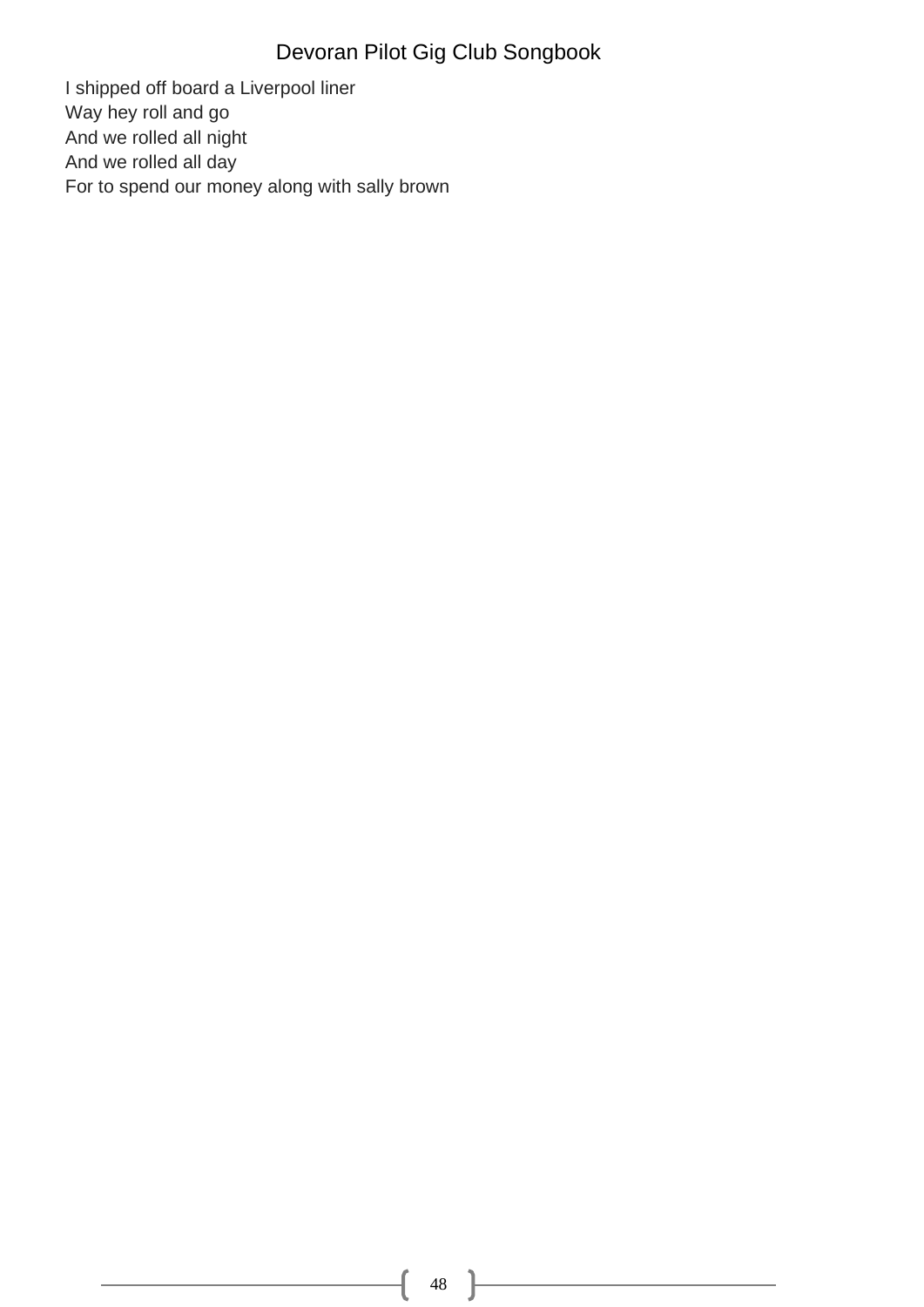I shipped off board a Liverpool liner Way hey roll and go And we rolled all night And we rolled all day For to spend our money along with sally brown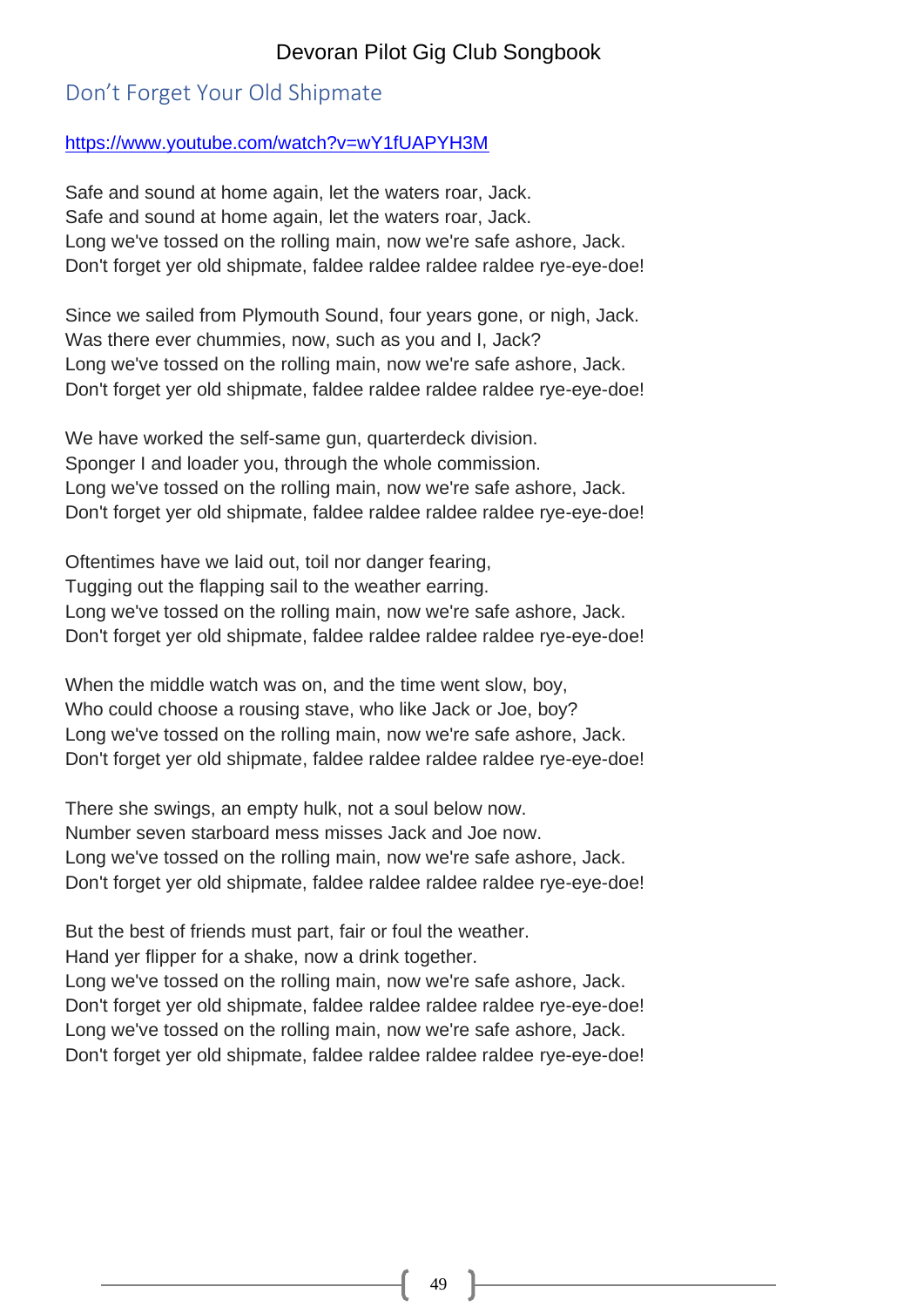### Don't Forget Your Old Shipmate

#### <https://www.youtube.com/watch?v=wY1fUAPYH3M>

Safe and sound at home again, let the waters roar, Jack. Safe and sound at home again, let the waters roar, Jack. Long we've tossed on the rolling main, now we're safe ashore, Jack. Don't forget yer old shipmate, faldee raldee raldee raldee rye-eye-doe!

Since we sailed from Plymouth Sound, four years gone, or nigh, Jack. Was there ever chummies, now, such as you and I, Jack? Long we've tossed on the rolling main, now we're safe ashore, Jack. Don't forget yer old shipmate, faldee raldee raldee raldee rye-eye-doe!

We have worked the self-same gun, quarterdeck division. Sponger I and loader you, through the whole commission. Long we've tossed on the rolling main, now we're safe ashore, Jack. Don't forget yer old shipmate, faldee raldee raldee raldee rye-eye-doe!

Oftentimes have we laid out, toil nor danger fearing, Tugging out the flapping sail to the weather earring. Long we've tossed on the rolling main, now we're safe ashore, Jack. Don't forget yer old shipmate, faldee raldee raldee raldee rye-eye-doe!

When the middle watch was on, and the time went slow, boy, Who could choose a rousing stave, who like Jack or Joe, boy? Long we've tossed on the rolling main, now we're safe ashore, Jack. Don't forget yer old shipmate, faldee raldee raldee raldee rye-eye-doe!

There she swings, an empty hulk, not a soul below now. Number seven starboard mess misses Jack and Joe now. Long we've tossed on the rolling main, now we're safe ashore, Jack. Don't forget yer old shipmate, faldee raldee raldee raldee rye-eye-doe!

But the best of friends must part, fair or foul the weather.

Hand yer flipper for a shake, now a drink together.

Long we've tossed on the rolling main, now we're safe ashore, Jack. Don't forget yer old shipmate, faldee raldee raldee raldee rye-eye-doe! Long we've tossed on the rolling main, now we're safe ashore, Jack. Don't forget yer old shipmate, faldee raldee raldee raldee rye-eye-doe!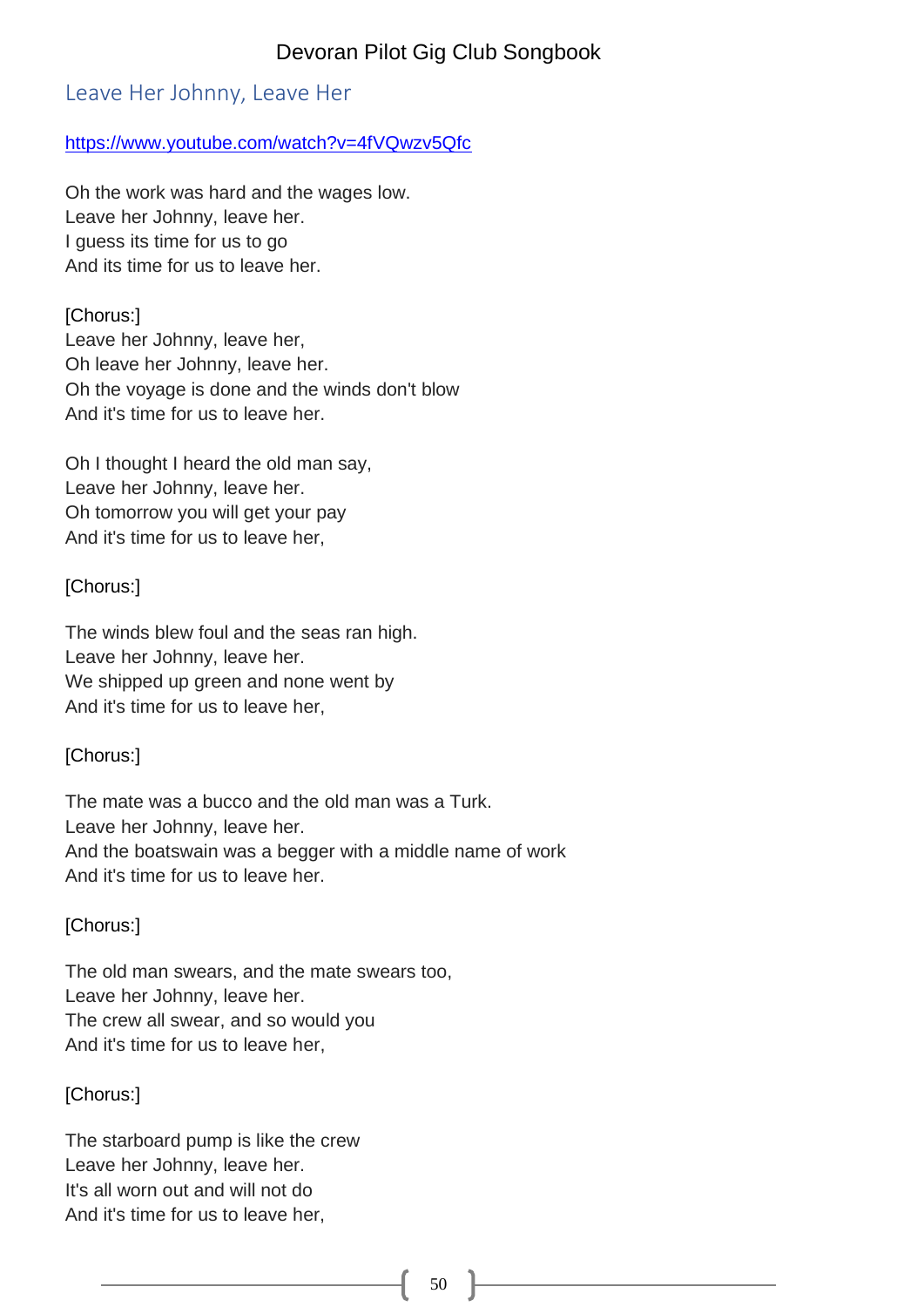### Leave Her Johnny, Leave Her

#### <https://www.youtube.com/watch?v=4fVQwzv5Qfc>

Oh the work was hard and the wages low. Leave her Johnny, leave her. I guess its time for us to go And its time for us to leave her.

#### [Chorus:]

Leave her Johnny, leave her, Oh leave her Johnny, leave her. Oh the voyage is done and the winds don't blow And it's time for us to leave her.

Oh I thought I heard the old man say, Leave her Johnny, leave her. Oh tomorrow you will get your pay And it's time for us to leave her,

#### [Chorus:]

The winds blew foul and the seas ran high. Leave her Johnny, leave her. We shipped up green and none went by And it's time for us to leave her,

#### [Chorus:]

The mate was a bucco and the old man was a Turk. Leave her Johnny, leave her. And the boatswain was a begger with a middle name of work And it's time for us to leave her.

#### [Chorus:]

The old man swears, and the mate swears too, Leave her Johnny, leave her. The crew all swear, and so would you And it's time for us to leave her,

#### [Chorus:]

The starboard pump is like the crew Leave her Johnny, leave her. It's all worn out and will not do And it's time for us to leave her,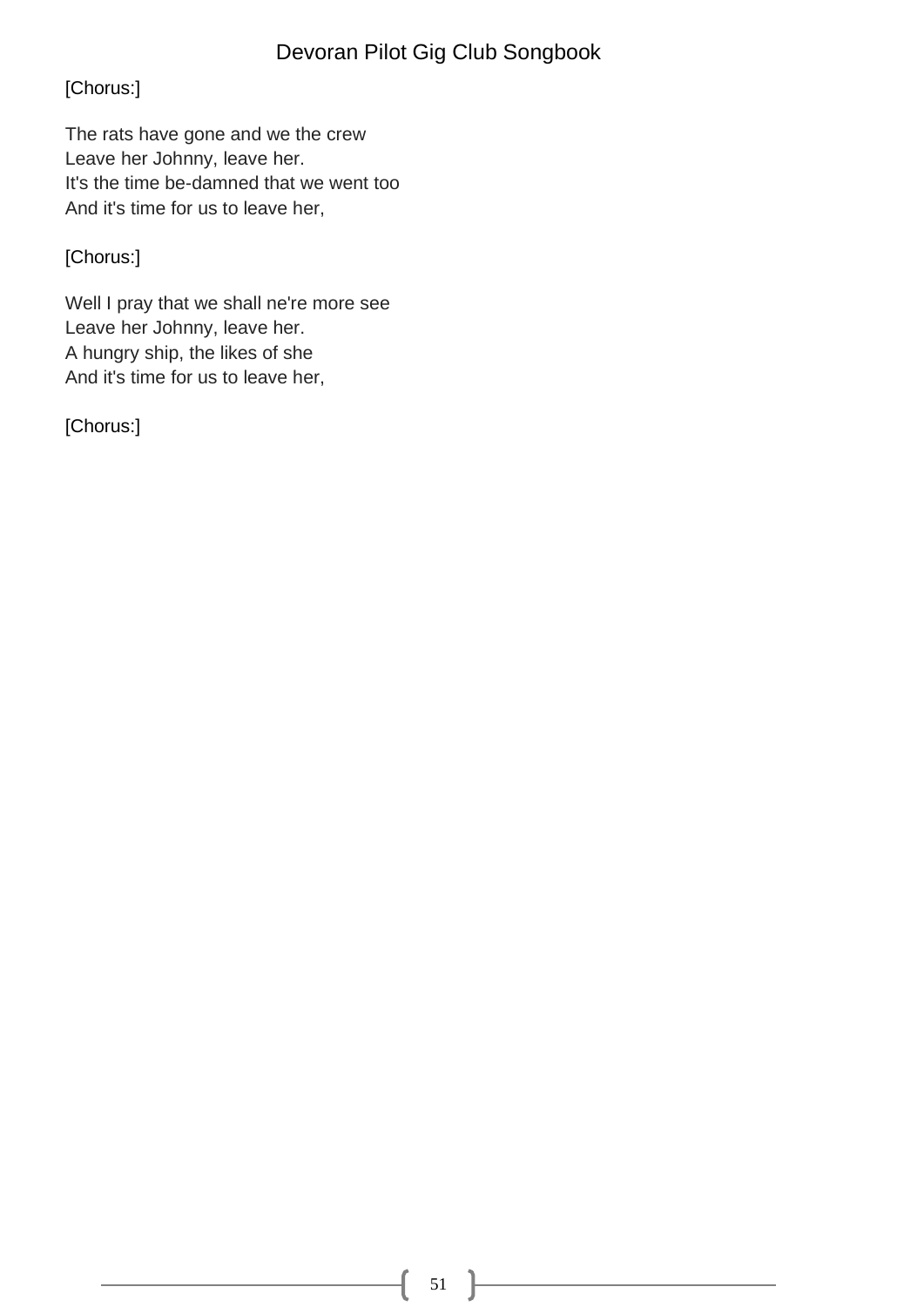[Chorus:]

The rats have gone and we the crew Leave her Johnny, leave her. It's the time be-damned that we went too And it's time for us to leave her,

[Chorus:]

Well I pray that we shall ne're more see Leave her Johnny, leave her. A hungry ship, the likes of she And it's time for us to leave her,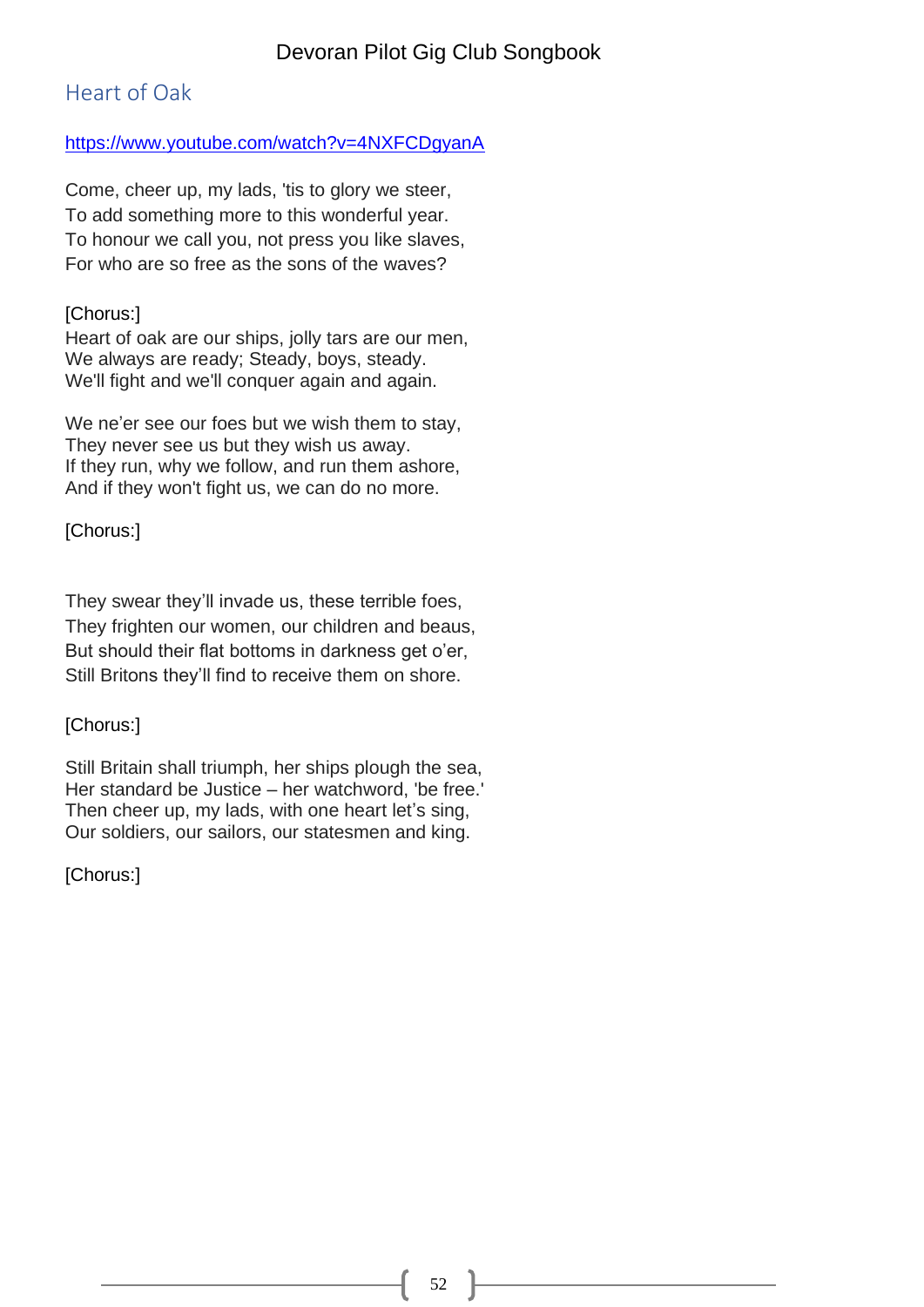## Heart of Oak

### <https://www.youtube.com/watch?v=4NXFCDgyanA>

Come, cheer up, my lads, 'tis to glory we steer, To add something more to this wonderful year. To honour we call you, not press you like slaves, For who are so free as the sons of the waves?

### [Chorus:]

Heart of oak are our ships, jolly tars are our men, We always are ready; Steady, boys, steady. We'll fight and we'll conquer again and again.

We ne'er see our foes but we wish them to stay, They never see us but they wish us away. If they run, why we follow, and run them ashore, And if they won't fight us, we can do no more.

### [Chorus:]

They swear they'll invade us, these terrible foes, They frighten our women, our children and beaus, But should their flat bottoms in darkness get o'er, Still Britons they'll find to receive them on shore.

#### [Chorus:]

Still Britain shall triumph, her ships plough the sea, Her standard be Justice – her watchword, 'be free.' Then cheer up, my lads, with one heart let's sing, Our soldiers, our sailors, our statesmen and king.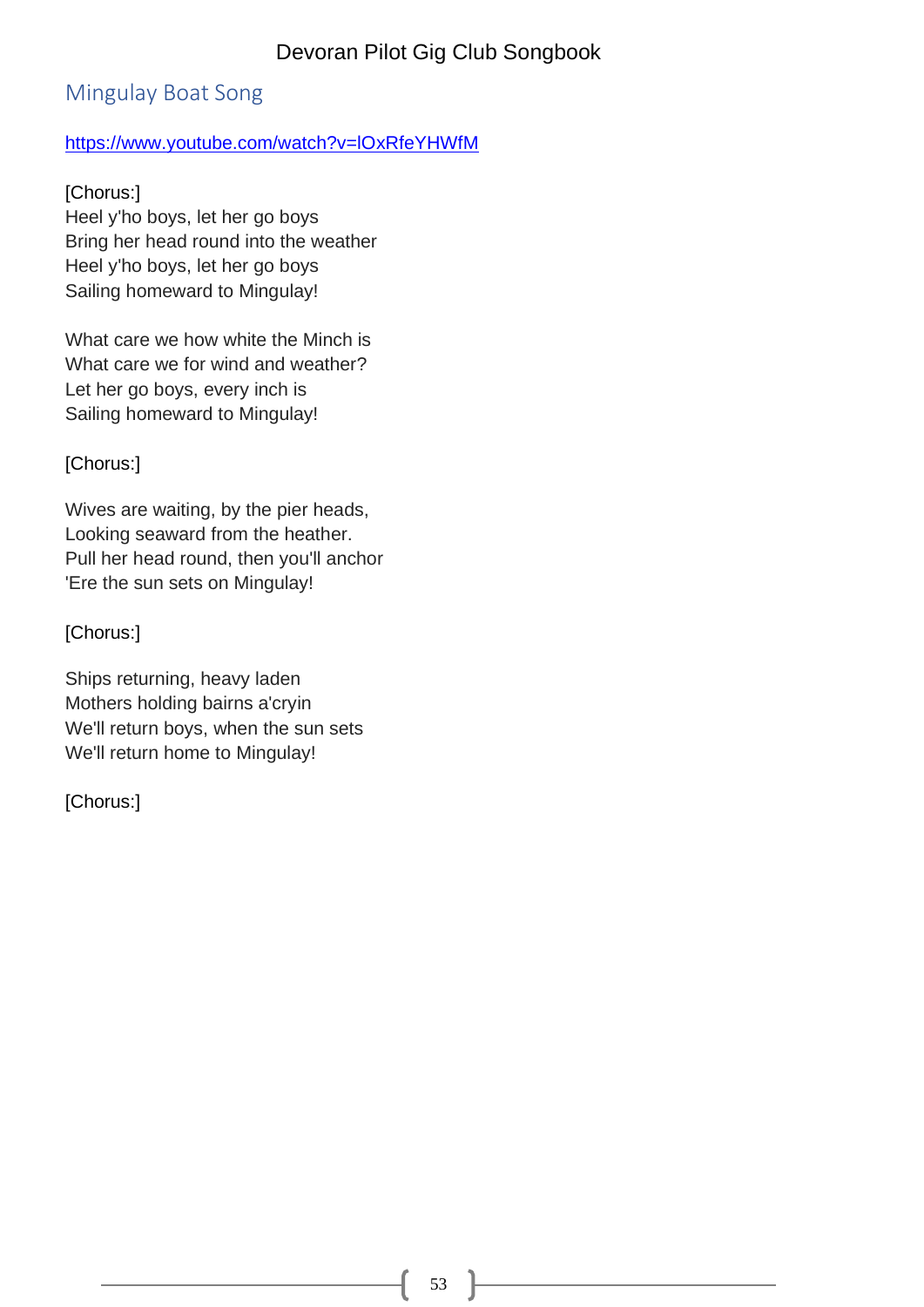## Mingulay Boat Song

#### <https://www.youtube.com/watch?v=lOxRfeYHWfM>

[Chorus:] Heel y'ho boys, let her go boys Bring her head round into the weather Heel y'ho boys, let her go boys Sailing homeward to Mingulay!

What care we how white the Minch is What care we for wind and weather? Let her go boys, every inch is Sailing homeward to Mingulay!

[Chorus:]

Wives are waiting, by the pier heads, Looking seaward from the heather. Pull her head round, then you'll anchor 'Ere the sun sets on Mingulay!

[Chorus:]

Ships returning, heavy laden Mothers holding bairns a'cryin We'll return boys, when the sun sets We'll return home to Mingulay!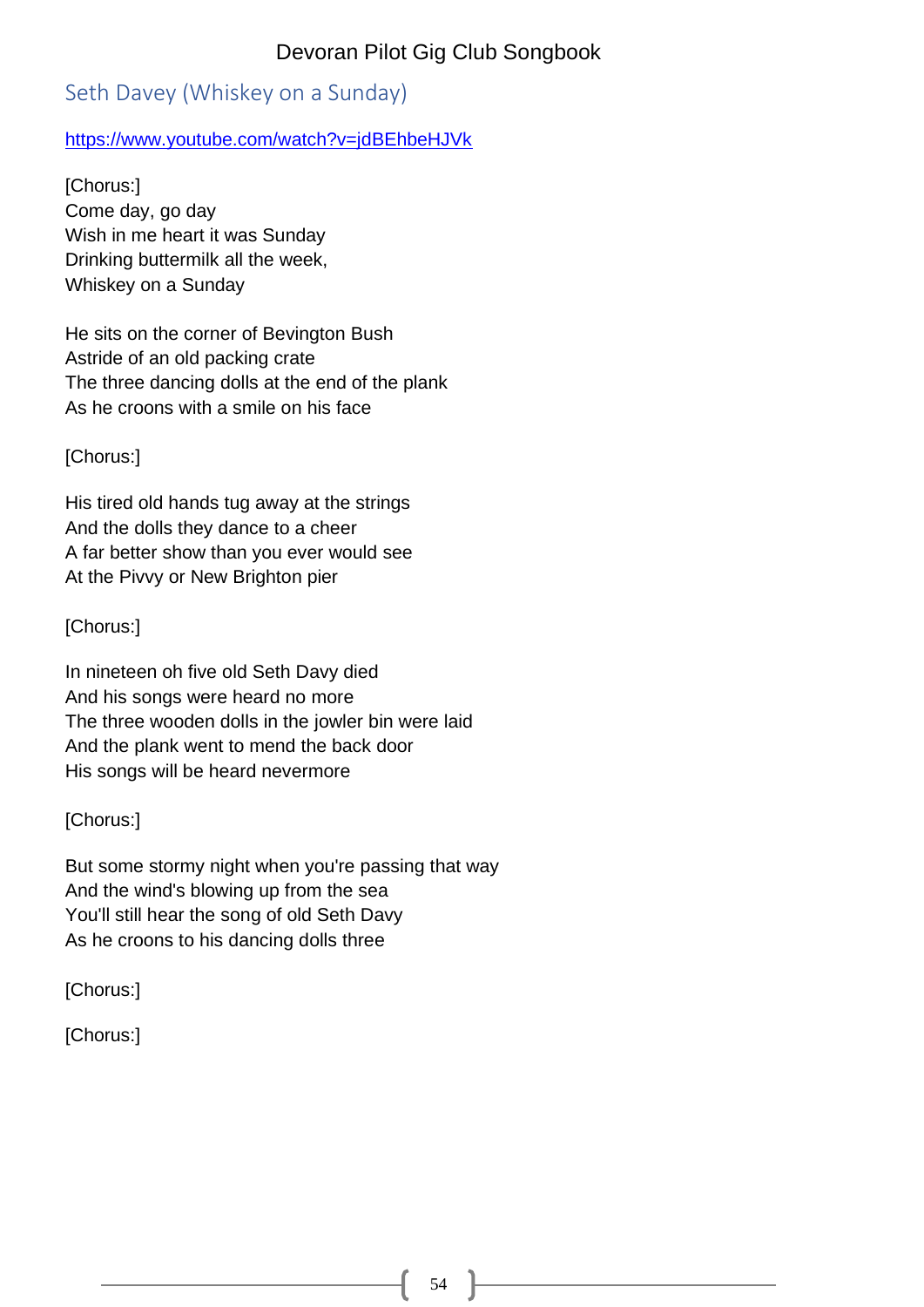## Seth Davey (Whiskey on a Sunday)

### <https://www.youtube.com/watch?v=jdBEhbeHJVk>

[Chorus:] Come day, go day Wish in me heart it was Sunday Drinking buttermilk all the week, Whiskey on a Sunday

He sits on the corner of Bevington Bush Astride of an old packing crate The three dancing dolls at the end of the plank As he croons with a smile on his face

[Chorus:]

His tired old hands tug away at the strings And the dolls they dance to a cheer A far better show than you ever would see At the Pivvy or New Brighton pier

### [Chorus:]

In nineteen oh five old Seth Davy died And his songs were heard no more The three wooden dolls in the jowler bin were laid And the plank went to mend the back door His songs will be heard nevermore

### [Chorus:]

But some stormy night when you're passing that way And the wind's blowing up from the sea You'll still hear the song of old Seth Davy As he croons to his dancing dolls three

[Chorus:]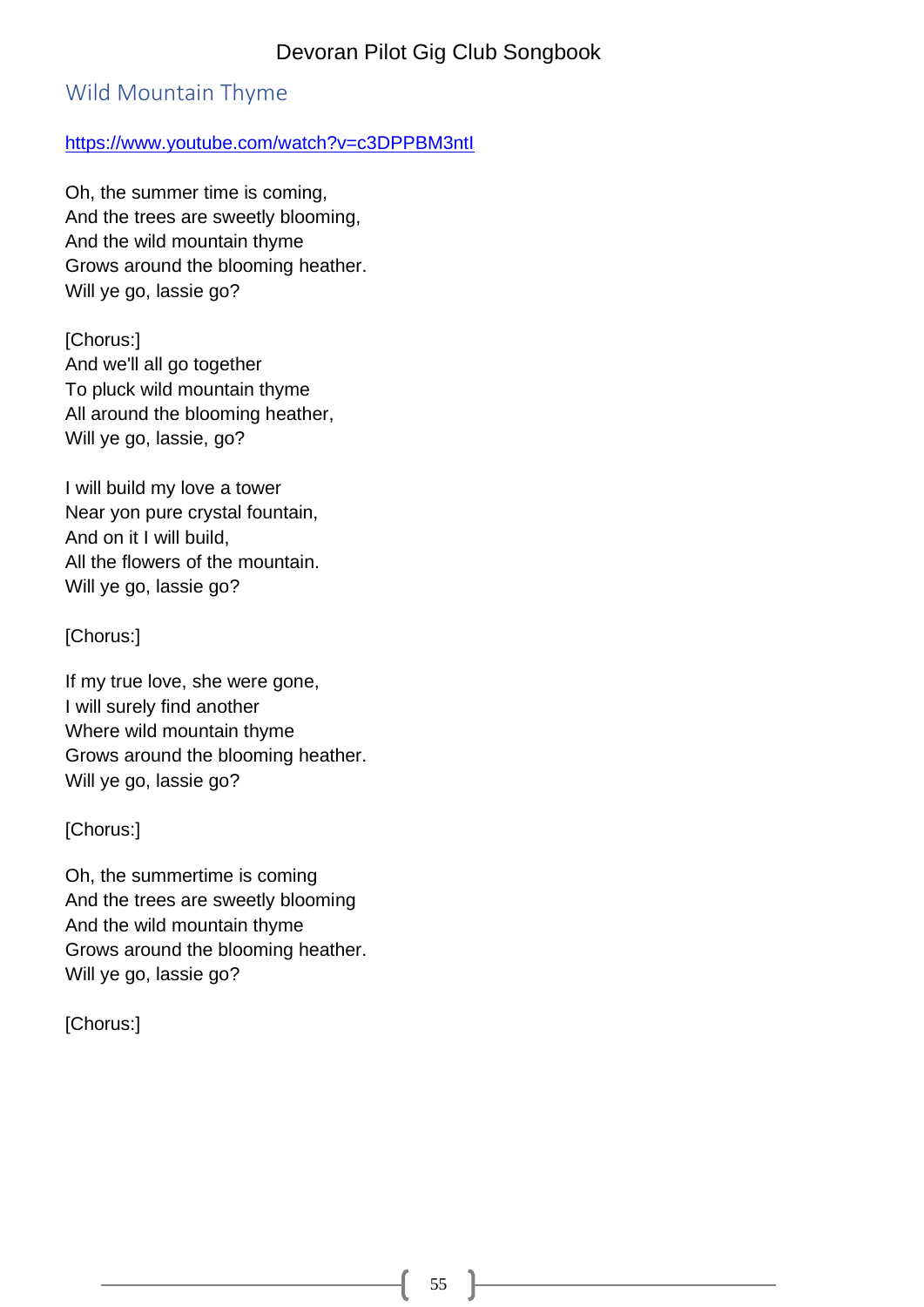## Wild Mountain Thyme

### <https://www.youtube.com/watch?v=c3DPPBM3ntI>

Oh, the summer time is coming, And the trees are sweetly blooming, And the wild mountain thyme Grows around the blooming heather. Will ye go, lassie go?

[Chorus:] And we'll all go together To pluck wild mountain thyme All around the blooming heather, Will ye go, lassie, go?

I will build my love a tower Near yon pure crystal fountain, And on it I will build, All the flowers of the mountain. Will ye go, lassie go?

[Chorus:]

If my true love, she were gone, I will surely find another Where wild mountain thyme Grows around the blooming heather. Will ye go, lassie go?

[Chorus:]

Oh, the summertime is coming And the trees are sweetly blooming And the wild mountain thyme Grows around the blooming heather. Will ye go, lassie go?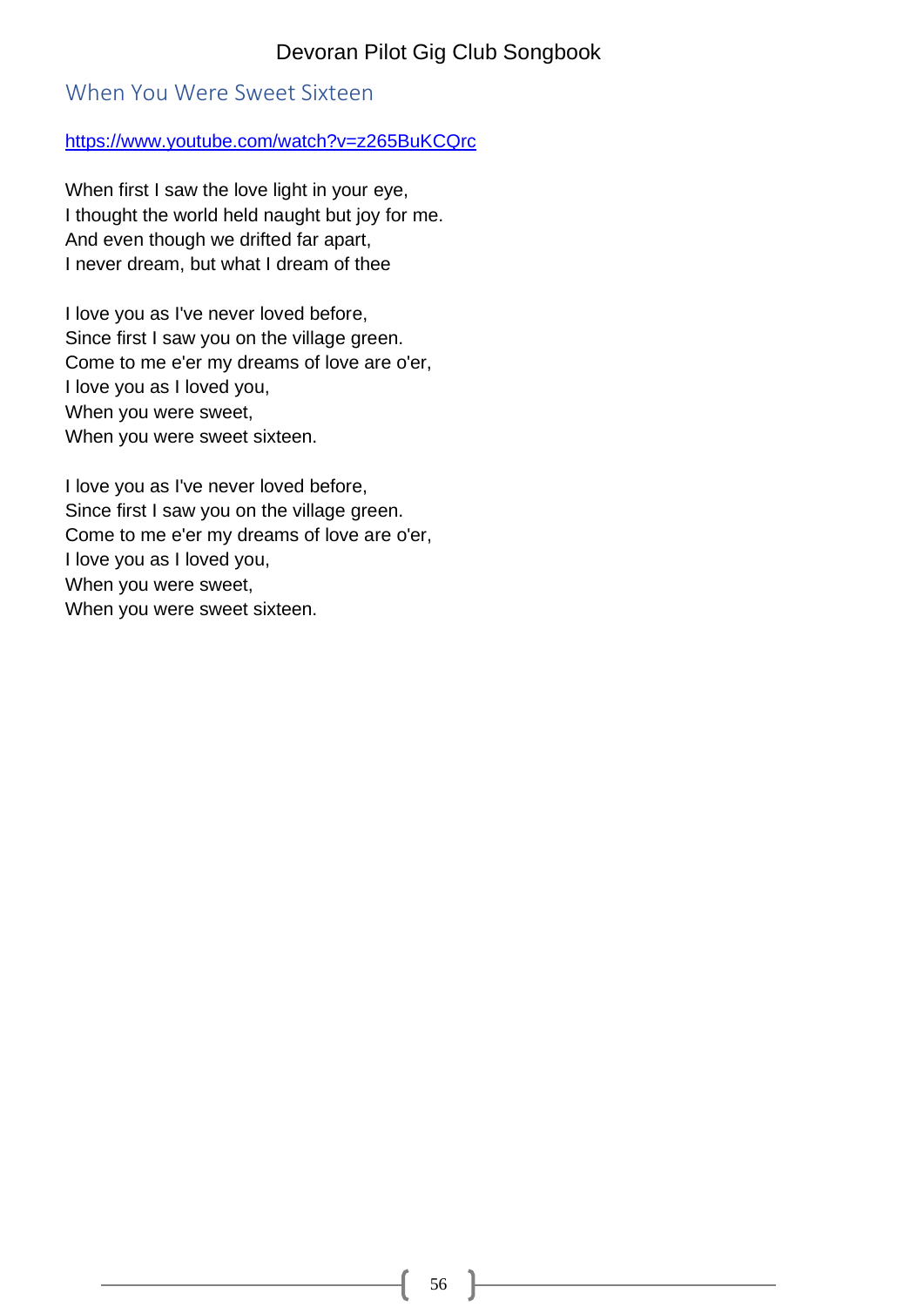### When You Were Sweet Sixteen

#### <https://www.youtube.com/watch?v=z265BuKCQrc>

When first I saw the love light in your eye, I thought the world held naught but joy for me. And even though we drifted far apart, I never dream, but what I dream of thee

I love you as I've never loved before, Since first I saw you on the village green. Come to me e'er my dreams of love are o'er, I love you as I loved you, When you were sweet, When you were sweet sixteen.

I love you as I've never loved before, Since first I saw you on the village green. Come to me e'er my dreams of love are o'er, I love you as I loved you, When you were sweet, When you were sweet sixteen.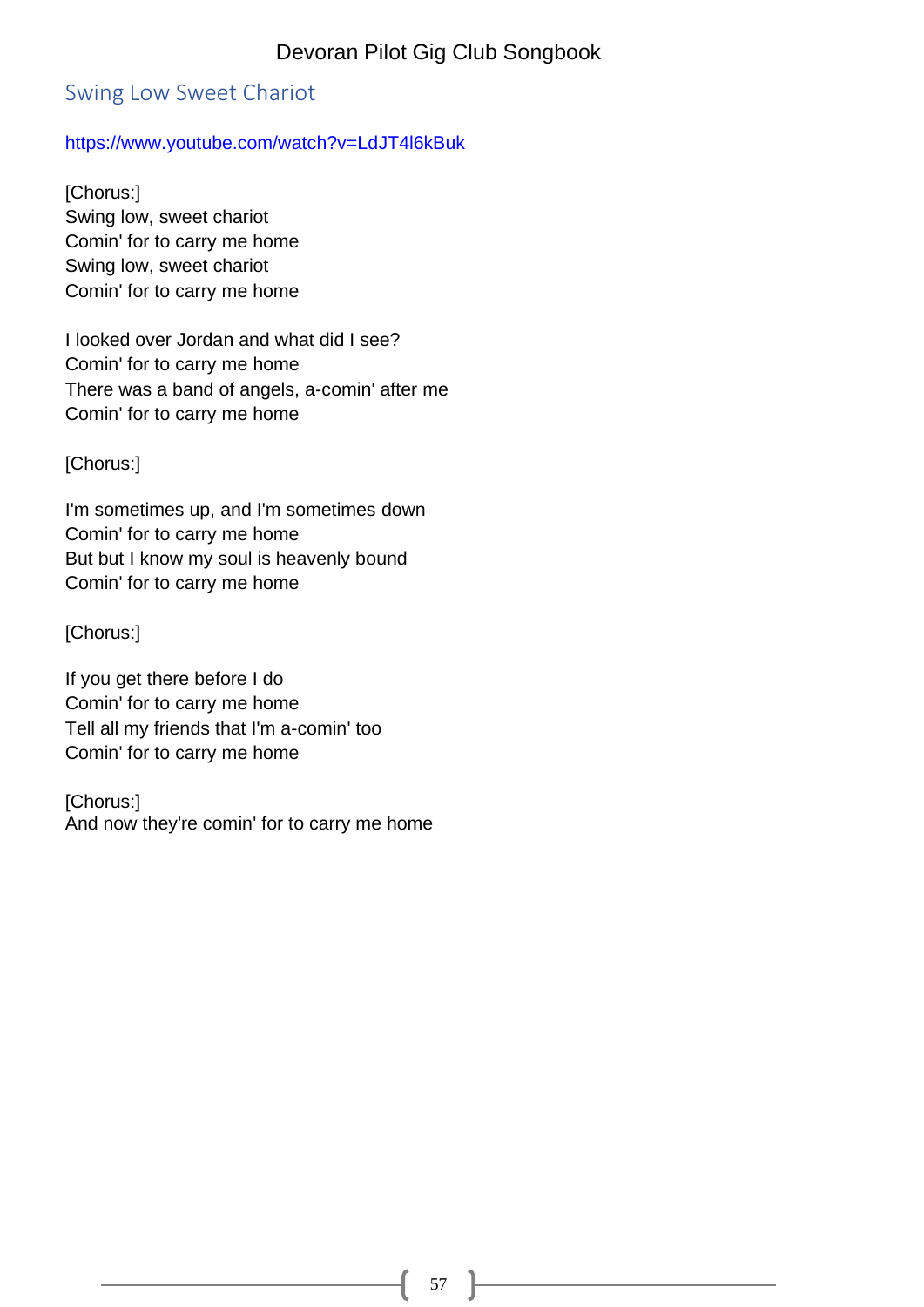### Swing Low Sweet Chariot

#### <https://www.youtube.com/watch?v=LdJT4l6kBuk>

[Chorus:] Swing low, sweet chariot Comin' for to carry me home Swing low, sweet chariot Comin' for to carry me home

I looked over Jordan and what did I see? Comin' for to carry me home There was a band of angels, a-comin' after me Comin' for to carry me home

[Chorus:]

I'm sometimes up, and I'm sometimes down Comin' for to carry me home But but I know my soul is heavenly bound Comin' for to carry me home

[Chorus:]

If you get there before I do Comin' for to carry me home Tell all my friends that I'm a-comin' too Comin' for to carry me home

[Chorus:] And now they're comin' for to carry me home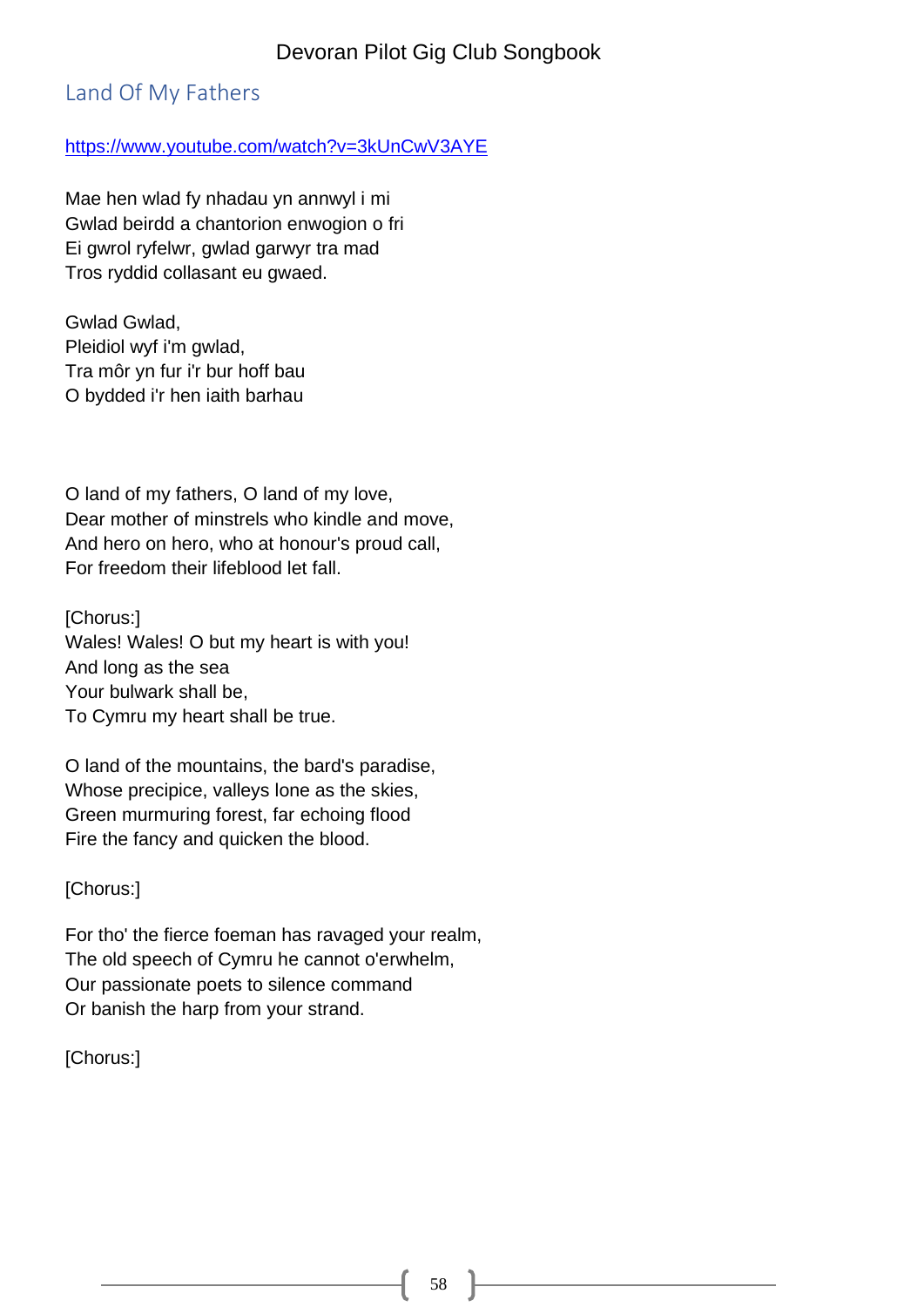## Land Of My Fathers

#### <https://www.youtube.com/watch?v=3kUnCwV3AYE>

Mae hen wlad fy nhadau yn annwyl i mi Gwlad beirdd a chantorion enwogion o fri Ei gwrol ryfelwr, gwlad garwyr tra mad Tros ryddid collasant eu gwaed.

Gwlad Gwlad, Pleidiol wyf i'm gwlad, Tra môr yn fur i'r bur hoff bau O bydded i'r hen iaith barhau

O land of my fathers, O land of my love, Dear mother of minstrels who kindle and move, And hero on hero, who at honour's proud call, For freedom their lifeblood let fall.

[Chorus:] Wales! Wales! O but my heart is with you! And long as the sea Your bulwark shall be, To Cymru my heart shall be true.

O land of the mountains, the bard's paradise, Whose precipice, valleys lone as the skies, Green murmuring forest, far echoing flood Fire the fancy and quicken the blood.

#### [Chorus:]

For tho' the fierce foeman has ravaged your realm, The old speech of Cymru he cannot o'erwhelm, Our passionate poets to silence command Or banish the harp from your strand.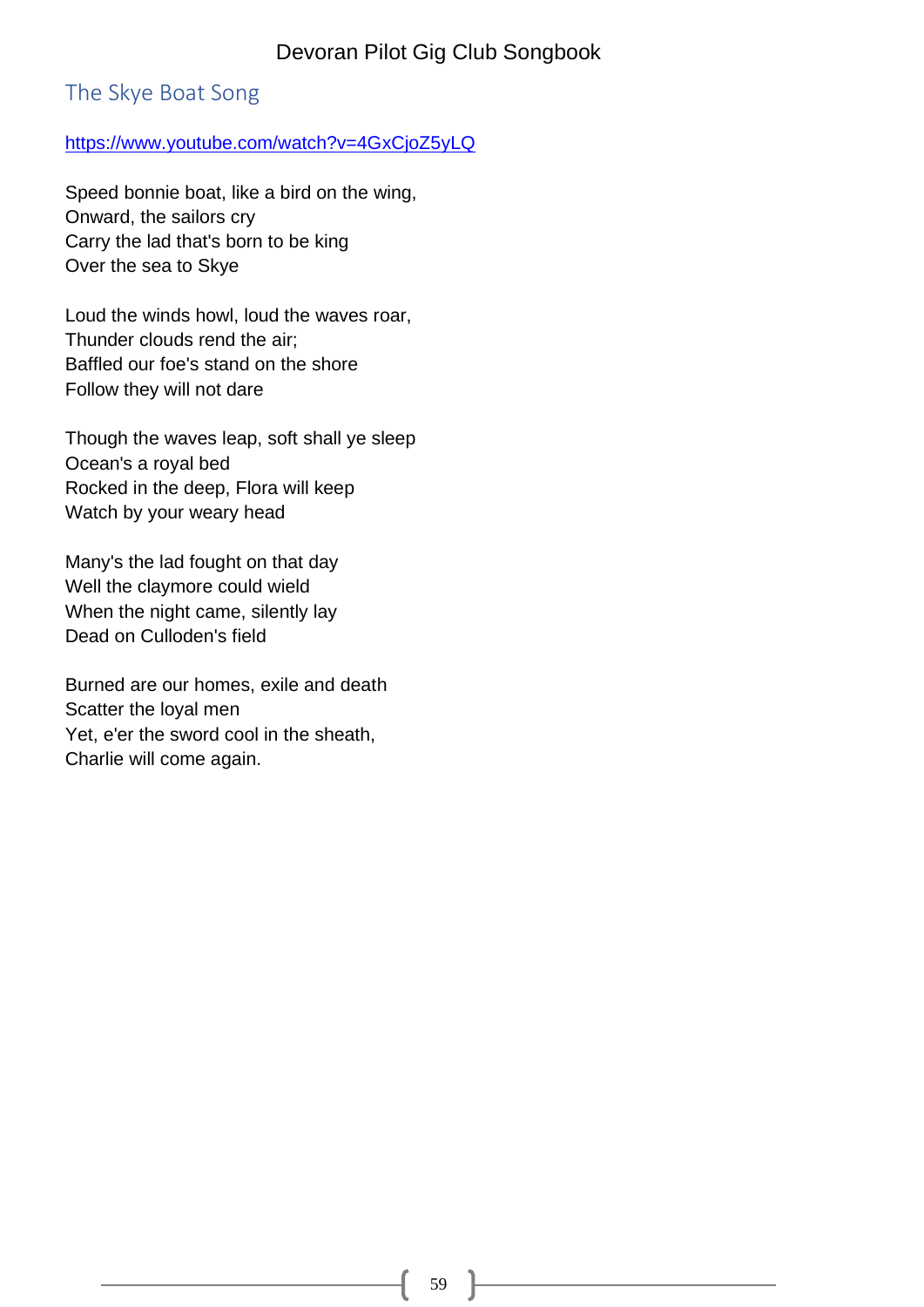The Skye Boat Song

#### <https://www.youtube.com/watch?v=4GxCjoZ5yLQ>

Speed bonnie boat, like a bird on the wing, Onward, the sailors cry Carry the lad that's born to be king Over the sea to Skye

Loud the winds howl, loud the waves roar, Thunder clouds rend the air; Baffled our foe's stand on the shore Follow they will not dare

Though the waves leap, soft shall ye sleep Ocean's a royal bed Rocked in the deep, Flora will keep Watch by your weary head

Many's the lad fought on that day Well the claymore could wield When the night came, silently lay Dead on Culloden's field

Burned are our homes, exile and death Scatter the loyal men Yet, e'er the sword cool in the sheath, Charlie will come again.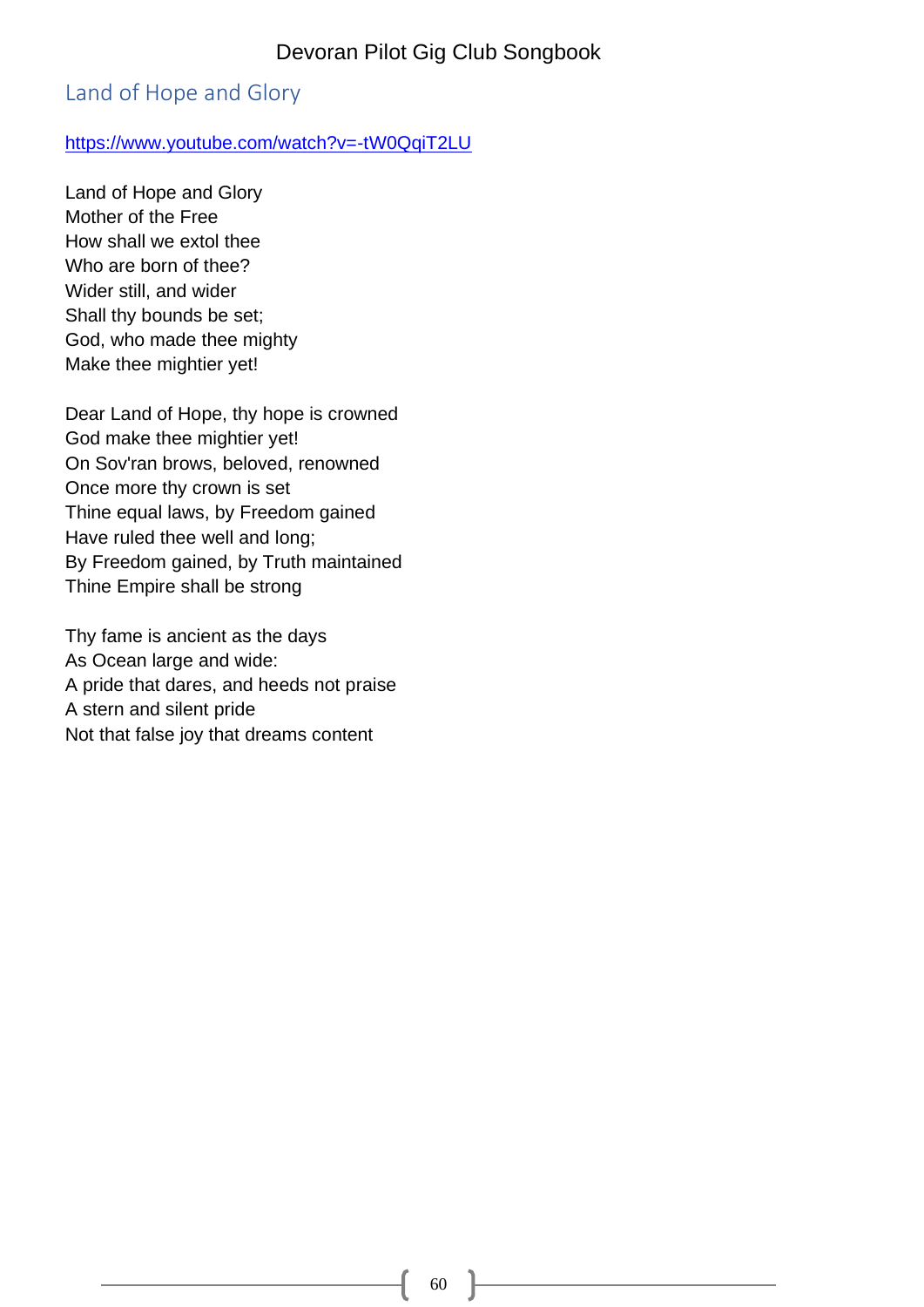### Land of Hope and Glory

#### <https://www.youtube.com/watch?v=-tW0QqiT2LU>

Land of Hope and Glory Mother of the Free How shall we extol thee Who are born of thee? Wider still, and wider Shall thy bounds be set; God, who made thee mighty Make thee mightier yet!

Dear Land of Hope, thy hope is crowned God make thee mightier yet! On Sov'ran brows, beloved, renowned Once more thy crown is set Thine equal laws, by Freedom gained Have ruled thee well and long; By Freedom gained, by Truth maintained Thine Empire shall be strong

Thy fame is ancient as the days As Ocean large and wide: A pride that dares, and heeds not praise A stern and silent pride Not that false joy that dreams content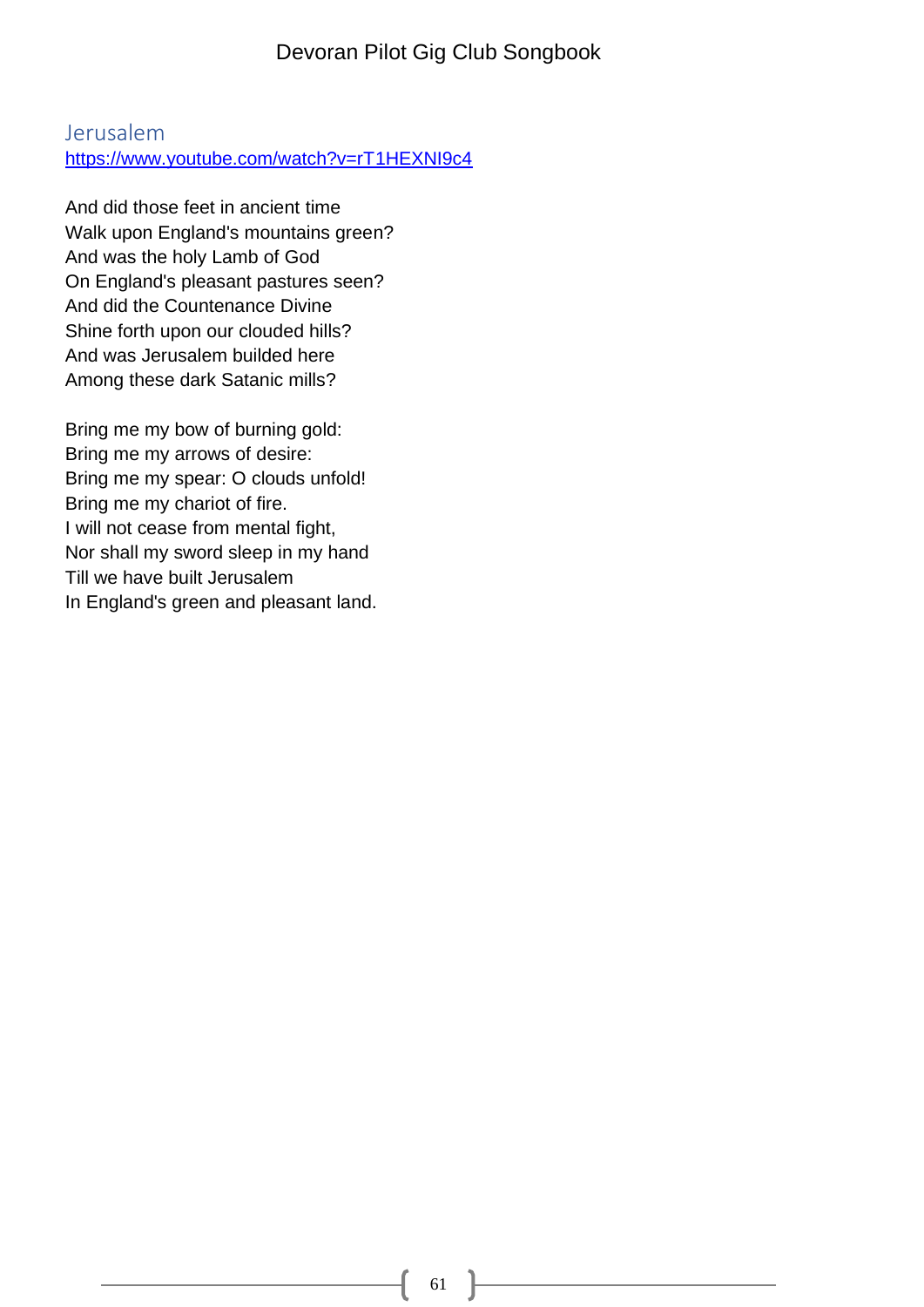### Jerusalem

<https://www.youtube.com/watch?v=rT1HEXNI9c4>

And did those feet in ancient time Walk upon England's mountains green? And was the holy Lamb of God On England's pleasant pastures seen? And did the Countenance Divine Shine forth upon our clouded hills? And was Jerusalem builded here Among these dark Satanic mills?

Bring me my bow of burning gold: Bring me my arrows of desire: Bring me my spear: O clouds unfold! Bring me my chariot of fire. I will not cease from mental fight, Nor shall my sword sleep in my hand Till we have built Jerusalem In England's green and pleasant land.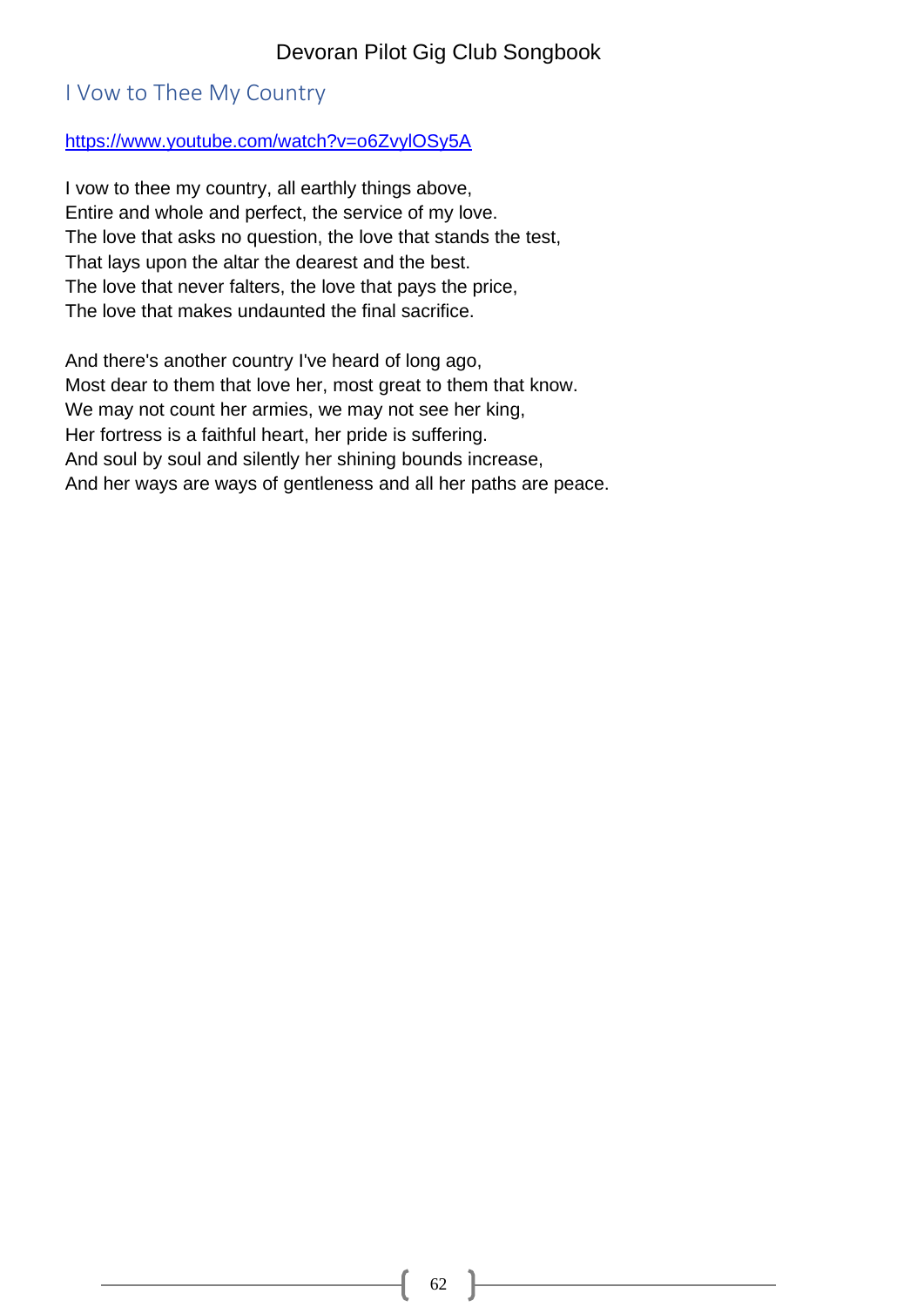### I Vow to Thee My Country

#### <https://www.youtube.com/watch?v=o6ZvylOSy5A>

I vow to thee my country, all earthly things above, Entire and whole and perfect, the service of my love. The love that asks no question, the love that stands the test, That lays upon the altar the dearest and the best. The love that never falters, the love that pays the price, The love that makes undaunted the final sacrifice.

And there's another country I've heard of long ago, Most dear to them that love her, most great to them that know. We may not count her armies, we may not see her king, Her fortress is a faithful heart, her pride is suffering. And soul by soul and silently her shining bounds increase, And her ways are ways of gentleness and all her paths are peace.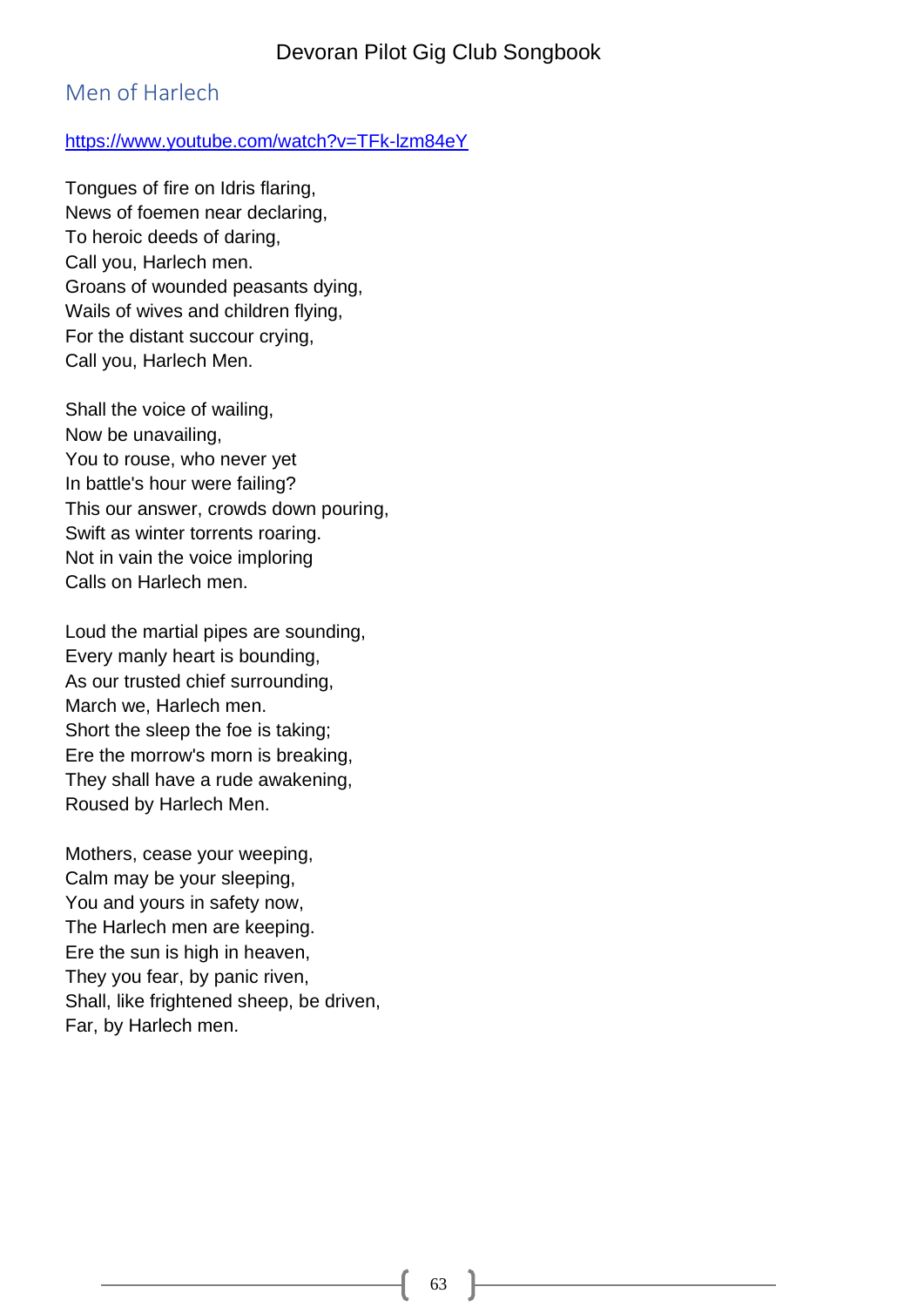## Men of Harlech

#### <https://www.youtube.com/watch?v=TFk-lzm84eY>

Tongues of fire on Idris flaring, News of foemen near declaring, To heroic deeds of daring, Call you, Harlech men. Groans of wounded peasants dying, Wails of wives and children flying, For the distant succour crying, Call you, Harlech Men.

Shall the voice of wailing, Now be unavailing, You to rouse, who never yet In battle's hour were failing? This our answer, crowds down pouring, Swift as winter torrents roaring. Not in vain the voice imploring Calls on Harlech men.

Loud the martial pipes are sounding, Every manly heart is bounding, As our trusted chief surrounding, March we, Harlech men. Short the sleep the foe is taking; Ere the morrow's morn is breaking, They shall have a rude awakening, Roused by Harlech Men.

Mothers, cease your weeping, Calm may be your sleeping, You and yours in safety now, The Harlech men are keeping. Ere the sun is high in heaven, They you fear, by panic riven, Shall, like frightened sheep, be driven, Far, by Harlech men.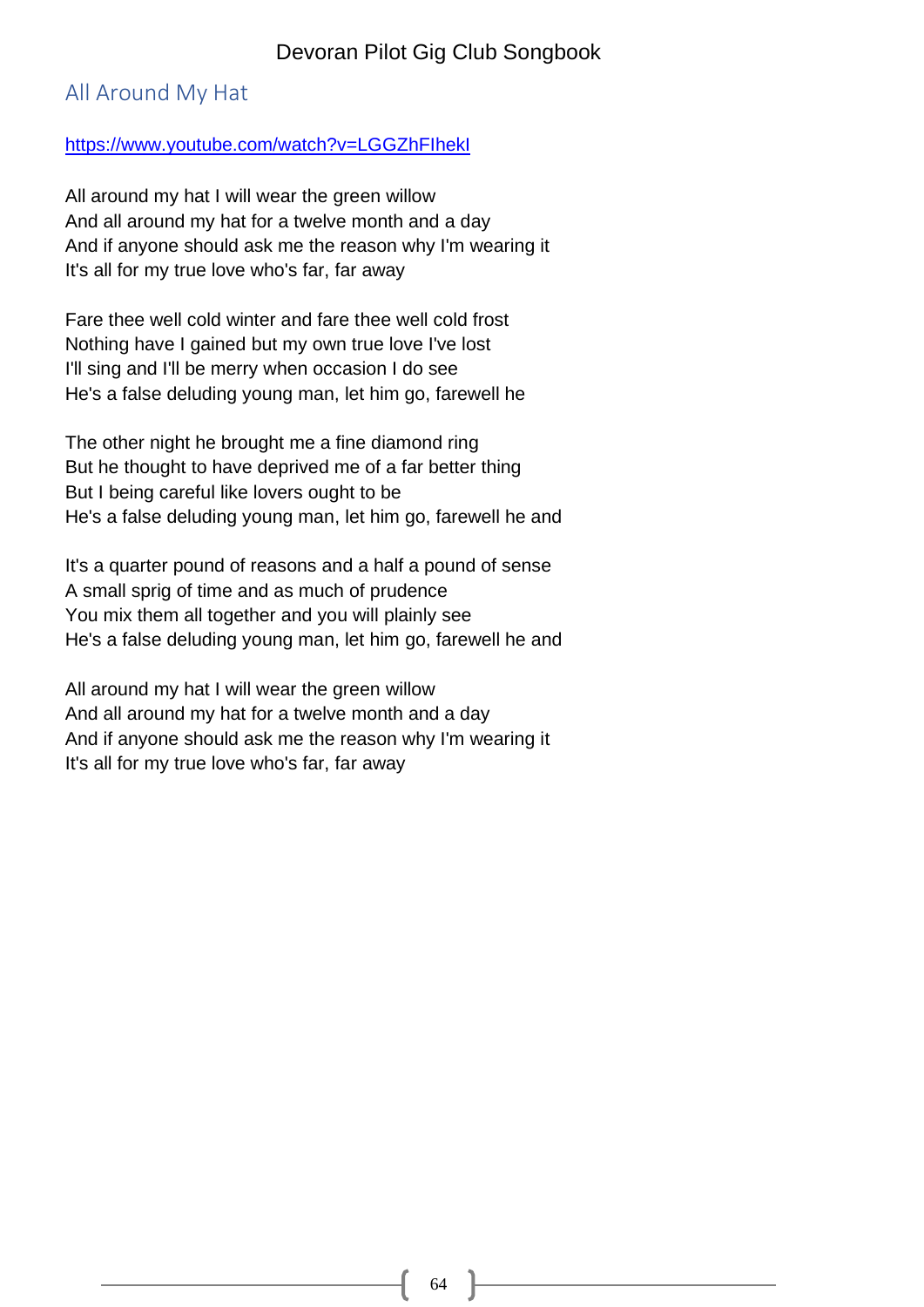### All Around My Hat

#### <https://www.youtube.com/watch?v=LGGZhFIhekI>

All around my hat I will wear the green willow And all around my hat for a twelve month and a day And if anyone should ask me the reason why I'm wearing it It's all for my true love who's far, far away

Fare thee well cold winter and fare thee well cold frost Nothing have I gained but my own true love I've lost I'll sing and I'll be merry when occasion I do see He's a false deluding young man, let him go, farewell he

The other night he brought me a fine diamond ring But he thought to have deprived me of a far better thing But I being careful like lovers ought to be He's a false deluding young man, let him go, farewell he and

It's a quarter pound of reasons and a half a pound of sense A small sprig of time and as much of prudence You mix them all together and you will plainly see He's a false deluding young man, let him go, farewell he and

All around my hat I will wear the green willow And all around my hat for a twelve month and a day And if anyone should ask me the reason why I'm wearing it It's all for my true love who's far, far away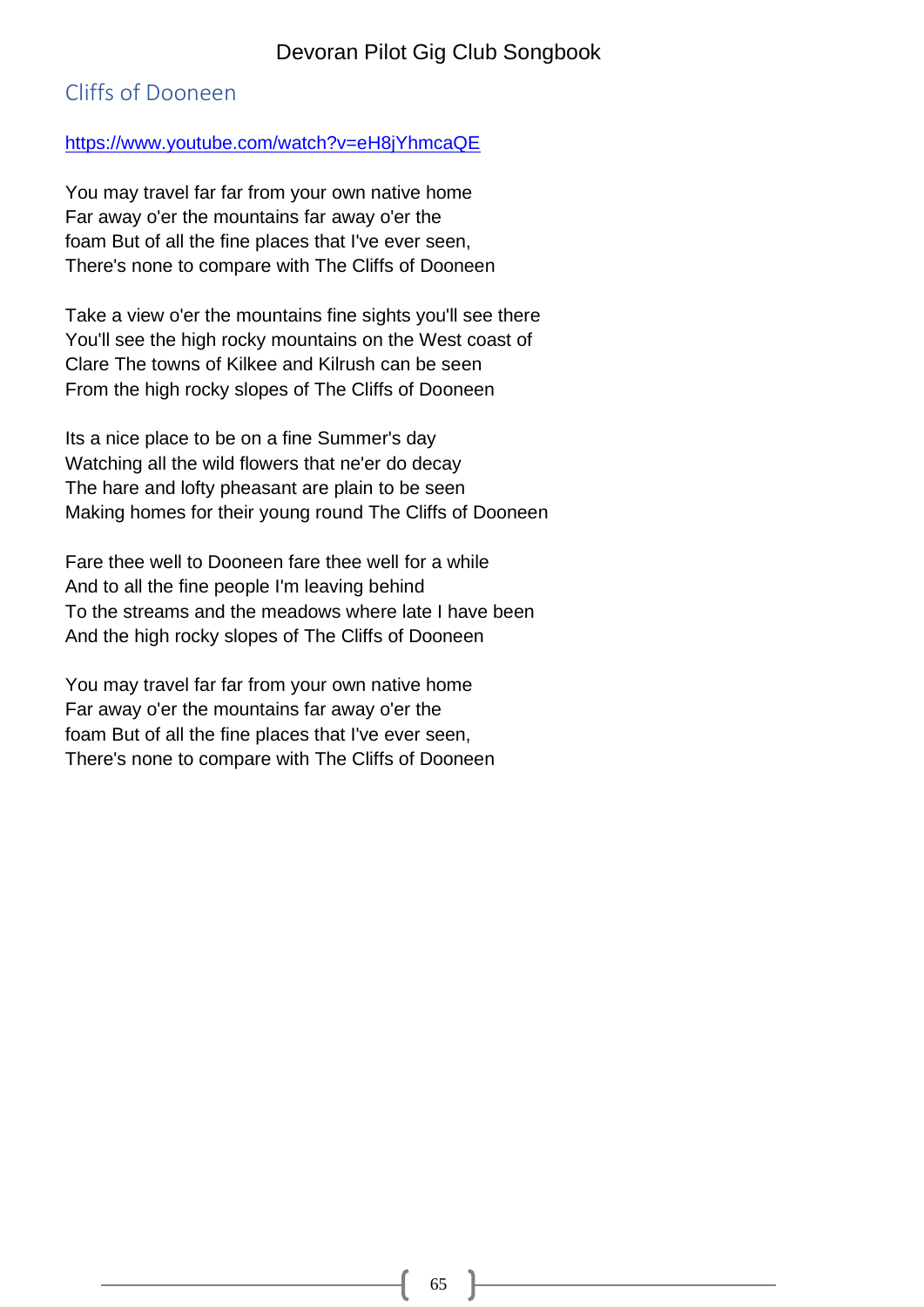### Cliffs of Dooneen

#### <https://www.youtube.com/watch?v=eH8jYhmcaQE>

You may travel far far from your own native home Far away o'er the mountains far away o'er the foam But of all the fine places that I've ever seen, There's none to compare with The Cliffs of Dooneen

Take a view o'er the mountains fine sights you'll see there You'll see the high rocky mountains on the West coast of Clare The towns of Kilkee and Kilrush can be seen From the high rocky slopes of The Cliffs of Dooneen

Its a nice place to be on a fine Summer's day Watching all the wild flowers that ne'er do decay The hare and lofty pheasant are plain to be seen Making homes for their young round The Cliffs of Dooneen

Fare thee well to Dooneen fare thee well for a while And to all the fine people I'm leaving behind To the streams and the meadows where late I have been And the high rocky slopes of The Cliffs of Dooneen

You may travel far far from your own native home Far away o'er the mountains far away o'er the foam But of all the fine places that I've ever seen, There's none to compare with The Cliffs of Dooneen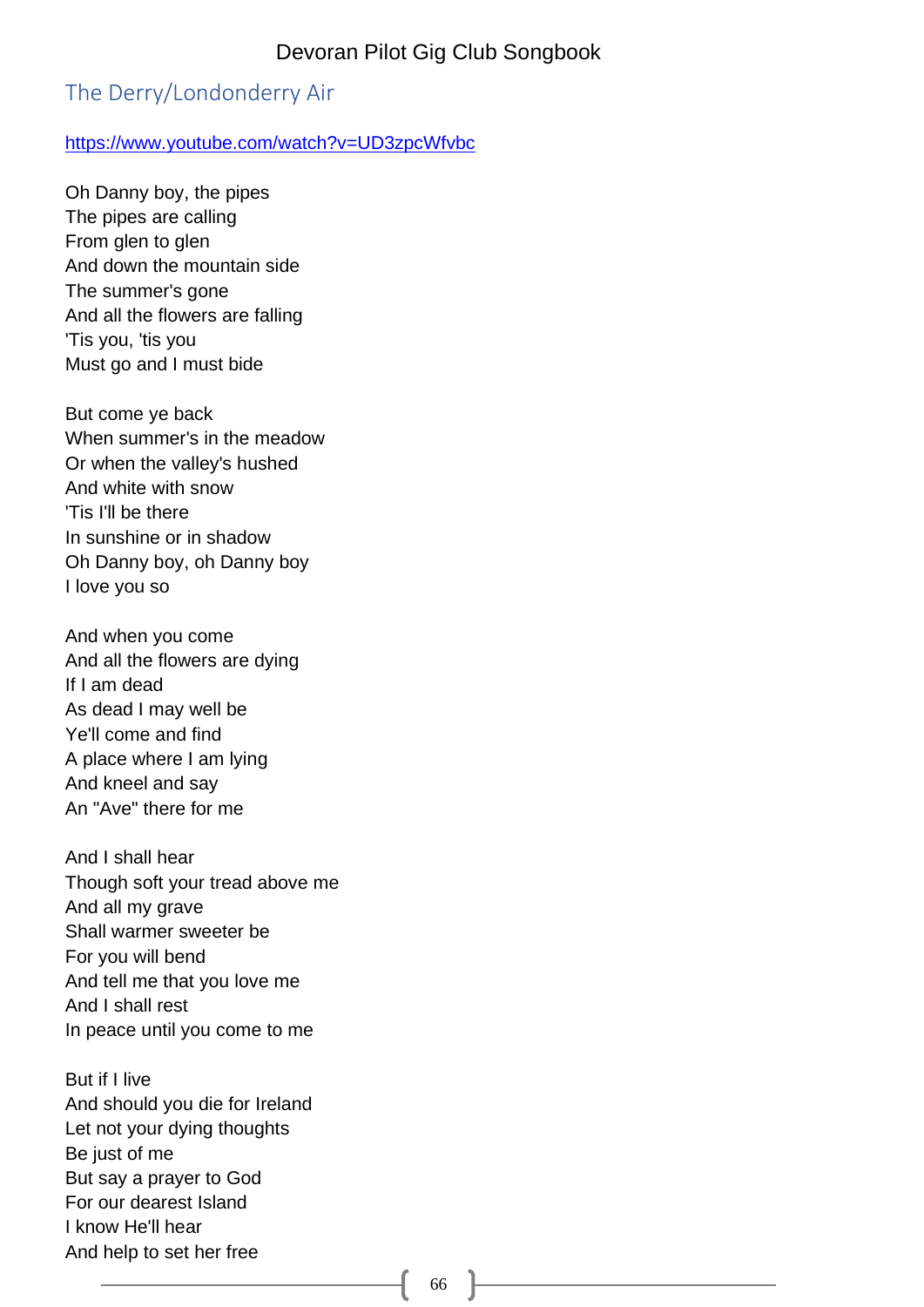### The Derry/Londonderry Air

#### <https://www.youtube.com/watch?v=UD3zpcWfvbc>

Oh Danny boy, the pipes The pipes are calling From glen to glen And down the mountain side The summer's gone And all the flowers are falling 'Tis you, 'tis you Must go and I must bide

But come ye back When summer's in the meadow Or when the valley's hushed And white with snow 'Tis I'll be there In sunshine or in shadow Oh Danny boy, oh Danny boy I love you so

And when you come And all the flowers are dying If I am dead As dead I may well be Ye'll come and find A place where I am lying And kneel and say An "Ave" there for me

And I shall hear Though soft your tread above me And all my grave Shall warmer sweeter be For you will bend And tell me that you love me And I shall rest In peace until you come to me

But if I live And should you die for Ireland Let not your dying thoughts Be just of me But say a prayer to God For our dearest Island I know He'll hear And help to set her free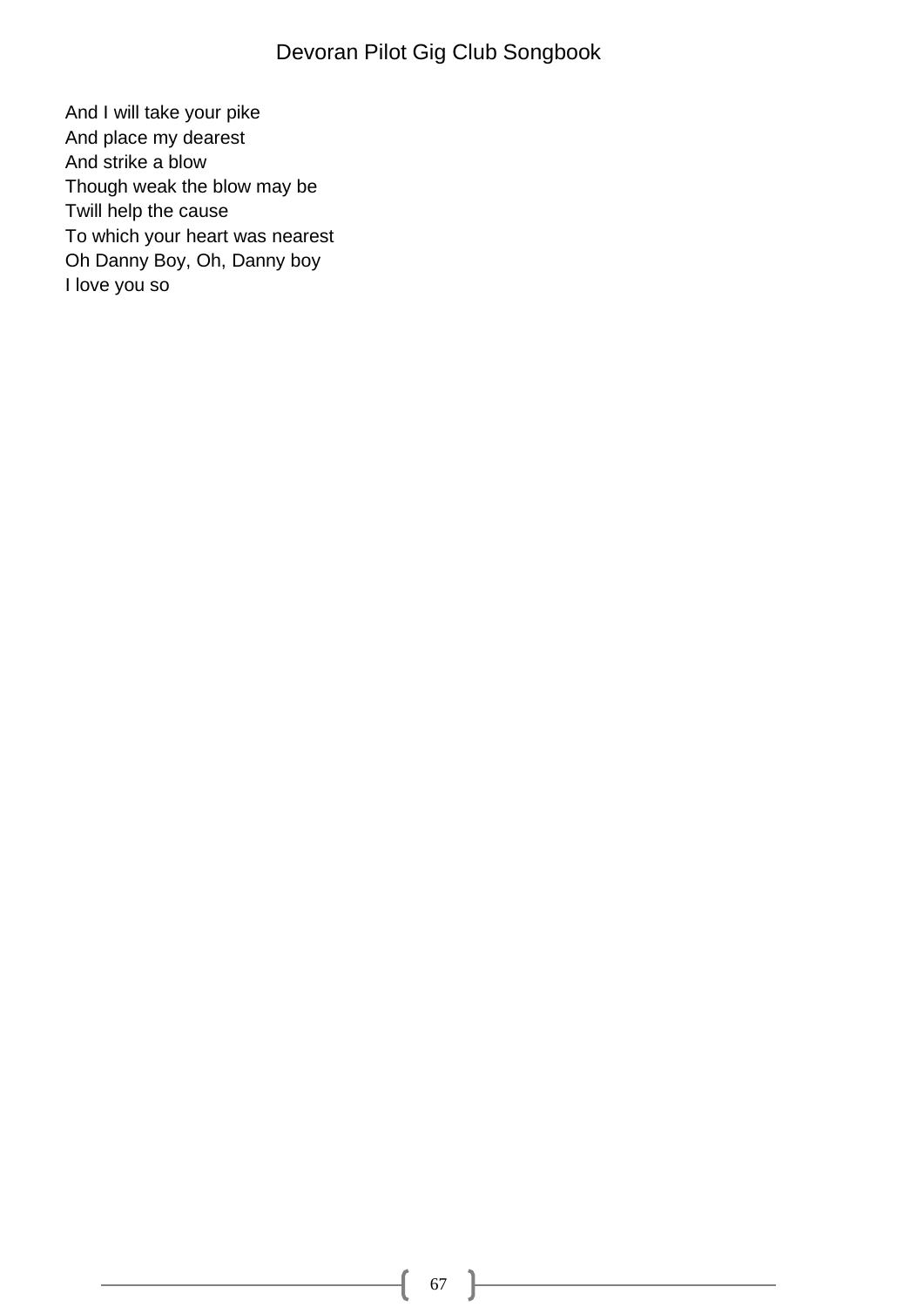And I will take your pike And place my dearest And strike a blow Though weak the blow may be Twill help the cause To which your heart was nearest Oh Danny Boy, Oh, Danny boy I love you so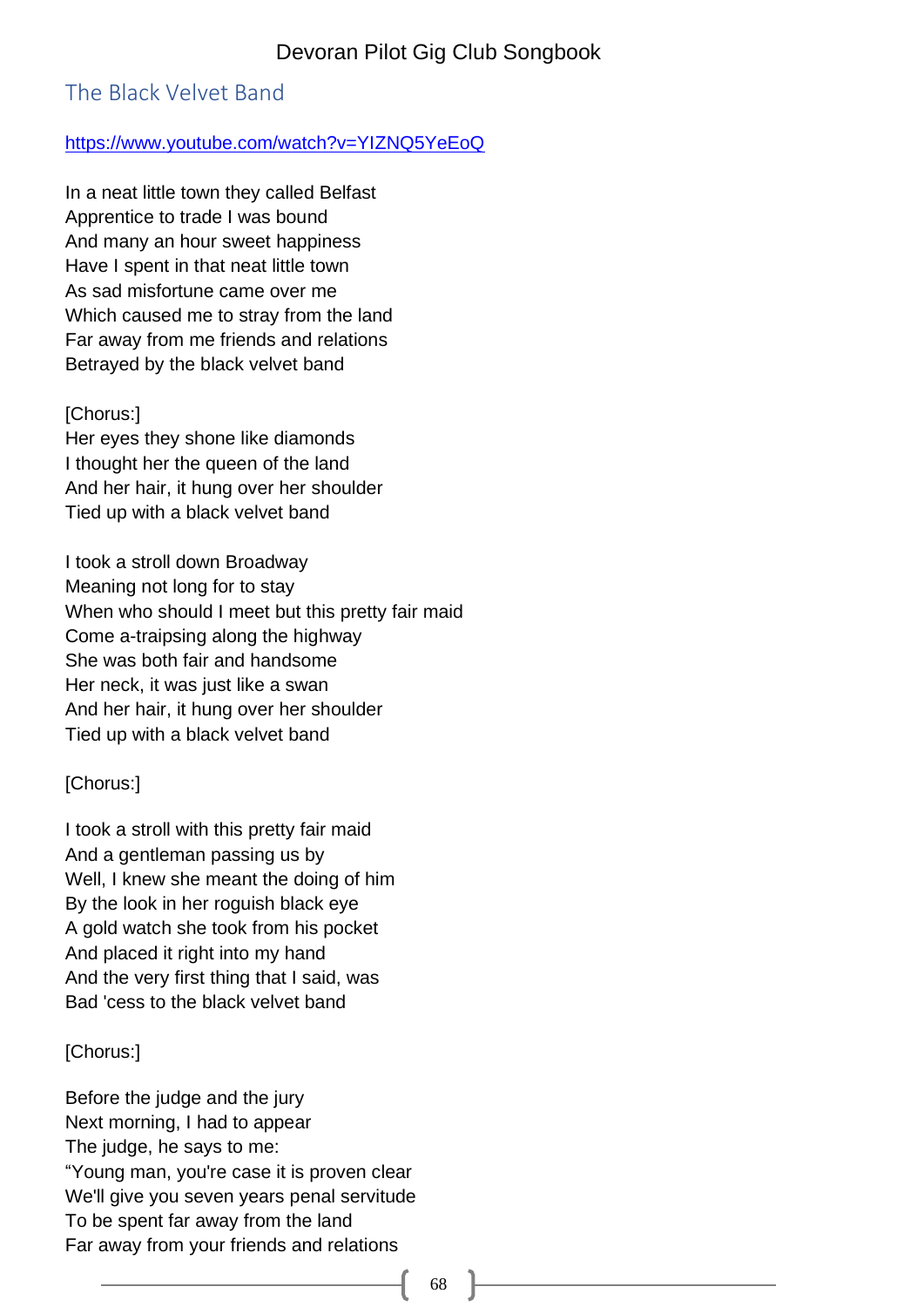### The Black Velvet Band

#### <https://www.youtube.com/watch?v=YIZNQ5YeEoQ>

In a neat little town they called Belfast Apprentice to trade I was bound And many an hour sweet happiness Have I spent in that neat little town As sad misfortune came over me Which caused me to stray from the land Far away from me friends and relations Betrayed by the black velvet band

#### [Chorus:]

Her eyes they shone like diamonds I thought her the queen of the land And her hair, it hung over her shoulder Tied up with a black velvet band

I took a stroll down Broadway Meaning not long for to stay When who should I meet but this pretty fair maid Come a-traipsing along the highway She was both fair and handsome Her neck, it was just like a swan And her hair, it hung over her shoulder Tied up with a black velvet band

#### [Chorus:]

I took a stroll with this pretty fair maid And a gentleman passing us by Well, I knew she meant the doing of him By the look in her roguish black eye A gold watch she took from his pocket And placed it right into my hand And the very first thing that I said, was Bad 'cess to the black velvet band

#### [Chorus:]

Before the judge and the jury Next morning, I had to appear The judge, he says to me: "Young man, you're case it is proven clear We'll give you seven years penal servitude To be spent far away from the land Far away from your friends and relations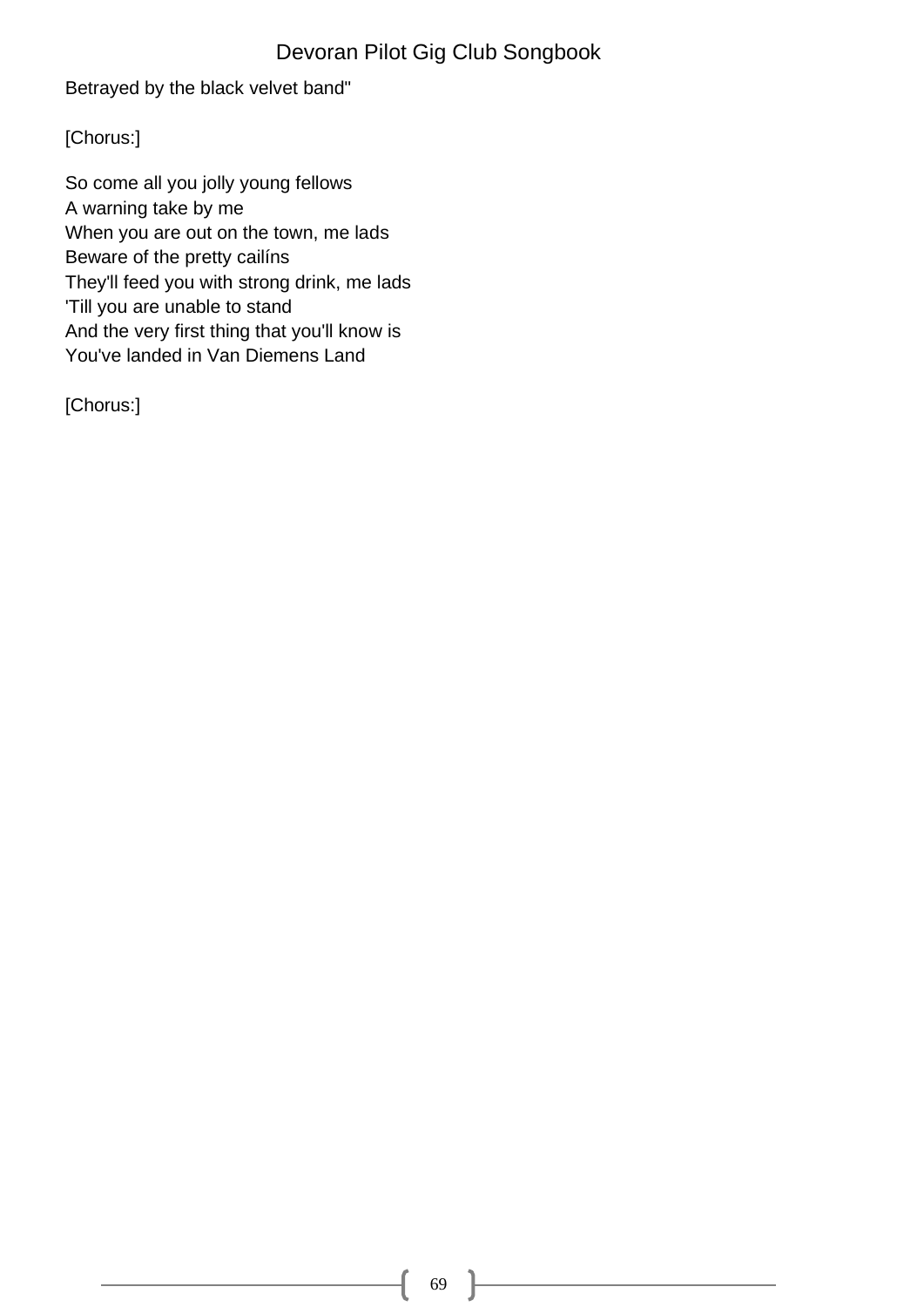Betrayed by the black velvet band"

[Chorus:]

So come all you jolly young fellows A warning take by me When you are out on the town, me lads Beware of the pretty cailíns They'll feed you with strong drink, me lads 'Till you are unable to stand And the very first thing that you'll know is You've landed in Van Diemens Land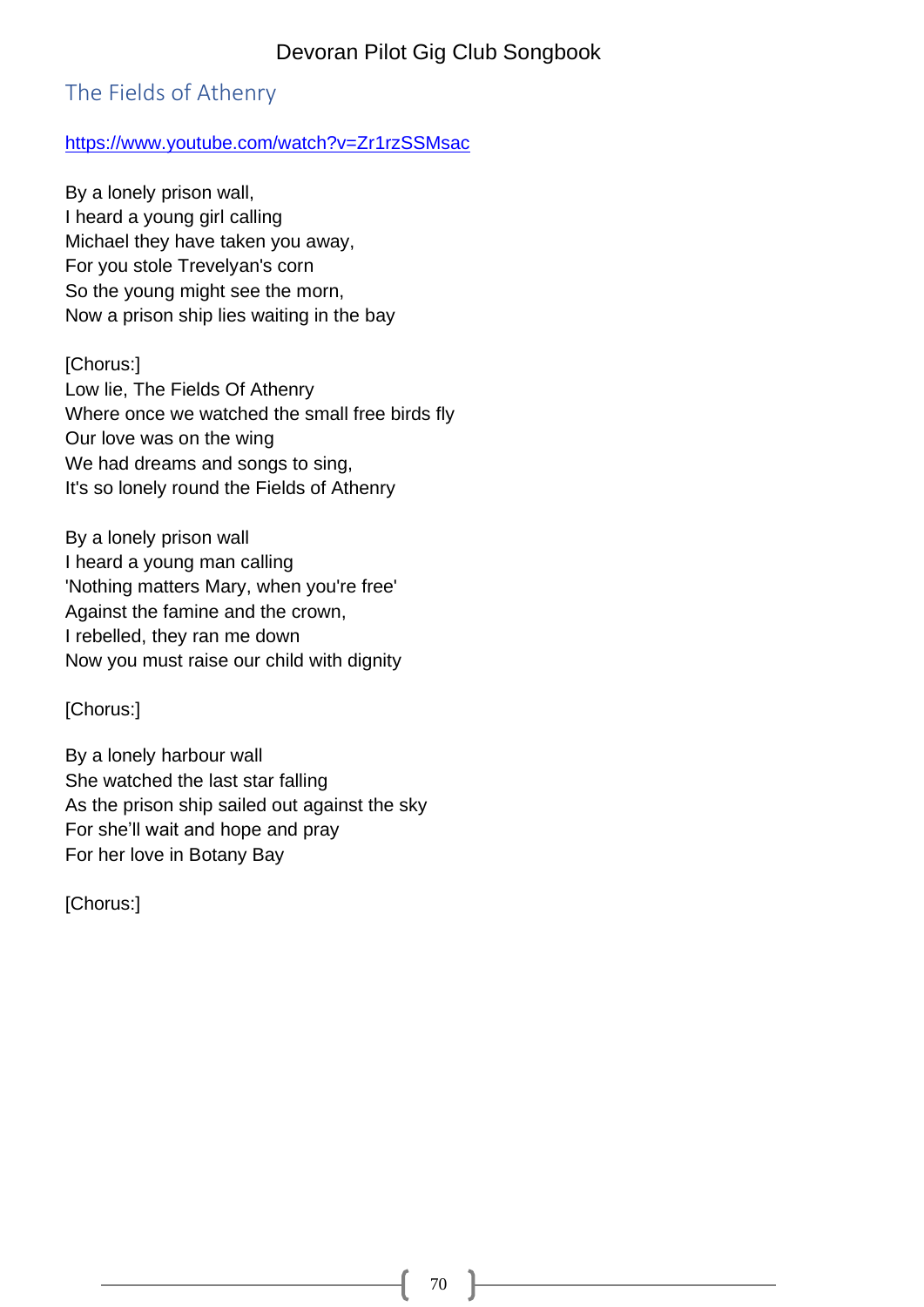### The Fields of Athenry

#### <https://www.youtube.com/watch?v=Zr1rzSSMsac>

By a lonely prison wall, I heard a young girl calling Michael they have taken you away, For you stole Trevelyan's corn So the young might see the morn, Now a prison ship lies waiting in the bay

[Chorus:]

Low lie, The Fields Of Athenry Where once we watched the small free birds fly Our love was on the wing We had dreams and songs to sing, It's so lonely round the Fields of Athenry

By a lonely prison wall I heard a young man calling 'Nothing matters Mary, when you're free' Against the famine and the crown, I rebelled, they ran me down Now you must raise our child with dignity

[Chorus:]

By a lonely harbour wall She watched the last star falling As the prison ship sailed out against the sky For she'll wait and hope and pray For her love in Botany Bay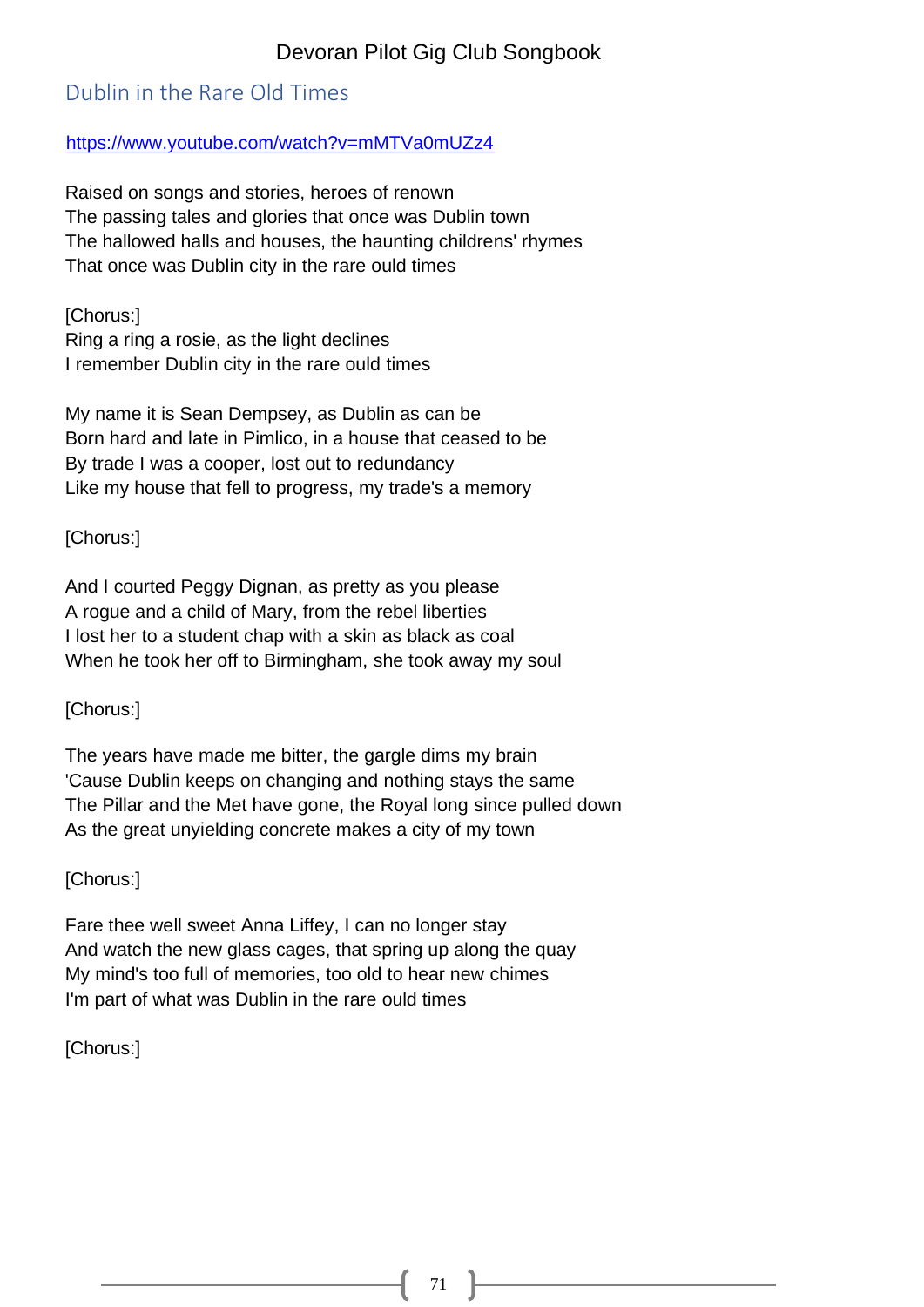## Dublin in the Rare Old Times

### <https://www.youtube.com/watch?v=mMTVa0mUZz4>

Raised on songs and stories, heroes of renown The passing tales and glories that once was Dublin town The hallowed halls and houses, the haunting childrens' rhymes That once was Dublin city in the rare ould times

[Chorus:] Ring a ring a rosie, as the light declines I remember Dublin city in the rare ould times

My name it is Sean Dempsey, as Dublin as can be Born hard and late in Pimlico, in a house that ceased to be By trade I was a cooper, lost out to redundancy Like my house that fell to progress, my trade's a memory

### [Chorus:]

And I courted Peggy Dignan, as pretty as you please A rogue and a child of Mary, from the rebel liberties I lost her to a student chap with a skin as black as coal When he took her off to Birmingham, she took away my soul

### [Chorus:]

The years have made me bitter, the gargle dims my brain 'Cause Dublin keeps on changing and nothing stays the same The Pillar and the Met have gone, the Royal long since pulled down As the great unyielding concrete makes a city of my town

### [Chorus:]

Fare thee well sweet Anna Liffey, I can no longer stay And watch the new glass cages, that spring up along the quay My mind's too full of memories, too old to hear new chimes I'm part of what was Dublin in the rare ould times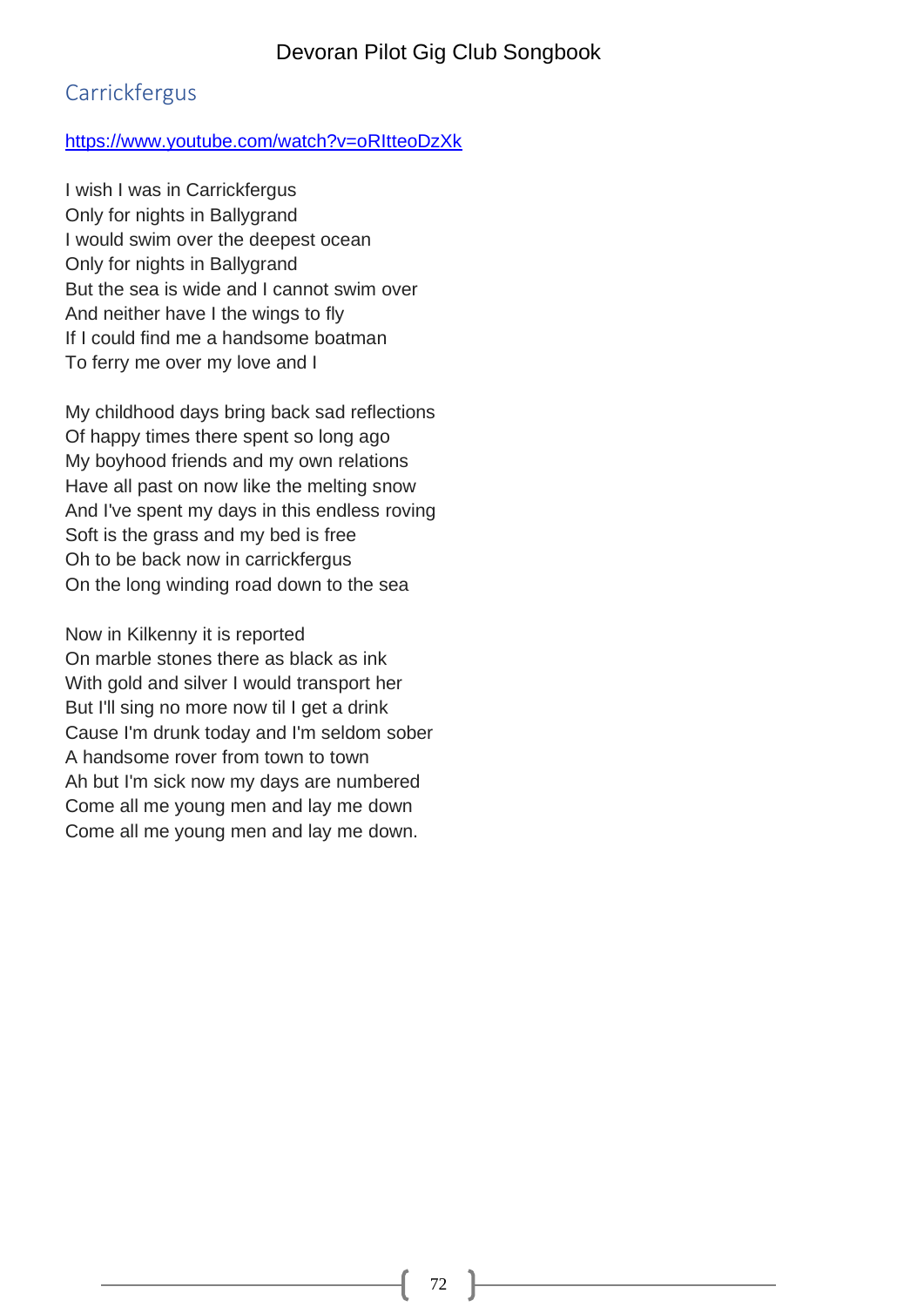## **Carrickfergus**

#### <https://www.youtube.com/watch?v=oRItteoDzXk>

I wish I was in Carrickfergus Only for nights in Ballygrand I would swim over the deepest ocean Only for nights in Ballygrand But the sea is wide and I cannot swim over And neither have I the wings to fly If I could find me a handsome boatman To ferry me over my love and I

My childhood days bring back sad reflections Of happy times there spent so long ago My boyhood friends and my own relations Have all past on now like the melting snow And I've spent my days in this endless roving Soft is the grass and my bed is free Oh to be back now in carrickfergus On the long winding road down to the sea

Now in Kilkenny it is reported On marble stones there as black as ink With gold and silver I would transport her But I'll sing no more now til I get a drink Cause I'm drunk today and I'm seldom sober A handsome rover from town to town Ah but I'm sick now my days are numbered Come all me young men and lay me down Come all me young men and lay me down.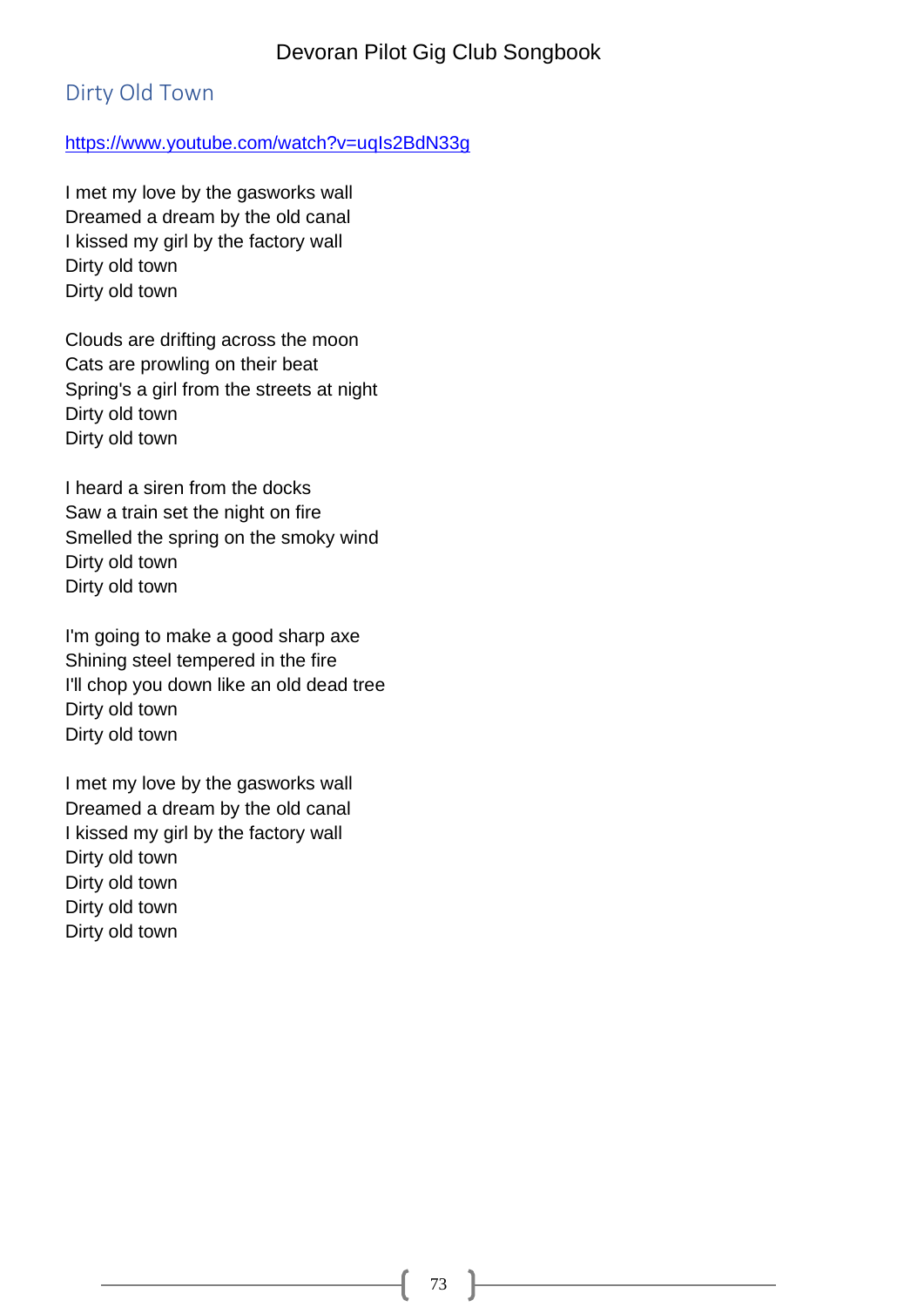### Dirty Old Town

#### <https://www.youtube.com/watch?v=uqIs2BdN33g>

I met my love by the gasworks wall Dreamed a dream by the old canal I kissed my girl by the factory wall Dirty old town Dirty old town

Clouds are drifting across the moon Cats are prowling on their beat Spring's a girl from the streets at night Dirty old town Dirty old town

I heard a siren from the docks Saw a train set the night on fire Smelled the spring on the smoky wind Dirty old town Dirty old town

I'm going to make a good sharp axe Shining steel tempered in the fire I'll chop you down like an old dead tree Dirty old town Dirty old town

I met my love by the gasworks wall Dreamed a dream by the old canal I kissed my girl by the factory wall Dirty old town Dirty old town Dirty old town Dirty old town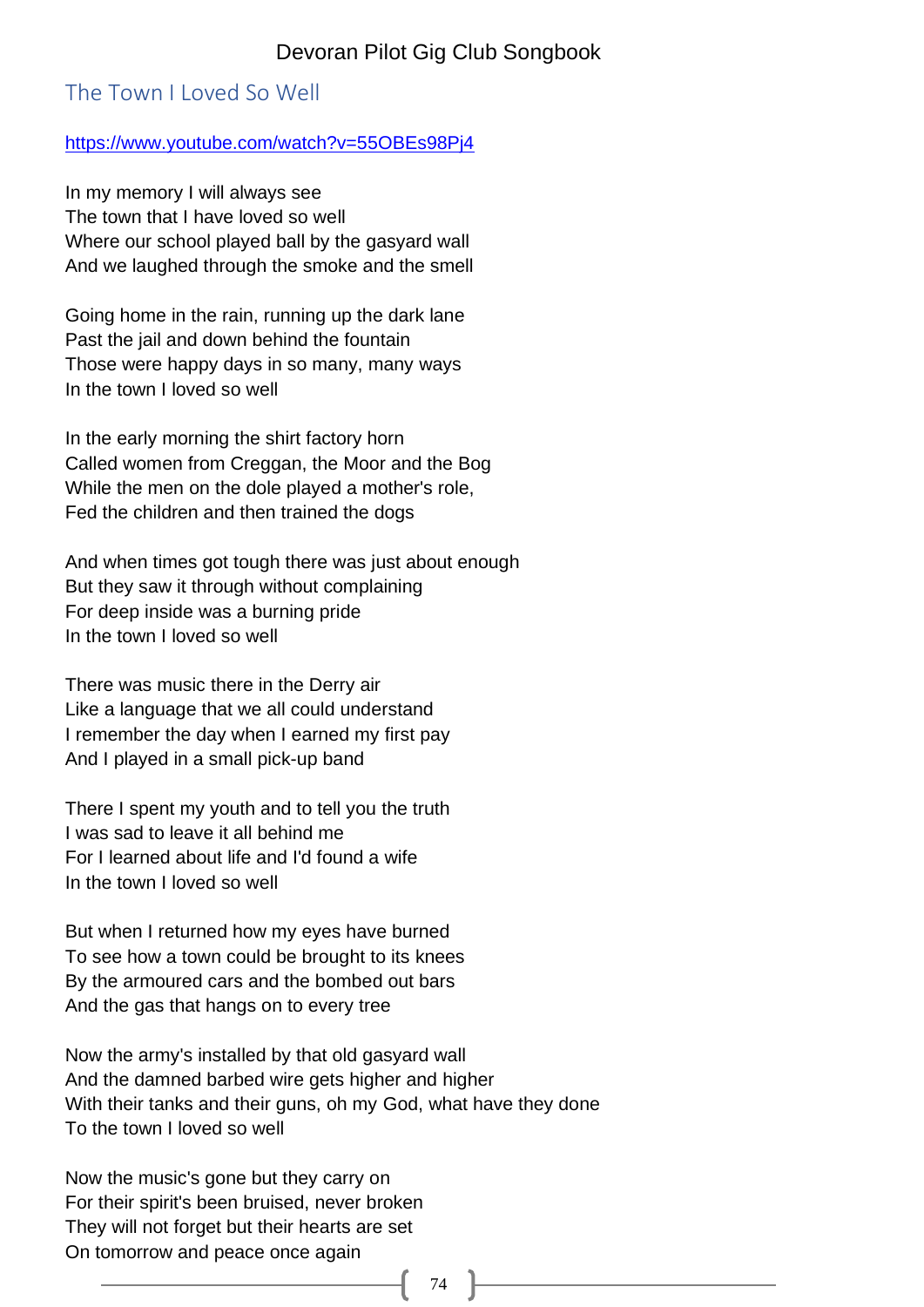### The Town I Loved So Well

#### <https://www.youtube.com/watch?v=55OBEs98Pj4>

In my memory I will always see The town that I have loved so well Where our school played ball by the gasyard wall And we laughed through the smoke and the smell

Going home in the rain, running up the dark lane Past the jail and down behind the fountain Those were happy days in so many, many ways In the town I loved so well

In the early morning the shirt factory horn Called women from Creggan, the Moor and the Bog While the men on the dole played a mother's role, Fed the children and then trained the dogs

And when times got tough there was just about enough But they saw it through without complaining For deep inside was a burning pride In the town I loved so well

There was music there in the Derry air Like a language that we all could understand I remember the day when I earned my first pay And I played in a small pick-up band

There I spent my youth and to tell you the truth I was sad to leave it all behind me For I learned about life and I'd found a wife In the town I loved so well

But when I returned how my eyes have burned To see how a town could be brought to its knees By the armoured cars and the bombed out bars And the gas that hangs on to every tree

Now the army's installed by that old gasyard wall And the damned barbed wire gets higher and higher With their tanks and their guns, oh my God, what have they done To the town I loved so well

Now the music's gone but they carry on For their spirit's been bruised, never broken They will not forget but their hearts are set On tomorrow and peace once again

74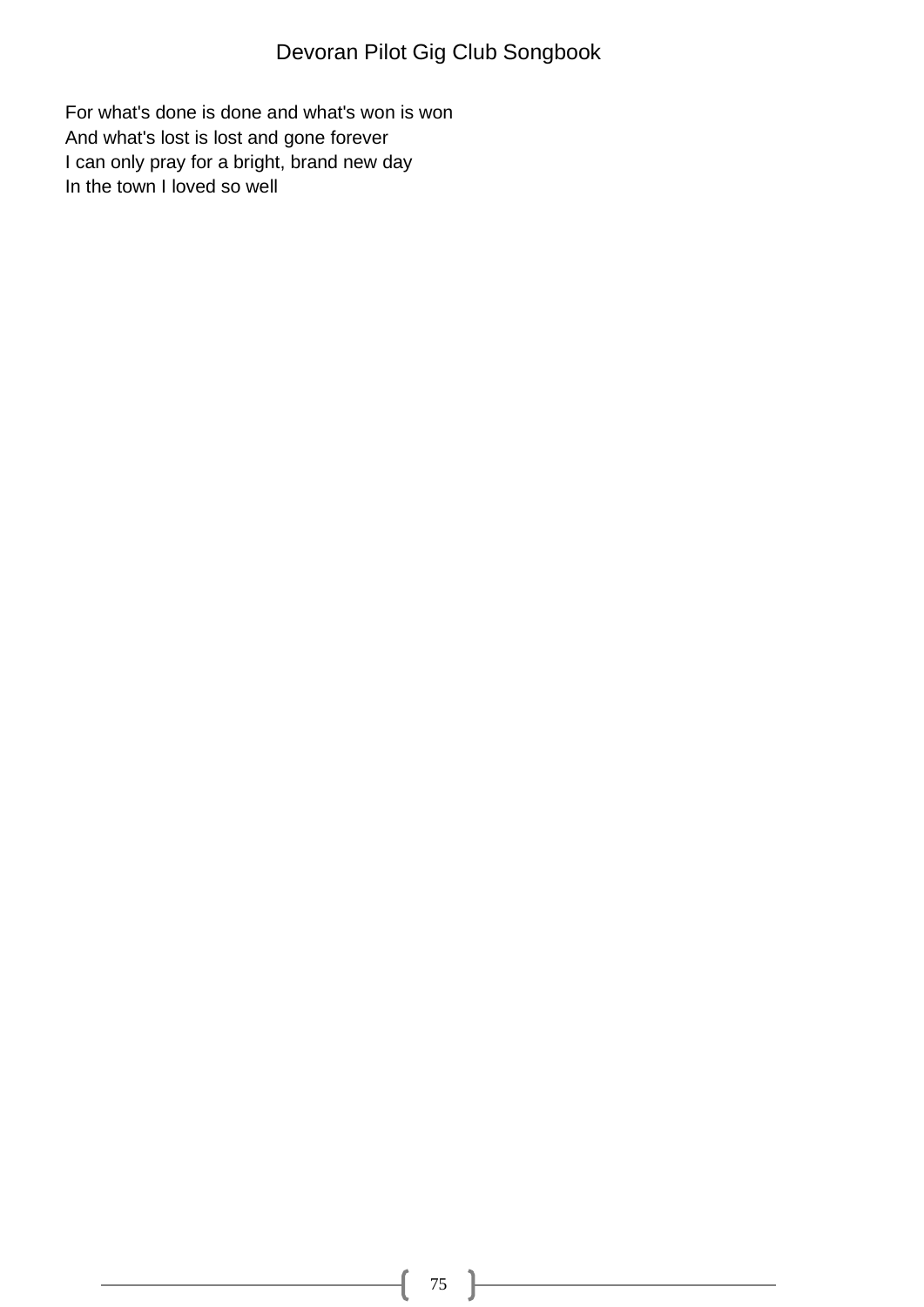For what's done is done and what's won is won And what's lost is lost and gone forever I can only pray for a bright, brand new day In the town I loved so well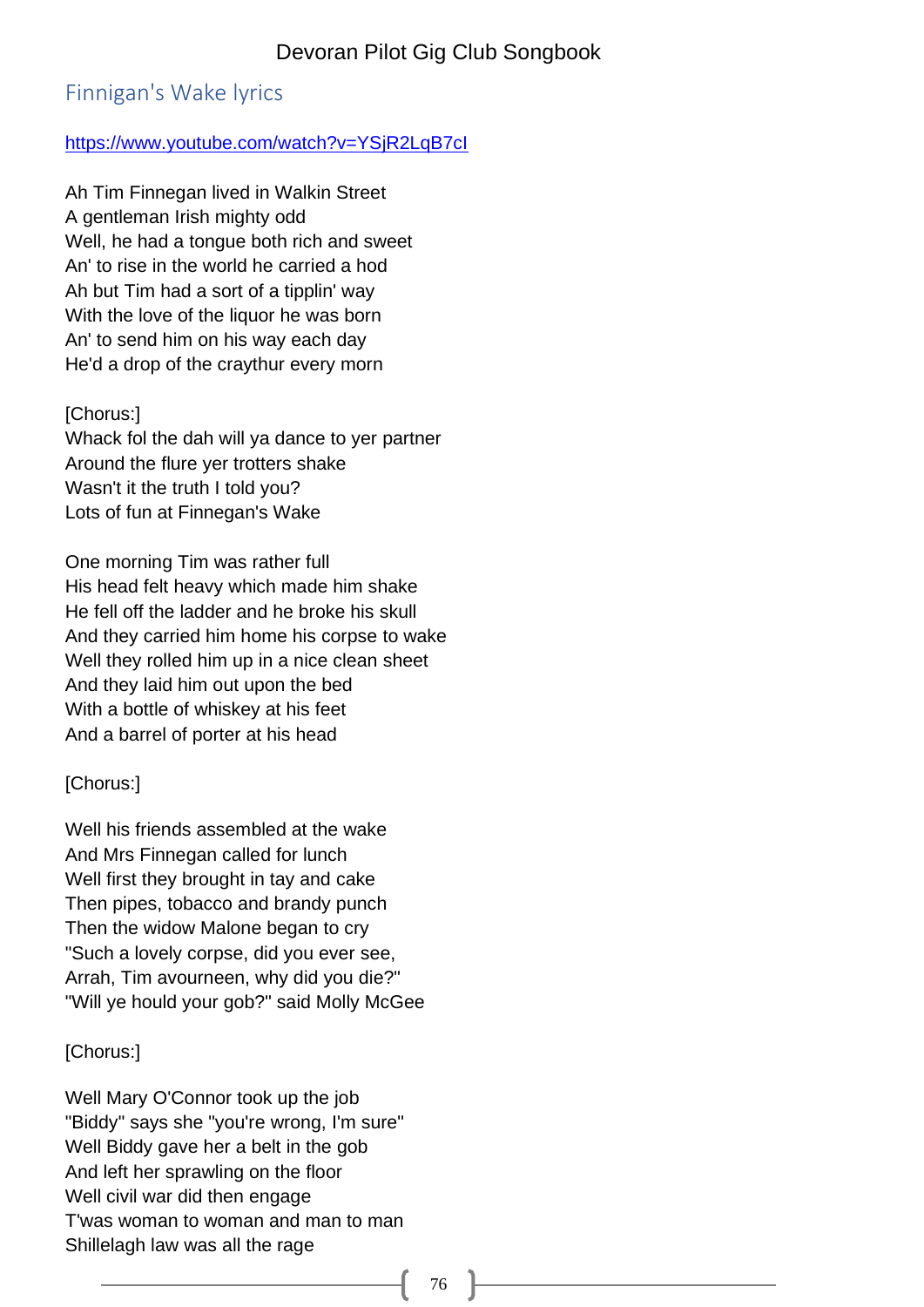### Finnigan's Wake lyrics

#### <https://www.youtube.com/watch?v=YSjR2LqB7cI>

Ah Tim Finnegan lived in Walkin Street A gentleman Irish mighty odd Well, he had a tongue both rich and sweet An' to rise in the world he carried a hod Ah but Tim had a sort of a tipplin' way With the love of the liquor he was born An' to send him on his way each day He'd a drop of the craythur every morn

#### [Chorus:]

Whack fol the dah will ya dance to yer partner Around the flure yer trotters shake Wasn't it the truth I told you? Lots of fun at Finnegan's Wake

One morning Tim was rather full His head felt heavy which made him shake He fell off the ladder and he broke his skull And they carried him home his corpse to wake Well they rolled him up in a nice clean sheet And they laid him out upon the bed With a bottle of whiskey at his feet And a barrel of porter at his head

#### [Chorus:]

Well his friends assembled at the wake And Mrs Finnegan called for lunch Well first they brought in tay and cake Then pipes, tobacco and brandy punch Then the widow Malone began to cry "Such a lovely corpse, did you ever see, Arrah, Tim avourneen, why did you die?" "Will ye hould your gob?" said Molly McGee

#### [Chorus:]

Well Mary O'Connor took up the job "Biddy" says she "you're wrong, I'm sure" Well Biddy gave her a belt in the gob And left her sprawling on the floor Well civil war did then engage T'was woman to woman and man to man Shillelagh law was all the rage

76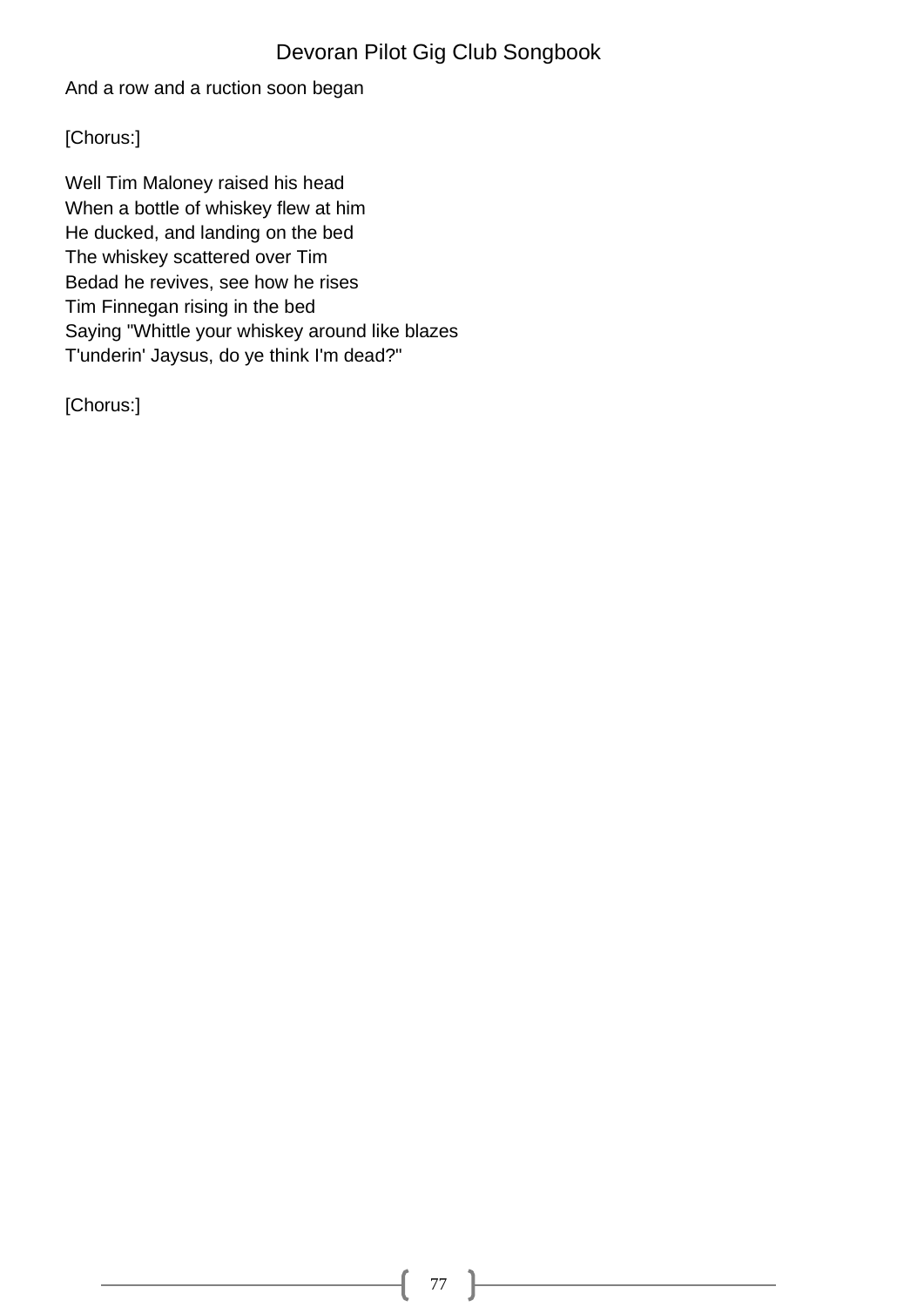And a row and a ruction soon began

### [Chorus:]

Well Tim Maloney raised his head When a bottle of whiskey flew at him He ducked, and landing on the bed The whiskey scattered over Tim Bedad he revives, see how he rises Tim Finnegan rising in the bed Saying "Whittle your whiskey around like blazes T'underin' Jaysus, do ye think I'm dead?"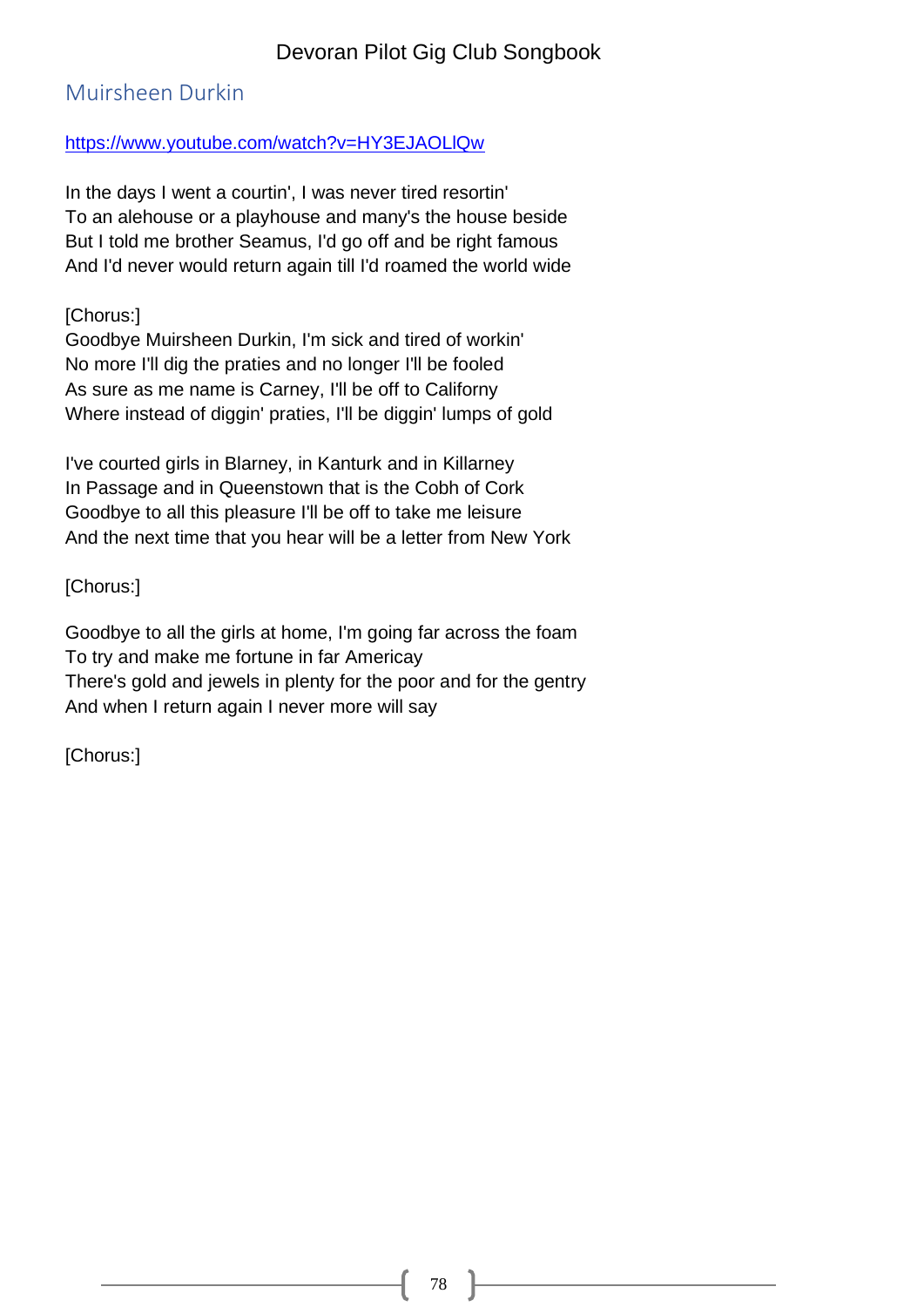## Muirsheen Durkin

#### <https://www.youtube.com/watch?v=HY3EJAOLlQw>

In the days I went a courtin', I was never tired resortin' To an alehouse or a playhouse and many's the house beside But I told me brother Seamus, I'd go off and be right famous And I'd never would return again till I'd roamed the world wide

[Chorus:]

Goodbye Muirsheen Durkin, I'm sick and tired of workin' No more I'll dig the praties and no longer I'll be fooled As sure as me name is Carney, I'll be off to Californy Where instead of diggin' praties, I'll be diggin' lumps of gold

I've courted girls in Blarney, in Kanturk and in Killarney In Passage and in Queenstown that is the Cobh of Cork Goodbye to all this pleasure I'll be off to take me leisure And the next time that you hear will be a letter from New York

[Chorus:]

Goodbye to all the girls at home, I'm going far across the foam To try and make me fortune in far Americay There's gold and jewels in plenty for the poor and for the gentry And when I return again I never more will say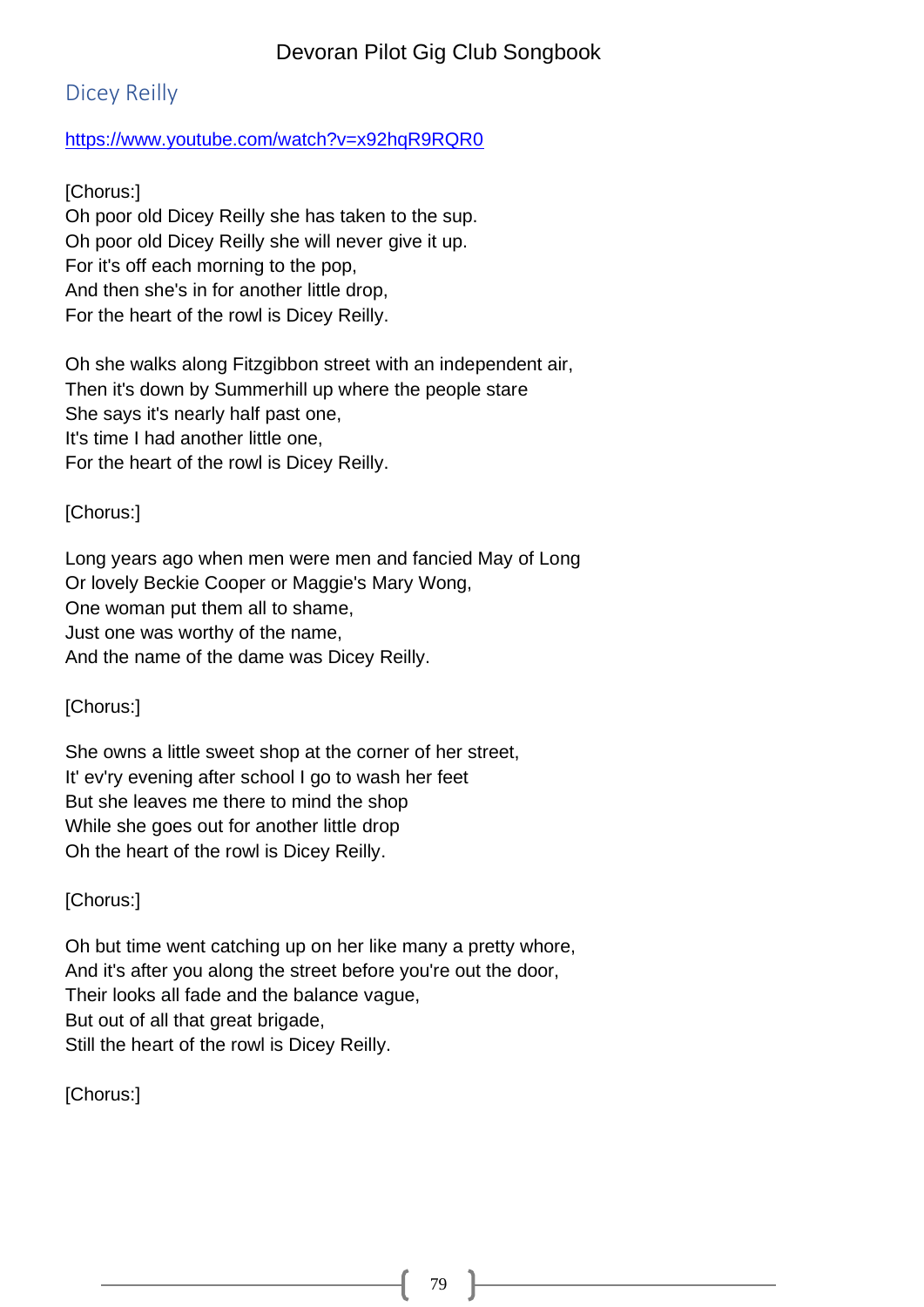## Dicey Reilly

#### <https://www.youtube.com/watch?v=x92hqR9RQR0>

[Chorus:] Oh poor old Dicey Reilly she has taken to the sup. Oh poor old Dicey Reilly she will never give it up. For it's off each morning to the pop, And then she's in for another little drop, For the heart of the rowl is Dicey Reilly.

Oh she walks along Fitzgibbon street with an independent air, Then it's down by Summerhill up where the people stare She says it's nearly half past one, It's time I had another little one, For the heart of the rowl is Dicey Reilly.

#### [Chorus:]

Long years ago when men were men and fancied May of Long Or lovely Beckie Cooper or Maggie's Mary Wong, One woman put them all to shame, Just one was worthy of the name, And the name of the dame was Dicey Reilly.

### [Chorus:]

She owns a little sweet shop at the corner of her street, It' ev'ry evening after school I go to wash her feet But she leaves me there to mind the shop While she goes out for another little drop Oh the heart of the rowl is Dicey Reilly.

### [Chorus:]

Oh but time went catching up on her like many a pretty whore, And it's after you along the street before you're out the door, Their looks all fade and the balance vague, But out of all that great brigade, Still the heart of the rowl is Dicey Reilly.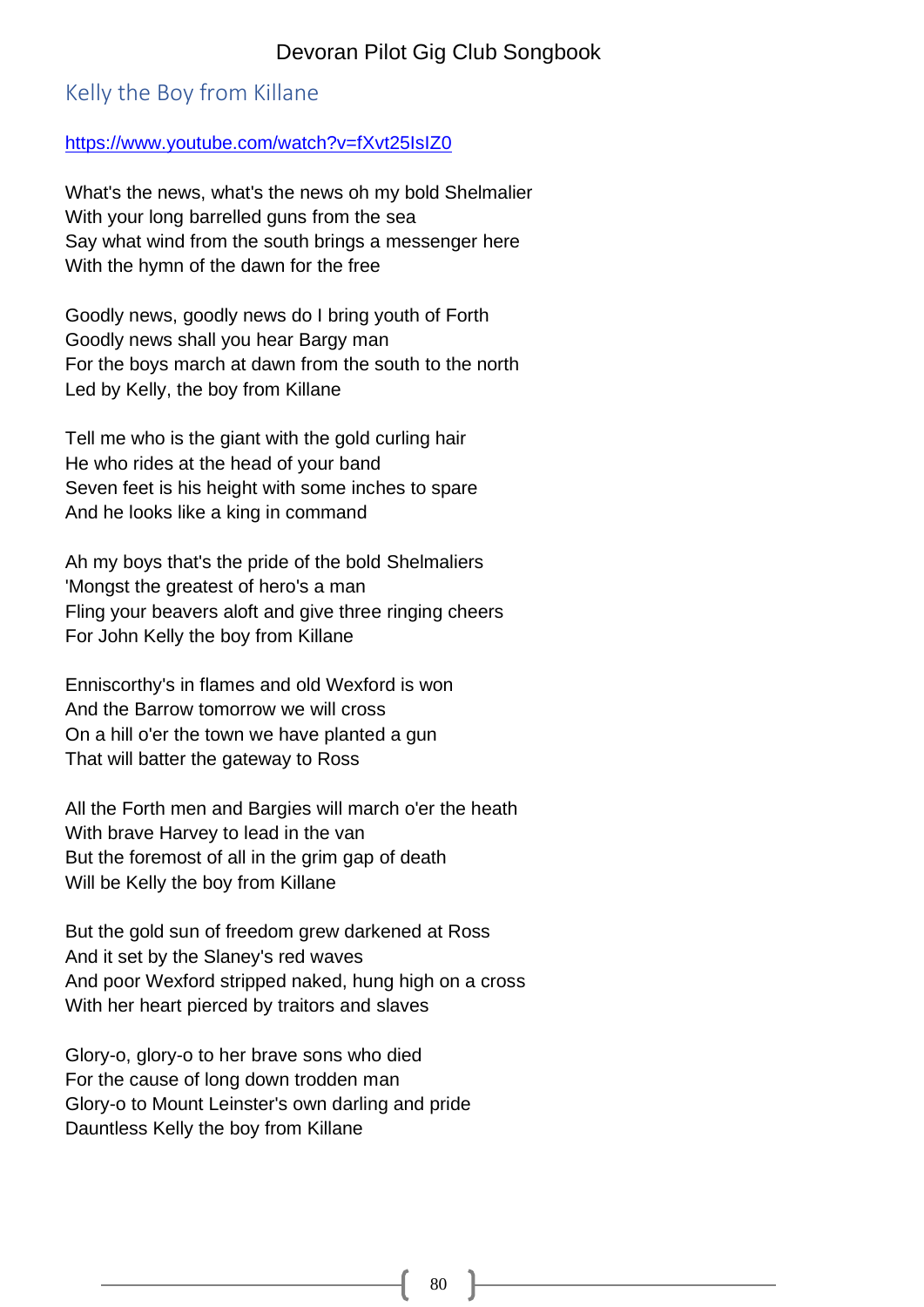### Kelly the Boy from Killane

#### <https://www.youtube.com/watch?v=fXvt25IsIZ0>

What's the news, what's the news oh my bold Shelmalier With your long barrelled guns from the sea Say what wind from the south brings a messenger here With the hymn of the dawn for the free

Goodly news, goodly news do I bring youth of Forth Goodly news shall you hear Bargy man For the boys march at dawn from the south to the north Led by Kelly, the boy from Killane

Tell me who is the giant with the gold curling hair He who rides at the head of your band Seven feet is his height with some inches to spare And he looks like a king in command

Ah my boys that's the pride of the bold Shelmaliers 'Mongst the greatest of hero's a man Fling your beavers aloft and give three ringing cheers For John Kelly the boy from Killane

Enniscorthy's in flames and old Wexford is won And the Barrow tomorrow we will cross On a hill o'er the town we have planted a gun That will batter the gateway to Ross

All the Forth men and Bargies will march o'er the heath With brave Harvey to lead in the van But the foremost of all in the grim gap of death Will be Kelly the boy from Killane

But the gold sun of freedom grew darkened at Ross And it set by the Slaney's red waves And poor Wexford stripped naked, hung high on a cross With her heart pierced by traitors and slaves

Glory-o, glory-o to her brave sons who died For the cause of long down trodden man Glory-o to Mount Leinster's own darling and pride Dauntless Kelly the boy from Killane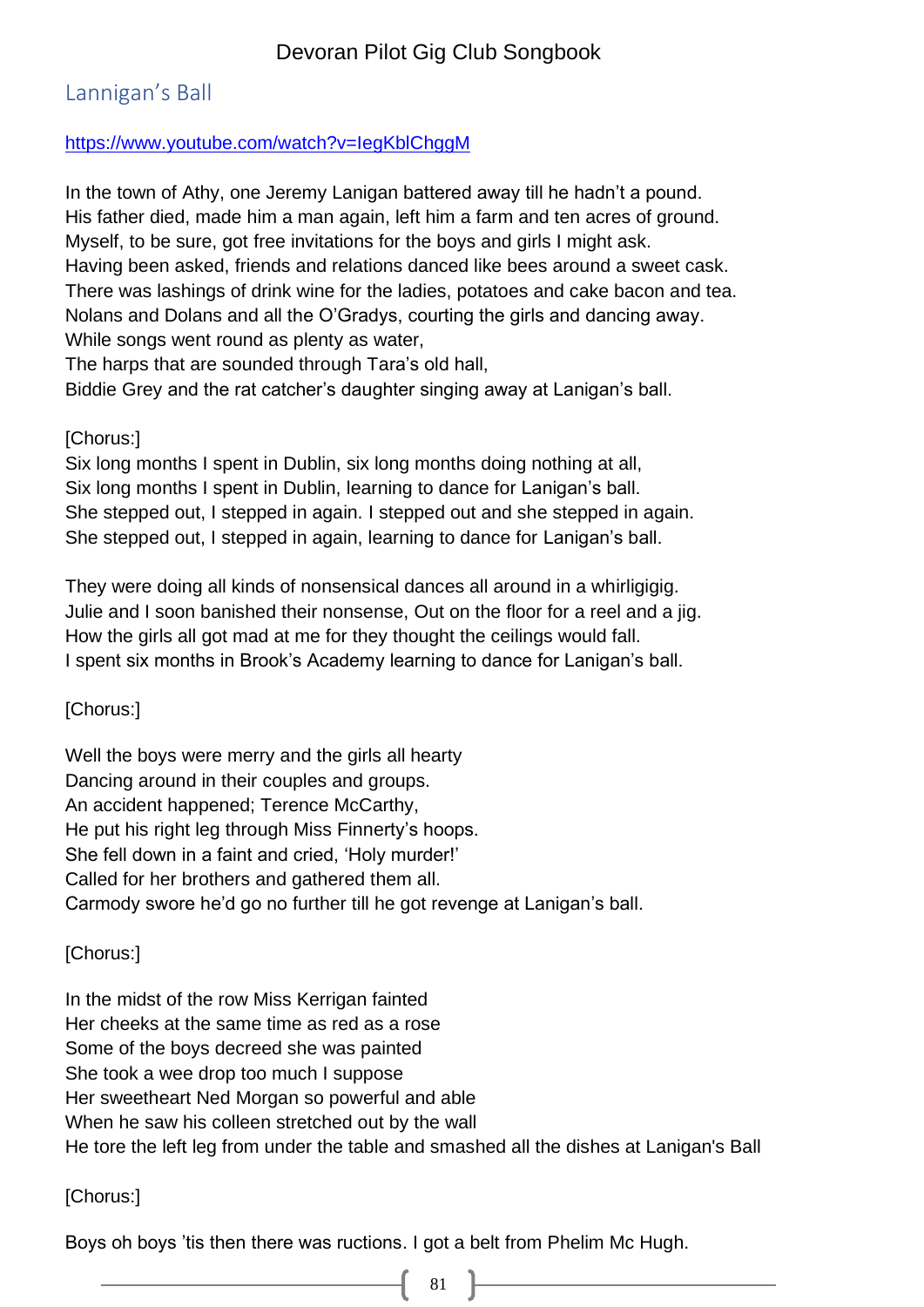## Lannigan's Ball

#### <https://www.youtube.com/watch?v=IegKblChggM>

In the town of Athy, one Jeremy Lanigan battered away till he hadn't a pound. His father died, made him a man again, left him a farm and ten acres of ground. Myself, to be sure, got free invitations for the boys and girls I might ask. Having been asked, friends and relations danced like bees around a sweet cask. There was lashings of drink wine for the ladies, potatoes and cake bacon and tea. Nolans and Dolans and all the O'Gradys, courting the girls and dancing away. While songs went round as plenty as water,

The harps that are sounded through Tara's old hall, Biddie Grey and the rat catcher's daughter singing away at Lanigan's ball.

#### [Chorus:]

Six long months I spent in Dublin, six long months doing nothing at all, Six long months I spent in Dublin, learning to dance for Lanigan's ball. She stepped out, I stepped in again. I stepped out and she stepped in again. She stepped out, I stepped in again, learning to dance for Lanigan's ball.

They were doing all kinds of nonsensical dances all around in a whirligigig. Julie and I soon banished their nonsense, Out on the floor for a reel and a jig. How the girls all got mad at me for they thought the ceilings would fall. I spent six months in Brook's Academy learning to dance for Lanigan's ball.

[Chorus:]

Well the boys were merry and the girls all hearty Dancing around in their couples and groups. An accident happened; Terence McCarthy, He put his right leg through Miss Finnerty's hoops. She fell down in a faint and cried, 'Holy murder!' Called for her brothers and gathered them all. Carmody swore he'd go no further till he got revenge at Lanigan's ball.

### [Chorus:]

In the midst of the row Miss Kerrigan fainted Her cheeks at the same time as red as a rose Some of the boys decreed she was painted She took a wee drop too much I suppose Her sweetheart Ned Morgan so powerful and able When he saw his colleen stretched out by the wall He tore the left leg from under the table and smashed all the dishes at Lanigan's Ball

#### [Chorus:]

Boys oh boys 'tis then there was ructions. I got a belt from Phelim Mc Hugh.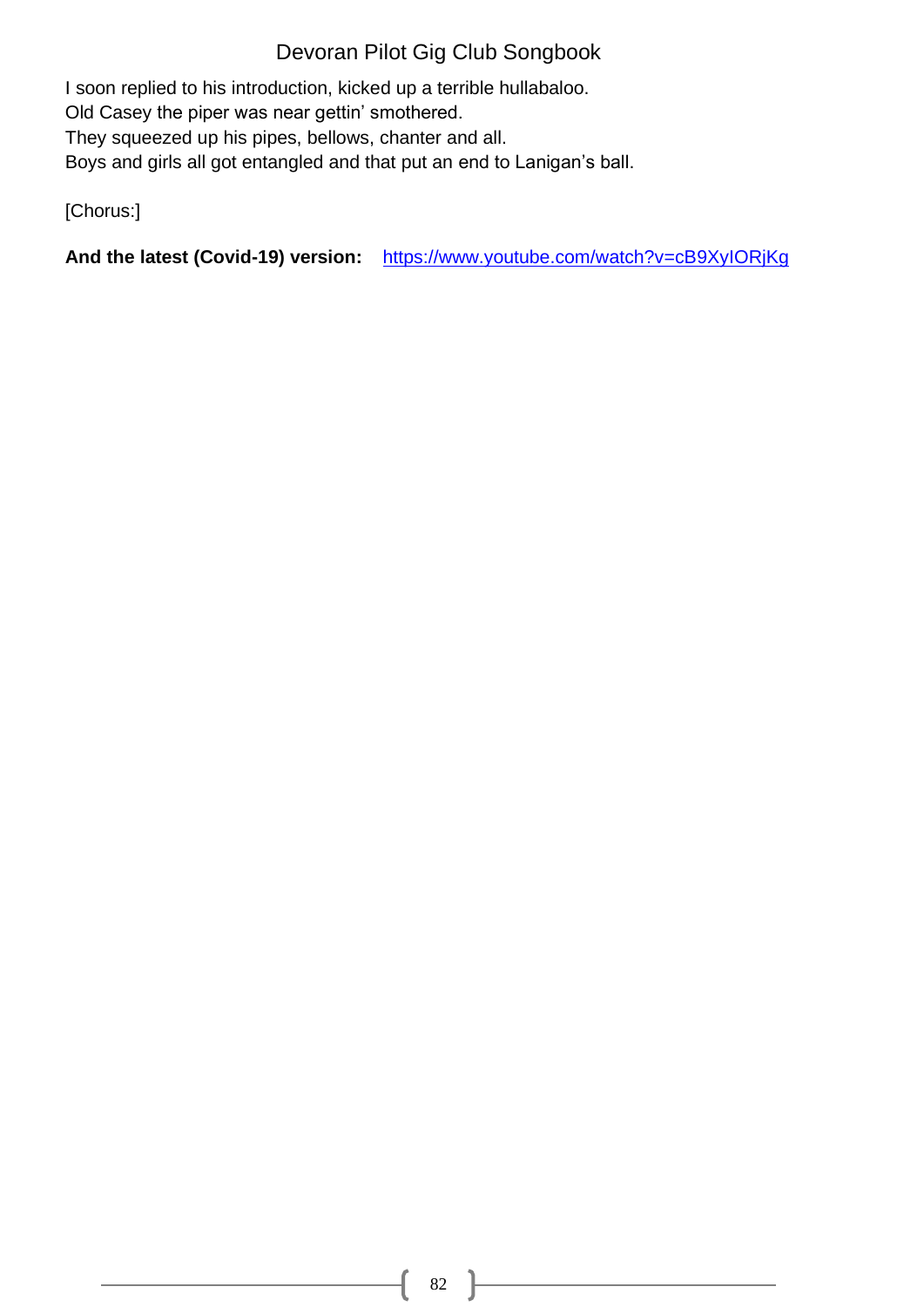I soon replied to his introduction, kicked up a terrible hullabaloo. Old Casey the piper was near gettin' smothered. They squeezed up his pipes, bellows, chanter and all. Boys and girls all got entangled and that put an end to Lanigan's ball.

[Chorus:]

**And the latest (Covid-19) version:** <https://www.youtube.com/watch?v=cB9XyIORjKg>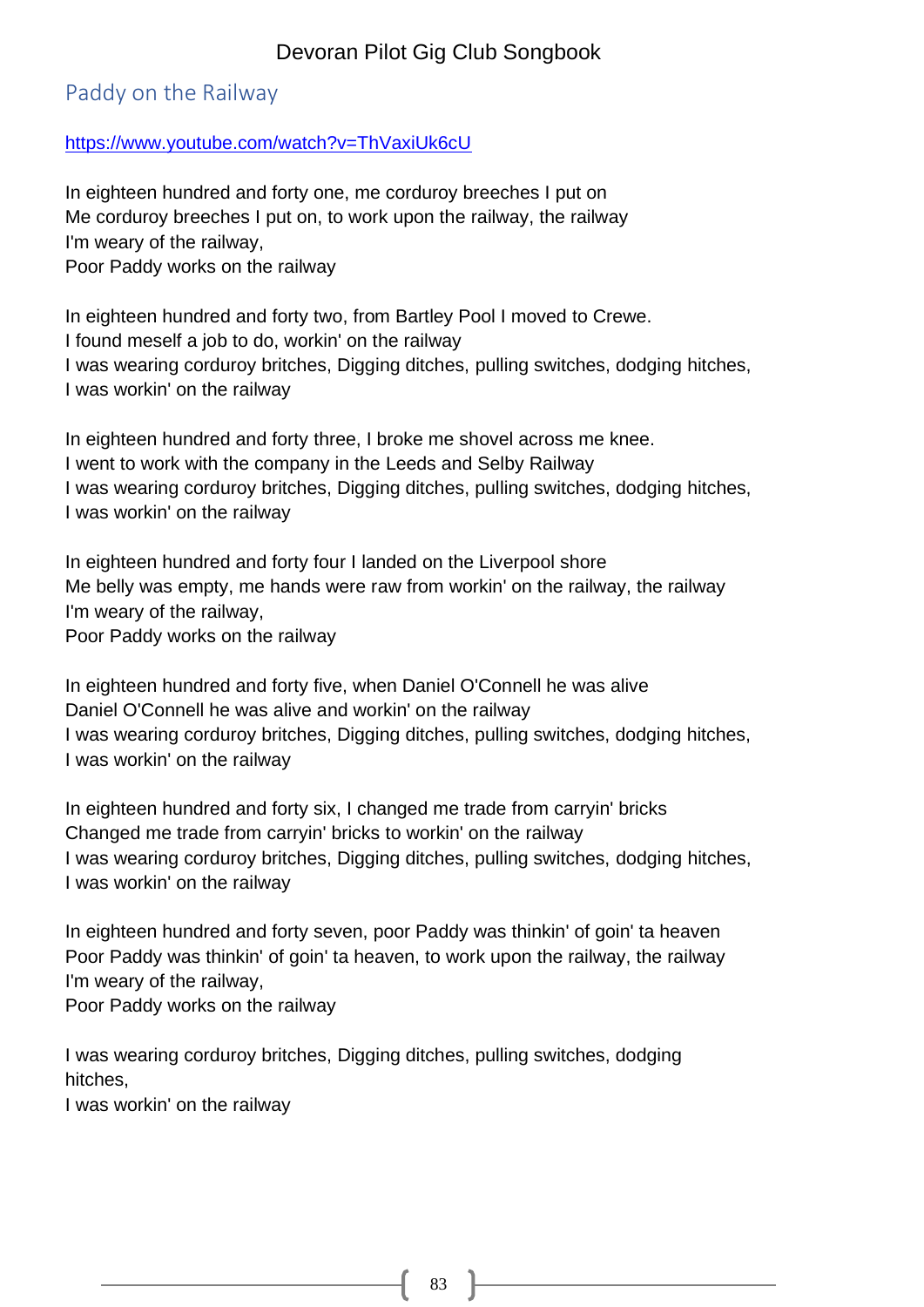Paddy on the Railway

#### <https://www.youtube.com/watch?v=ThVaxiUk6cU>

In eighteen hundred and forty one, me corduroy breeches I put on Me corduroy breeches I put on, to work upon the railway, the railway I'm weary of the railway, Poor Paddy works on the railway

In eighteen hundred and forty two, from Bartley Pool I moved to Crewe. I found meself a job to do, workin' on the railway I was wearing corduroy britches, Digging ditches, pulling switches, dodging hitches, I was workin' on the railway

In eighteen hundred and forty three, I broke me shovel across me knee. I went to work with the company in the Leeds and Selby Railway I was wearing corduroy britches, Digging ditches, pulling switches, dodging hitches, I was workin' on the railway

In eighteen hundred and forty four I landed on the Liverpool shore Me belly was empty, me hands were raw from workin' on the railway, the railway I'm weary of the railway, Poor Paddy works on the railway

In eighteen hundred and forty five, when Daniel O'Connell he was alive Daniel O'Connell he was alive and workin' on the railway I was wearing corduroy britches, Digging ditches, pulling switches, dodging hitches, I was workin' on the railway

In eighteen hundred and forty six, I changed me trade from carryin' bricks Changed me trade from carryin' bricks to workin' on the railway I was wearing corduroy britches, Digging ditches, pulling switches, dodging hitches, I was workin' on the railway

In eighteen hundred and forty seven, poor Paddy was thinkin' of goin' ta heaven Poor Paddy was thinkin' of goin' ta heaven, to work upon the railway, the railway I'm weary of the railway,

Poor Paddy works on the railway

I was wearing corduroy britches, Digging ditches, pulling switches, dodging hitches,

I was workin' on the railway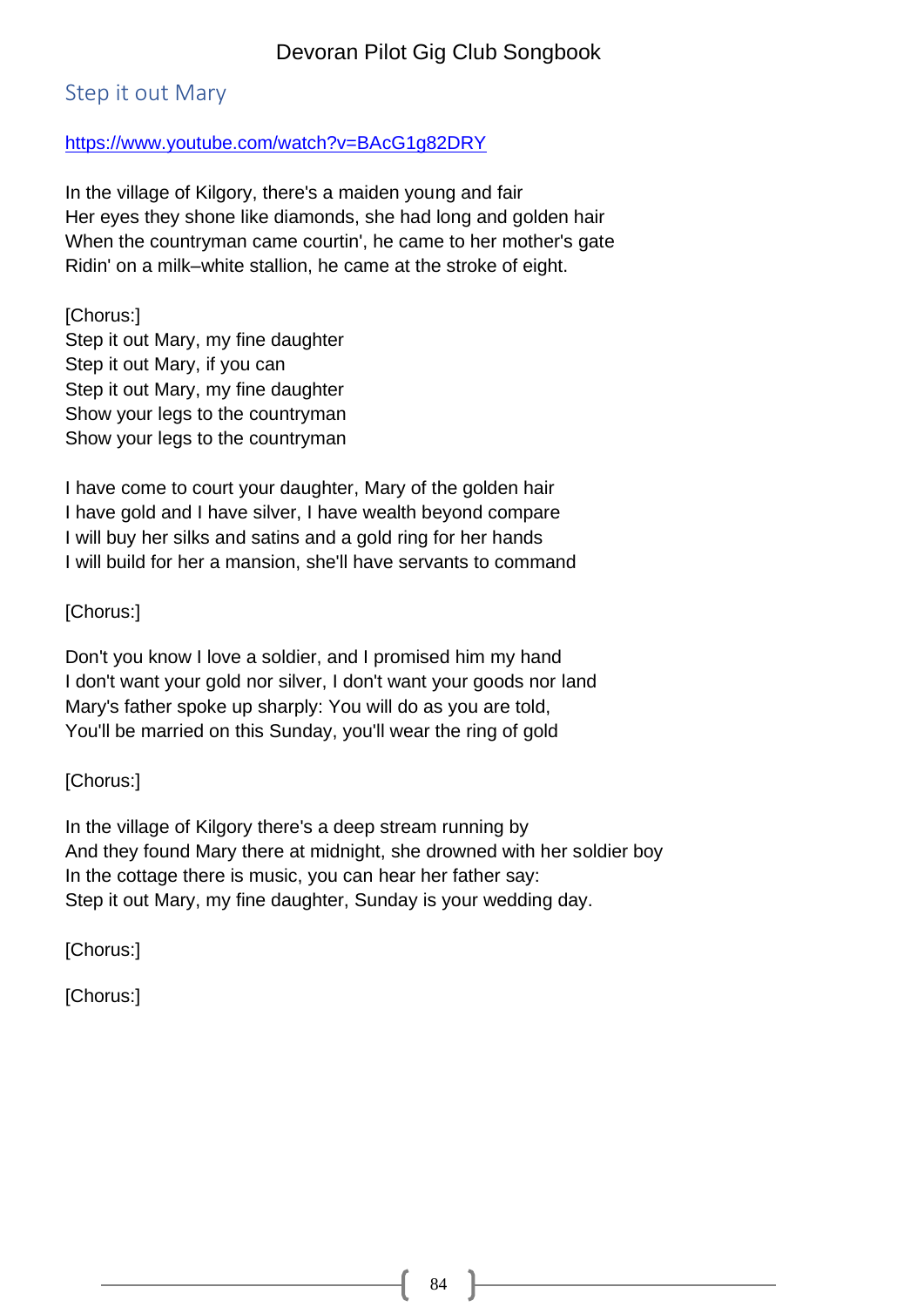### Step it out Mary

#### <https://www.youtube.com/watch?v=BAcG1g82DRY>

In the village of Kilgory, there's a maiden young and fair Her eyes they shone like diamonds, she had long and golden hair When the countryman came courtin', he came to her mother's gate Ridin' on a milk–white stallion, he came at the stroke of eight.

[Chorus:] Step it out Mary, my fine daughter Step it out Mary, if you can Step it out Mary, my fine daughter Show your legs to the countryman Show your legs to the countryman

I have come to court your daughter, Mary of the golden hair I have gold and I have silver, I have wealth beyond compare I will buy her silks and satins and a gold ring for her hands I will build for her a mansion, she'll have servants to command

#### [Chorus:]

Don't you know I love a soldier, and I promised him my hand I don't want your gold nor silver, I don't want your goods nor land Mary's father spoke up sharply: You will do as you are told, You'll be married on this Sunday, you'll wear the ring of gold

#### [Chorus:]

In the village of Kilgory there's a deep stream running by And they found Mary there at midnight, she drowned with her soldier boy In the cottage there is music, you can hear her father say: Step it out Mary, my fine daughter, Sunday is your wedding day.

[Chorus:]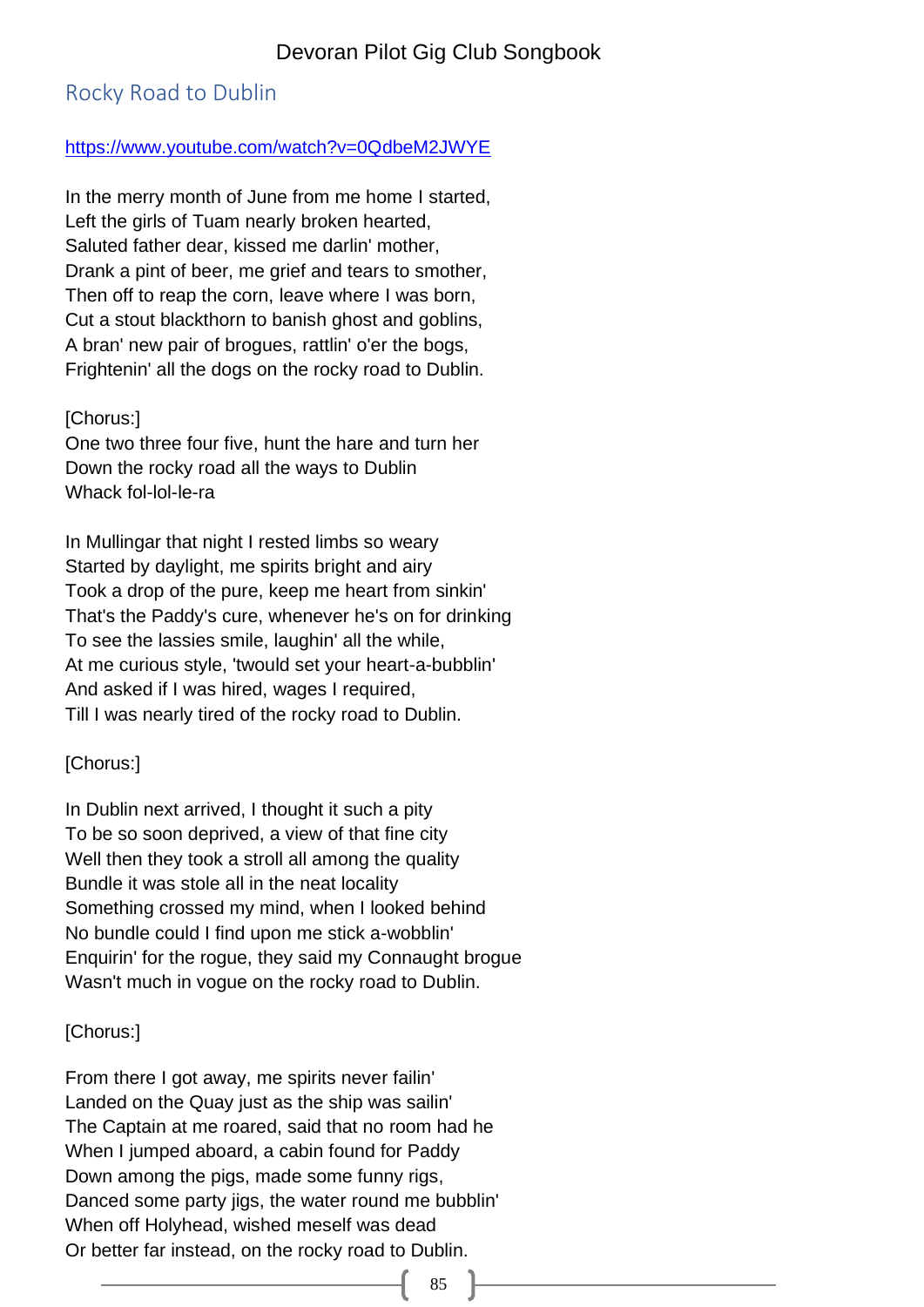## Rocky Road to Dublin

#### <https://www.youtube.com/watch?v=0QdbeM2JWYE>

In the merry month of June from me home I started, Left the girls of Tuam nearly broken hearted, Saluted father dear, kissed me darlin' mother, Drank a pint of beer, me grief and tears to smother, Then off to reap the corn, leave where I was born, Cut a stout blackthorn to banish ghost and goblins, A bran' new pair of brogues, rattlin' o'er the bogs, Frightenin' all the dogs on the rocky road to Dublin.

#### [Chorus:]

One two three four five, hunt the hare and turn her Down the rocky road all the ways to Dublin Whack fol-lol-le-ra

In Mullingar that night I rested limbs so weary Started by daylight, me spirits bright and airy Took a drop of the pure, keep me heart from sinkin' That's the Paddy's cure, whenever he's on for drinking To see the lassies smile, laughin' all the while, At me curious style, 'twould set your heart-a-bubblin' And asked if I was hired, wages I required, Till I was nearly tired of the rocky road to Dublin.

#### [Chorus:]

In Dublin next arrived, I thought it such a pity To be so soon deprived, a view of that fine city Well then they took a stroll all among the quality Bundle it was stole all in the neat locality Something crossed my mind, when I looked behind No bundle could I find upon me stick a-wobblin' Enquirin' for the rogue, they said my Connaught brogue Wasn't much in vogue on the rocky road to Dublin.

#### [Chorus:]

From there I got away, me spirits never failin' Landed on the Quay just as the ship was sailin' The Captain at me roared, said that no room had he When I jumped aboard, a cabin found for Paddy Down among the pigs, made some funny rigs, Danced some party jigs, the water round me bubblin' When off Holyhead, wished meself was dead Or better far instead, on the rocky road to Dublin.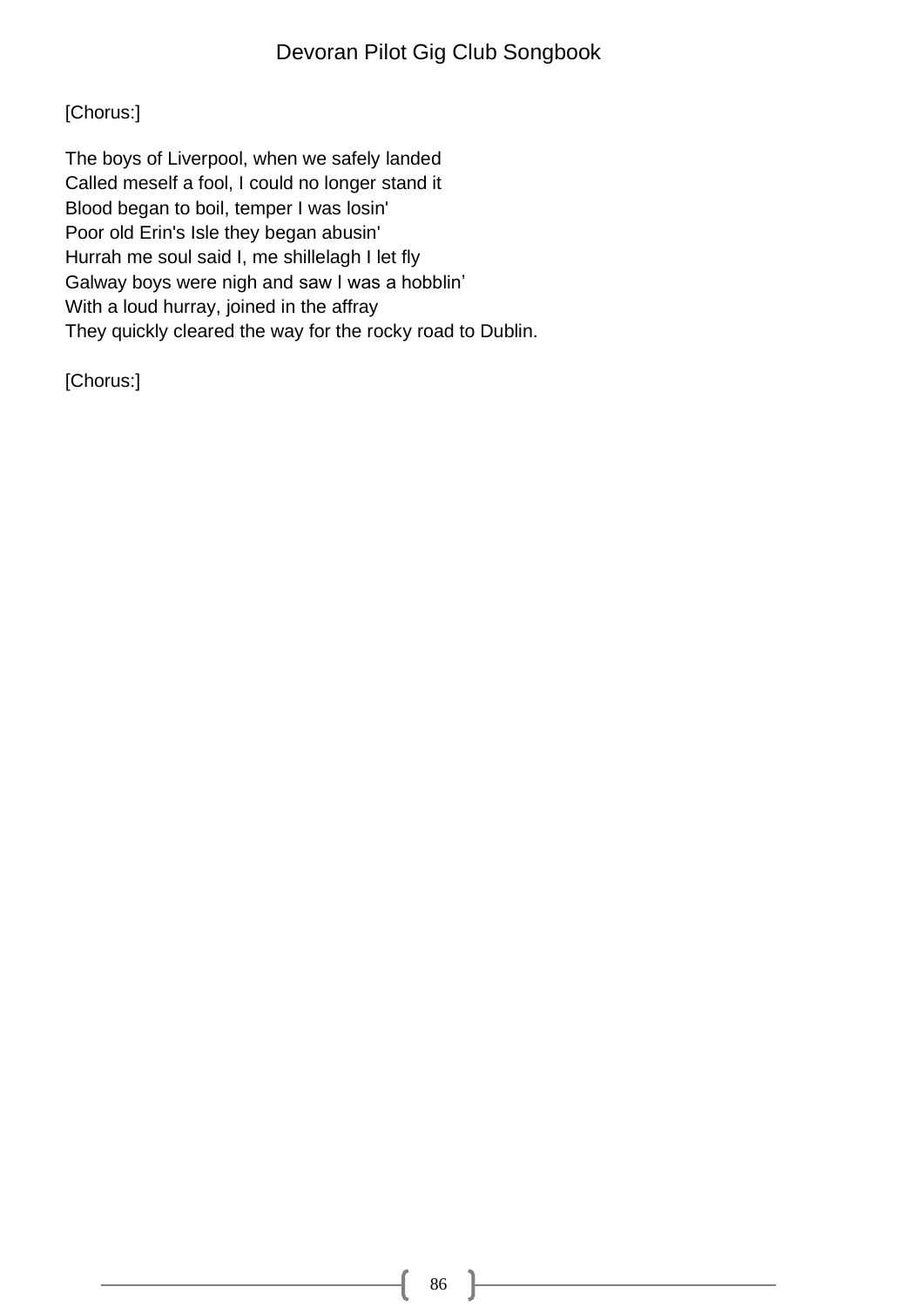### [Chorus:]

The boys of Liverpool, when we safely landed Called meself a fool, I could no longer stand it Blood began to boil, temper I was losin' Poor old Erin's Isle they began abusin' Hurrah me soul said I, me shillelagh I let fly Galway boys were nigh and saw I was a hobblin' With a loud hurray, joined in the affray They quickly cleared the way for the rocky road to Dublin.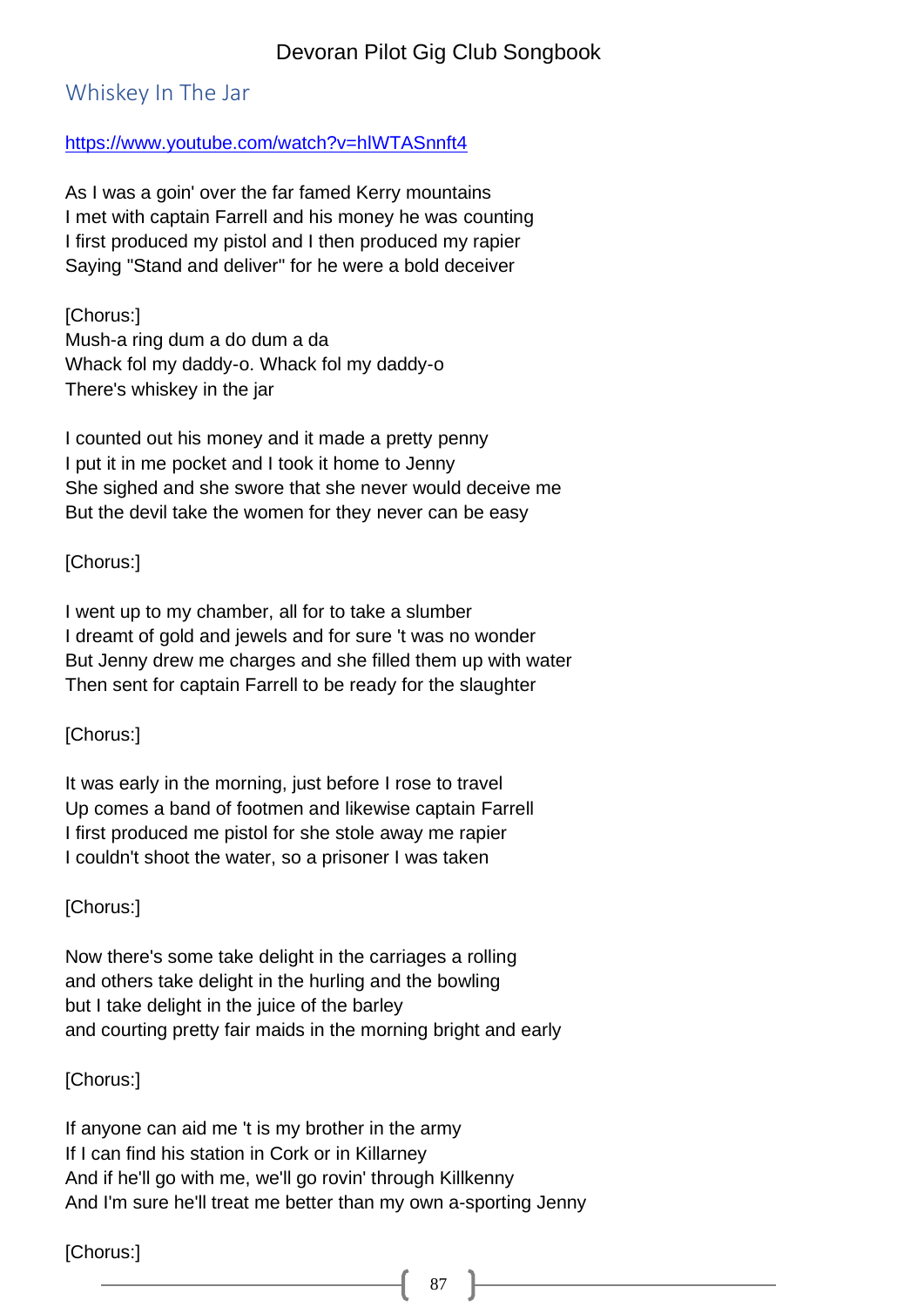## Whiskey In The Jar

#### <https://www.youtube.com/watch?v=hlWTASnnft4>

As I was a goin' over the far famed Kerry mountains I met with captain Farrell and his money he was counting I first produced my pistol and I then produced my rapier Saying "Stand and deliver" for he were a bold deceiver

[Chorus:] Mush-a ring dum a do dum a da Whack fol my daddy-o. Whack fol my daddy-o There's whiskey in the jar

I counted out his money and it made a pretty penny I put it in me pocket and I took it home to Jenny She sighed and she swore that she never would deceive me But the devil take the women for they never can be easy

#### [Chorus:]

I went up to my chamber, all for to take a slumber I dreamt of gold and jewels and for sure 't was no wonder But Jenny drew me charges and she filled them up with water Then sent for captain Farrell to be ready for the slaughter

#### [Chorus:]

It was early in the morning, just before I rose to travel Up comes a band of footmen and likewise captain Farrell I first produced me pistol for she stole away me rapier I couldn't shoot the water, so a prisoner I was taken

### [Chorus:]

Now there's some take delight in the carriages a rolling and others take delight in the hurling and the bowling but I take delight in the juice of the barley and courting pretty fair maids in the morning bright and early

#### [Chorus:]

If anyone can aid me 't is my brother in the army If I can find his station in Cork or in Killarney And if he'll go with me, we'll go rovin' through Killkenny And I'm sure he'll treat me better than my own a-sporting Jenny

[Chorus:]

87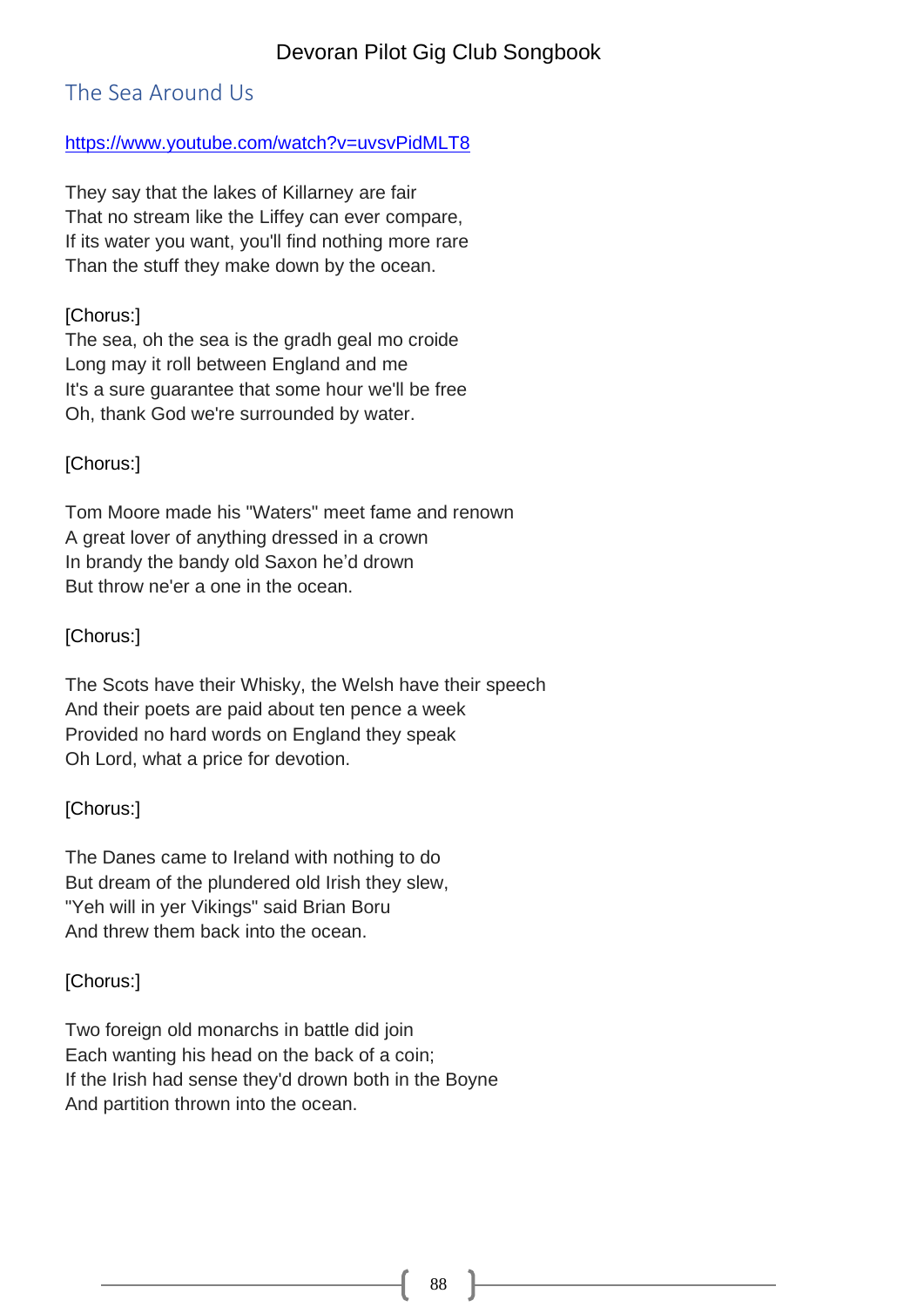## The Sea Around Us

### <https://www.youtube.com/watch?v=uvsvPidMLT8>

They say that the lakes of Killarney are fair That no stream like the Liffey can ever compare, If its water you want, you'll find nothing more rare Than the stuff they make down by the ocean.

#### [Chorus:]

The sea, oh the sea is the gradh geal mo croide Long may it roll between England and me It's a sure guarantee that some hour we'll be free Oh, thank God we're surrounded by water.

### [Chorus:]

Tom Moore made his "Waters" meet fame and renown A great lover of anything dressed in a crown In brandy the bandy old Saxon he'd drown But throw ne'er a one in the ocean.

#### [Chorus:]

The Scots have their Whisky, the Welsh have their speech And their poets are paid about ten pence a week Provided no hard words on England they speak Oh Lord, what a price for devotion.

#### [Chorus:]

The Danes came to Ireland with nothing to do But dream of the plundered old Irish they slew, "Yeh will in yer Vikings" said Brian Boru And threw them back into the ocean.

#### [Chorus:]

Two foreign old monarchs in battle did join Each wanting his head on the back of a coin; If the Irish had sense they'd drown both in the Boyne And partition thrown into the ocean.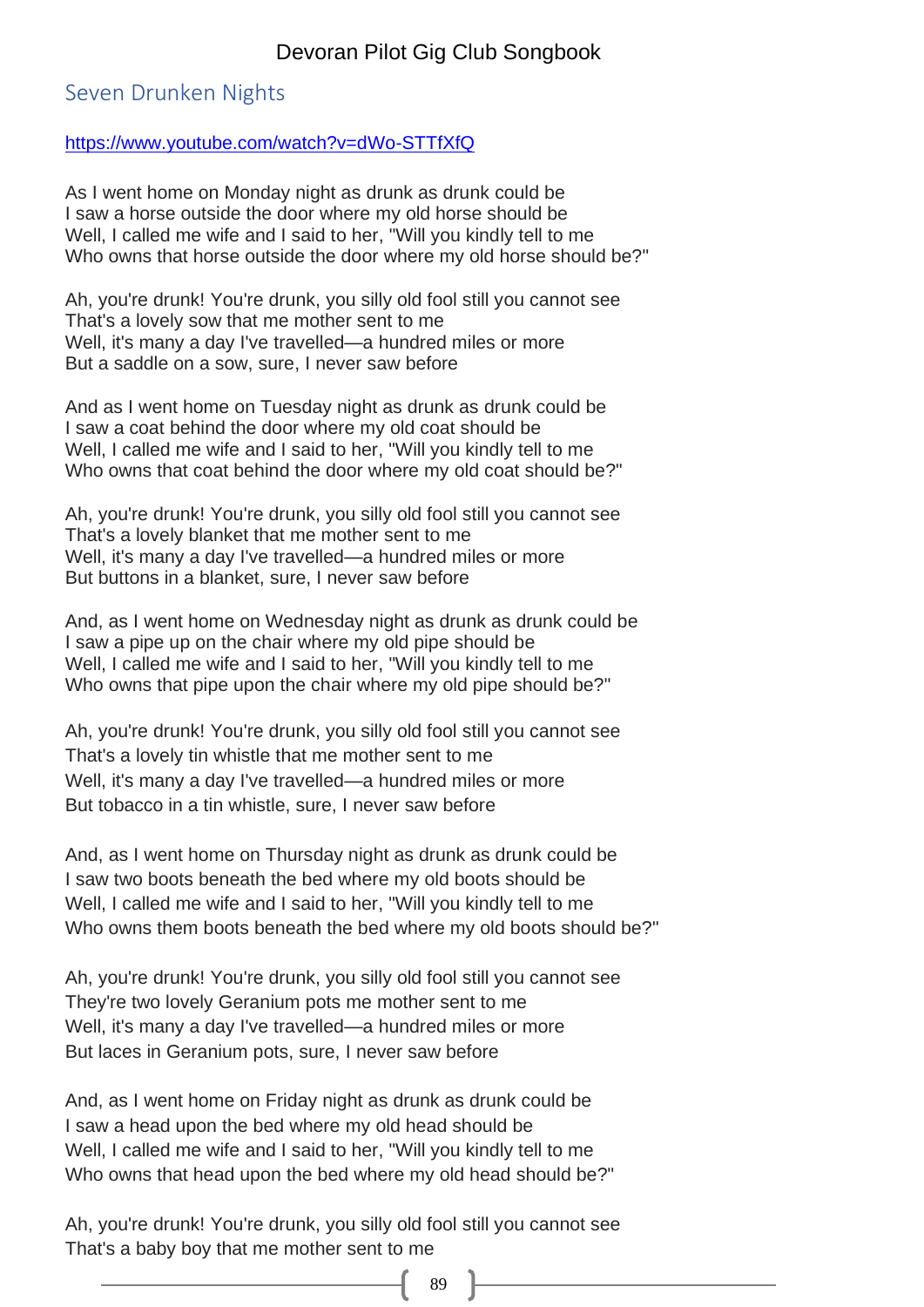### Seven Drunken Nights

#### <https://www.youtube.com/watch?v=dWo-STTfXfQ>

As I went home on Monday night as drunk as drunk could be I saw a horse outside the door where my old horse should be Well, I called me wife and I said to her, "Will you kindly tell to me Who owns that horse outside the door where my old horse should be?"

Ah, you're drunk! You're drunk, you silly old fool still you cannot see That's a lovely sow that me mother sent to me Well, it's many a day I've travelled—a hundred miles or more [But a saddle on a sow, sure, I never saw before](https://genius.com/18406283/The-dubliners-seven-drunken-nights/But-a-saddle-on-a-sow-sure-i-never-saw-before)

And as I went home on Tuesday night as drunk as drunk could be I saw a coat behind the door where my old coat should be Well, I called me wife and I said to her, "Will you kindly tell to me Who owns that coat behind the door where my old coat should be?"

Ah, you're drunk! You're drunk, you silly old fool still you cannot see That's a lovely blanket that me mother sent to me Well, it's many a day I've travelled—a hundred miles or more [But buttons in a blanket, sure, I never saw before](https://genius.com/18406291/The-dubliners-seven-drunken-nights/But-buttons-in-a-blanket-sure-i-never-saw-before)

And, as I went home on Wednesday night as drunk as drunk could be I saw a pipe up on the chair where my old pipe should be Well, I called me wife and I said to her, "Will you kindly tell to me Who owns that pipe upon the chair where my old pipe should be?"

Ah, you're drunk! You're drunk, you silly old fool still you cannot see That's a lovely tin whistle that me mother sent to me Well, it's many a day I've travelled—a hundred miles or more [But tobacco in a tin whistle, sure,](https://genius.com/18406293/The-dubliners-seven-drunken-nights/But-tobacco-in-a-tin-whistle-sure-i-never-saw-before) I never saw before

And, as I went home on Thursday night as drunk as drunk could be I saw two boots beneath the bed where my old boots should be Well, I called me wife and I said to her, "Will you kindly tell to me Who owns them boots beneath the bed where my old boots should be?"

Ah, you're drunk! You're drunk, you silly old fool still you cannot see They're two lovely Geranium pots me mother sent to me Well, it's many a day I've travelled—a hundred miles or more [But laces in Geranium pots, sure, I never saw before](https://genius.com/18406299/The-dubliners-seven-drunken-nights/But-laces-in-geranium-pots-sure-i-never-saw-before)

And, as I went home on Friday night as drunk as drunk could be I saw a head upon the bed where my old head should be Well, I called me wife and I said to her, "Will you kindly tell to me Who owns that head upon the bed where my old head should be?"

Ah, you're drunk! You're drunk, you silly old fool still you cannot see That's a baby boy that me mother sent to me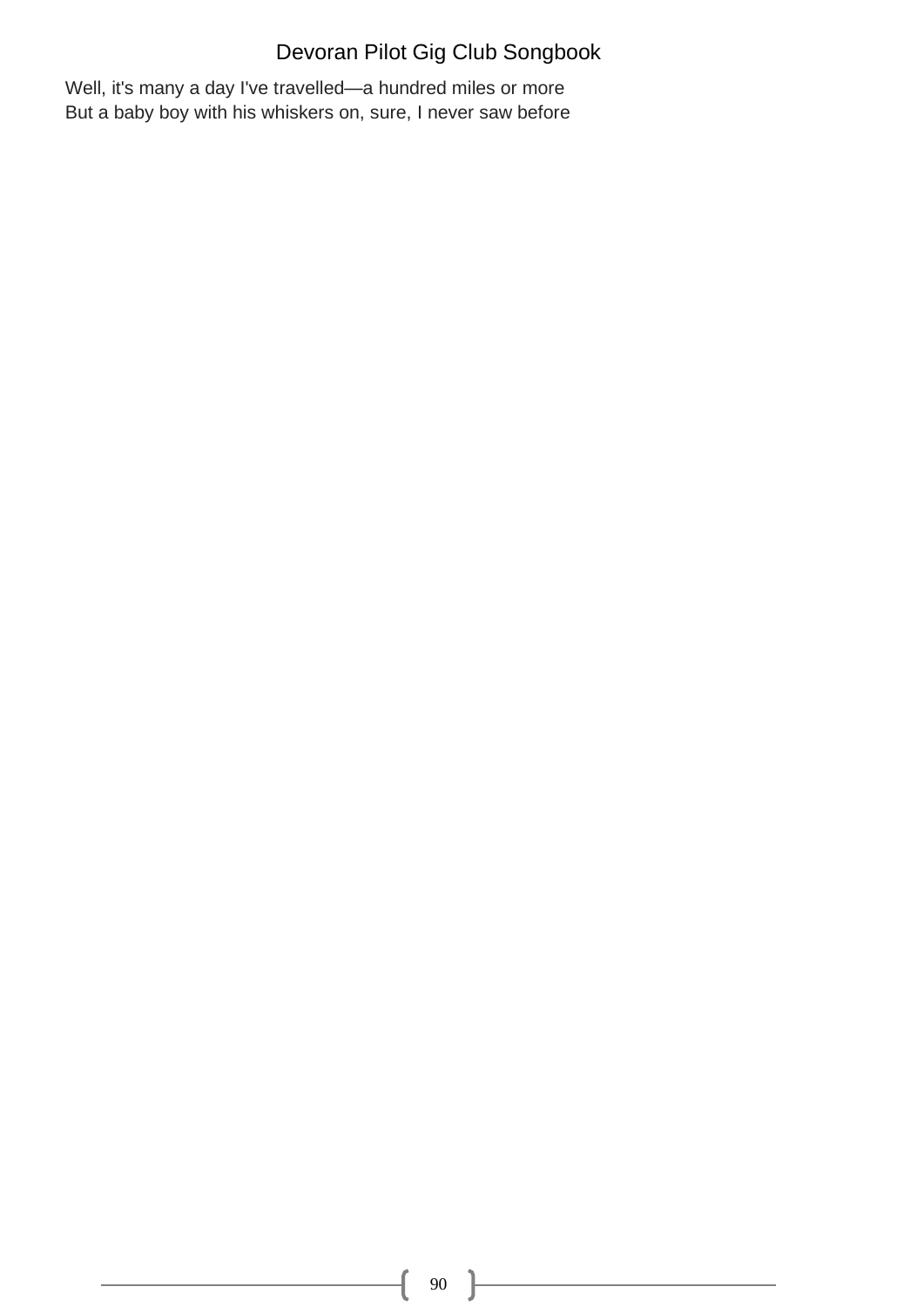Well, it's many a day I've travelled—a hundred miles or more [But a baby boy with his whiskers on, sure,](https://genius.com/18406302/The-dubliners-seven-drunken-nights/But-a-baby-boy-with-his-whiskers-on-sure-i-never-saw-before) I never saw before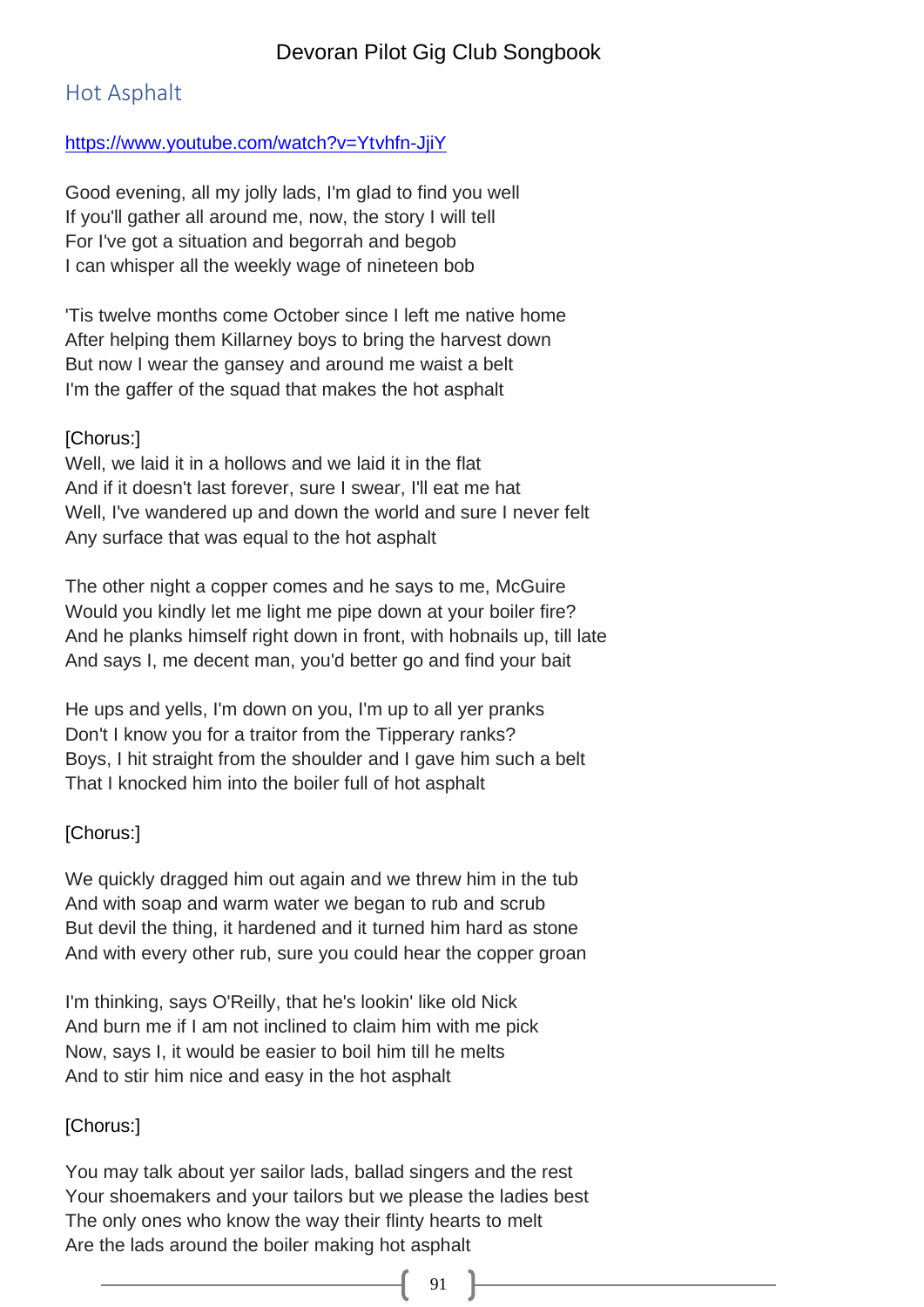## Hot Asphalt

### <https://www.youtube.com/watch?v=Ytvhfn-JjiY>

Good evening, all my jolly lads, I'm glad to find you well If you'll gather all around me, now, the story I will tell For I've got a situation and begorrah and begob I can whisper all the weekly wage of nineteen bob

'Tis twelve months come October since I left me native home After helping them Killarney boys to bring the harvest down But now I wear the gansey and around me waist a belt I'm the gaffer of the squad that makes the hot asphalt

#### [Chorus:]

Well, we laid it in a hollows and we laid it in the flat And if it doesn't last forever, sure I swear, I'll eat me hat Well, I've wandered up and down the world and sure I never felt Any surface that was equal to the hot asphalt

The other night a copper comes and he says to me, McGuire Would you kindly let me light me pipe down at your boiler fire? And he planks himself right down in front, with hobnails up, till late And says I, me decent man, you'd better go and find your bait

He ups and yells, I'm down on you, I'm up to all yer pranks Don't I know you for a traitor from the Tipperary ranks? Boys, I hit straight from the shoulder and I gave him such a belt That I knocked him into the boiler full of hot asphalt

### [Chorus:]

We quickly dragged him out again and we threw him in the tub And with soap and warm water we began to rub and scrub But devil the thing, it hardened and it turned him hard as stone And with every other rub, sure you could hear the copper groan

I'm thinking, says O'Reilly, that he's lookin' like old Nick And burn me if I am not inclined to claim him with me pick Now, says I, it would be easier to boil him till he melts And to stir him nice and easy in the hot asphalt

### [Chorus:]

You may talk about yer sailor lads, ballad singers and the rest Your shoemakers and your tailors but we please the ladies best The only ones who know the way their flinty hearts to melt Are the lads around the boiler making hot asphalt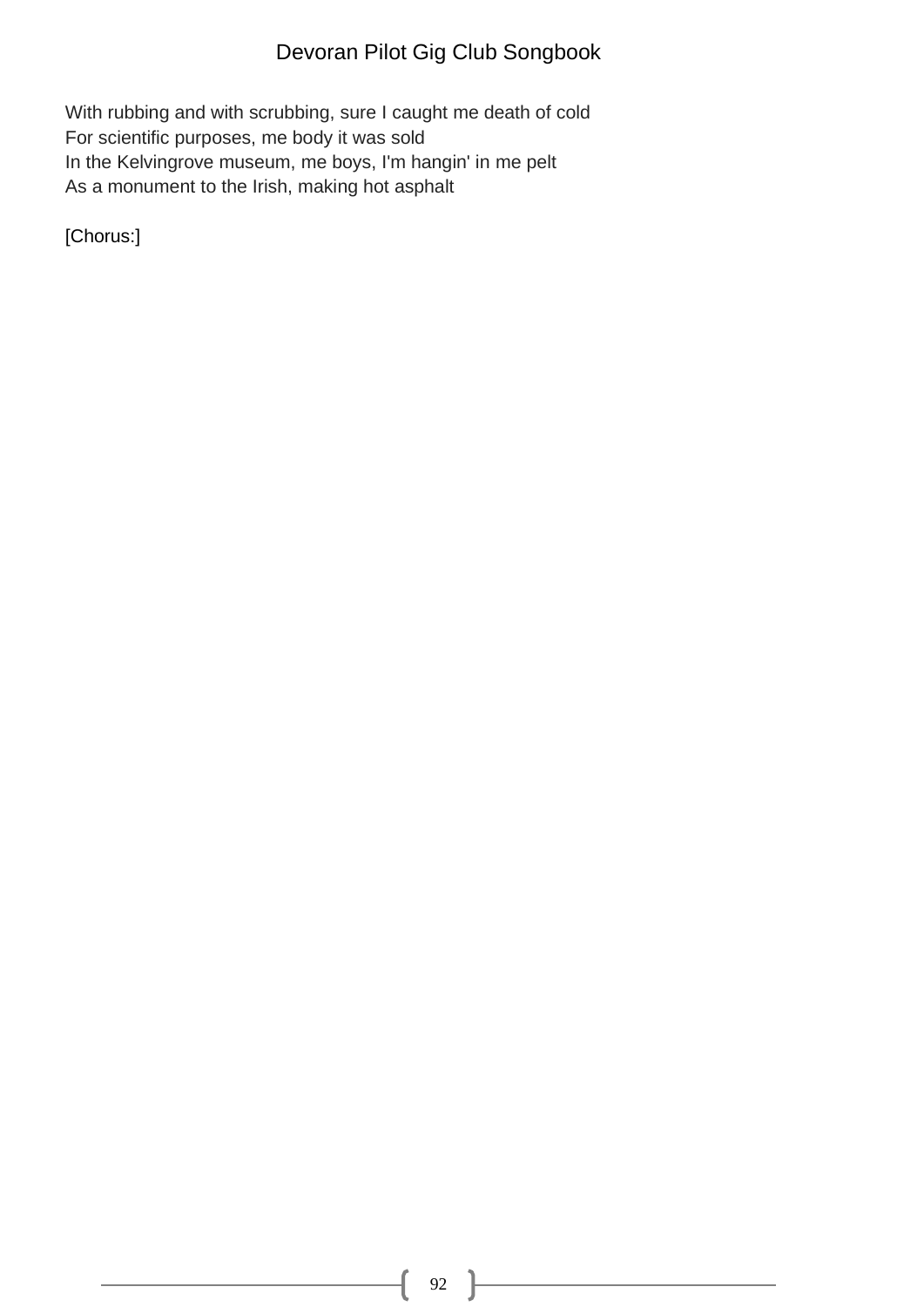With rubbing and with scrubbing, sure I caught me death of cold For scientific purposes, me body it was sold In the Kelvingrove museum, me boys, I'm hangin' in me pelt As a monument to the Irish, making hot asphalt